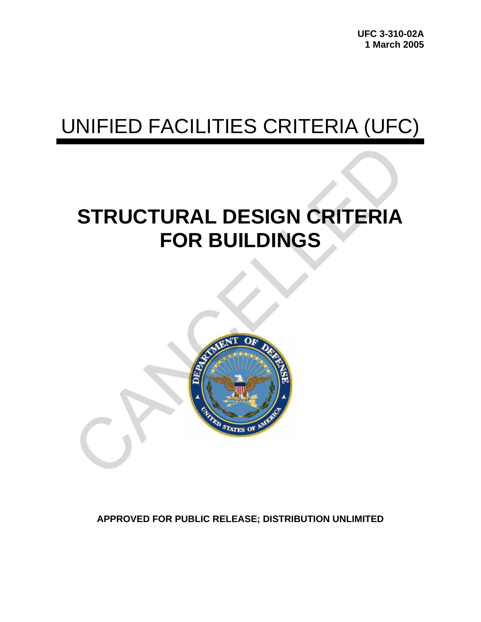# UNIFIED FACILITIES CRITERIA (UFC)

# **STRUCTURAL DESIGN CRITERIA FOR BUILDINGS**



**APPROVED FOR PUBLIC RELEASE; DISTRIBUTION UNLIMITED**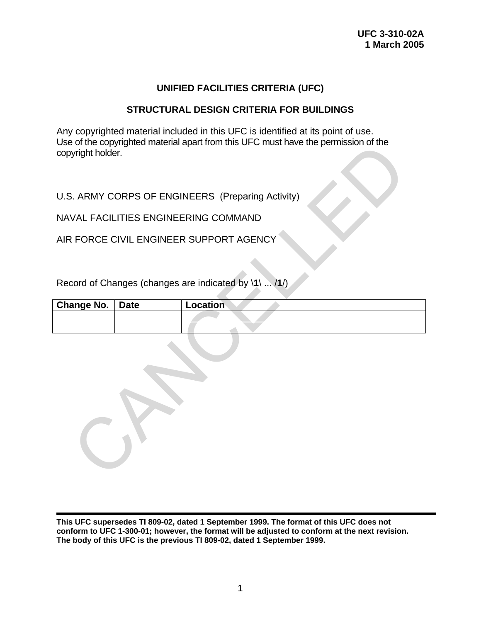### **UNIFIED FACILITIES CRITERIA (UFC)**

#### **STRUCTURAL DESIGN CRITERIA FOR BUILDINGS**

Any copyrighted material included in this UFC is identified at its point of use. Use of the copyrighted material apart from this UFC must have the permission of the copyright holder.

| copyright holder.                                 |             | USE OF the copyrighted material apart from this UFC must have the permission of the |  |  |  |
|---------------------------------------------------|-------------|-------------------------------------------------------------------------------------|--|--|--|
| U.S. ARMY CORPS OF ENGINEERS (Preparing Activity) |             |                                                                                     |  |  |  |
|                                                   |             | NAVAL FACILITIES ENGINEERING COMMAND                                                |  |  |  |
|                                                   |             | AIR FORCE CIVIL ENGINEER SUPPORT AGENCY                                             |  |  |  |
|                                                   |             |                                                                                     |  |  |  |
|                                                   |             | Record of Changes (changes are indicated by \1\  /1/)                               |  |  |  |
| <b>Change No.</b>                                 | <b>Date</b> | Location                                                                            |  |  |  |
|                                                   |             |                                                                                     |  |  |  |
|                                                   |             |                                                                                     |  |  |  |
|                                                   |             |                                                                                     |  |  |  |

**This UFC supersedes TI 809-02, dated 1 September 1999. The format of this UFC does not conform to UFC 1-300-01; however, the format will be adjusted to conform at the next revision. The body of this UFC is the previous TI 809-02, dated 1 September 1999.**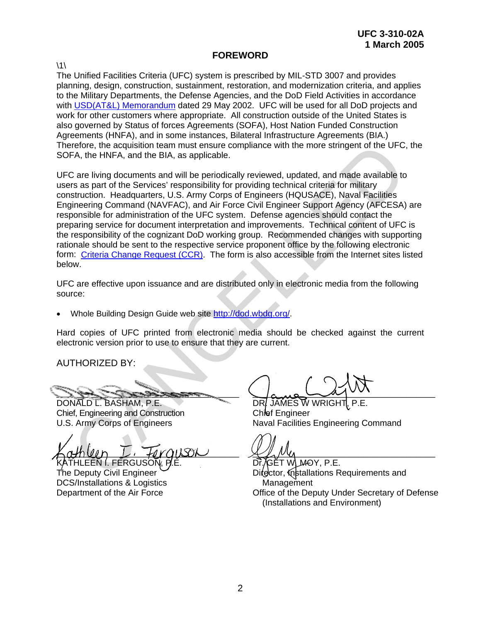#### **FOREWORD**

 $\backslash$ 1 $\backslash$ 

The Unified Facilities Criteria (UFC) system is prescribed by MIL-STD 3007 and provides planning, design, construction, sustainment, restoration, and modernization criteria, and applies to the Military Departments, the Defense Agencies, and the DoD Field Activities in accordance with [USD\(AT&L\) Memorandum](http://www.wbdg.org/pdfs/ufc_implementation.pdf) dated 29 May 2002. UFC will be used for all DoD projects and work for other customers where appropriate. All construction outside of the United States is also governed by Status of forces Agreements (SOFA), Host Nation Funded Construction Agreements (HNFA), and in some instances, Bilateral Infrastructure Agreements (BIA.) Therefore, the acquisition team must ensure compliance with the more stringent of the UFC, the SOFA, the HNFA, and the BIA, as applicable.

UFC are living documents and will be periodically reviewed, updated, and made available to users as part of the Services' responsibility for providing technical criteria for military construction. Headquarters, U.S. Army Corps of Engineers (HQUSACE), Naval Facilities Engineering Command (NAVFAC), and Air Force Civil Engineer Support Agency (AFCESA) are responsible for administration of the UFC system. Defense agencies should contact the preparing service for document interpretation and improvements. Technical content of UFC is the responsibility of the cognizant DoD working group. Recommended changes with supporting rationale should be sent to the respective service proponent office by the following electronic form: Criteria Change Request (CCR). The form is also accessible from the Internet sites listed below. refore, the acquisition team must ensure compliance with the more stringent of the UFC,<br>
FA, the HNFA, and the BIA, as applicable.<br>
2 are living documents and will be periodically reviewed, updated, and made available to<br>

UFC are effective upon issuance and are distributed only in electronic media from the following source:

• Whole Building Design Guide web site http://dod.wbdg.org/.

Hard copies of UFC printed from electronic media should be checked against the current electronic version prior to use to ensure that they are current.

AUTHORIZED BY:

\_\_\_\_\_\_\_\_\_\_\_\_\_\_\_\_\_\_\_\_\_\_\_\_\_\_\_\_\_\_\_\_\_\_\_\_\_\_

DONALD L. BASHAM, P.E. Chief, Engineering and Construction U.S. Army Corps of Engineers

 $\kappa$ athuin  $L$ , foraison ATHLEEN I. FERGUSO $\widetilde{N}$ .

The Deputy Civil Engineer DCS/Installations & Logistics Department of the Air Force

 $\sqrt{a}$ 

DR. JAMES W WRIGHT Chief Engineer Naval Facilities Engineering Command

 $\mathcal{L}$   $\mu$   $\nu$ 

Dr̃, ⁄̄GĚT WLM-OY, P.E. Difector, Installations Requirements and **Management** Office of the Deputy Under Secretary of Defense (Installations and Environment)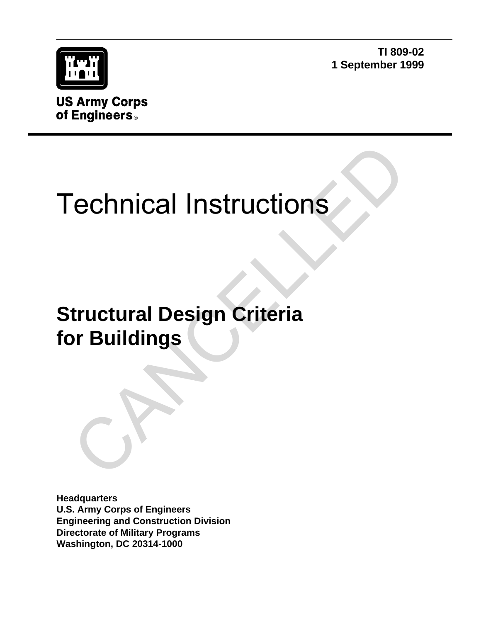

**TI 809-02 1 September 1999**

**US Army Corps** of Engineers<sup>®</sup>

# Technical Instructions

# **Structural Design Criteria for Buildings** Technical Instructions<br>
tructural Design Criteria<br>
or Buildings<br>
The Contract of Section 2014<br>
The Contract of Section 2014<br>
The Contract of Section 2014<br>
The Contract of Section 2014<br>
The Contract of Section 2014<br>
The Con

**Headquarters U.S. Army Corps of Engineers Engineering and Construction Division Directorate of Military Programs Washington, DC 20314-1000**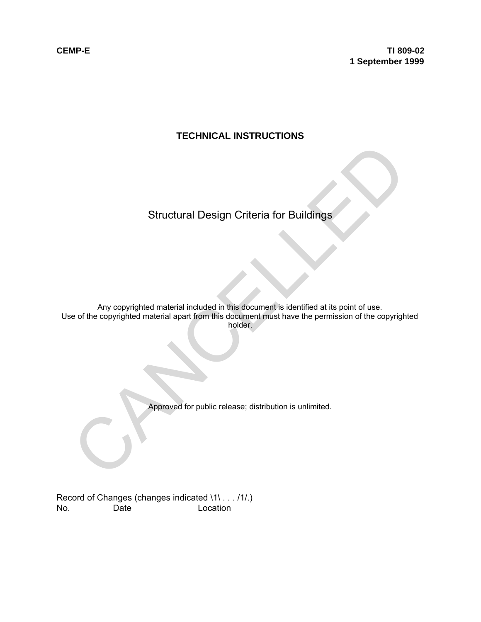## **TECHNICAL INSTRUCTIONS**

## Structural Design Criteria for Buildings

Any copyrighted material included in this document is identified at its point of use. Use of the copyrighted material apart from this document must have the permission of the copyrighted holder. Structural Design Criteria for Buildings<br>Any copyrighted material included in this document is identified at its point of use.<br>Note of the copyrighted material apart from this document must have the permission of the copyr

Approved for public release; distribution is unlimited.

Record of Changes (changes indicated \1\ . . . /1/.) No. Date Location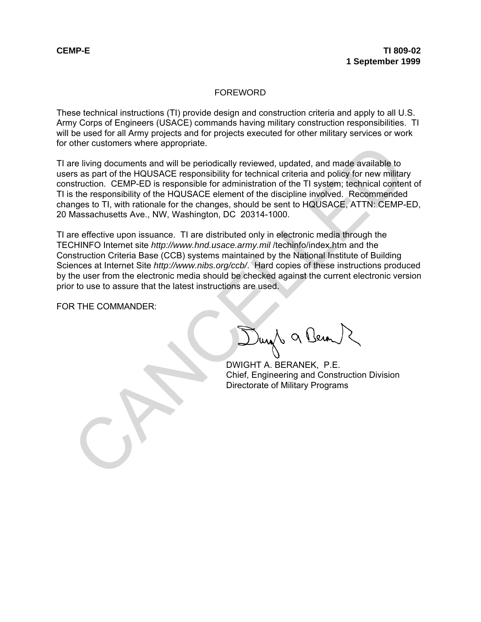#### FOREWORD

These technical instructions (TI) provide design and construction criteria and apply to all U.S. Army Corps of Engineers (USACE) commands having military construction responsibilities. TI will be used for all Army projects and for projects executed for other military services or work for other customers where appropriate.

TI are living documents and will be periodically reviewed, updated, and made available to users as part of the HQUSACE responsibility for technical criteria and policy for new military construction. CEMP-ED is responsible for administration of the TI system; technical content of TI is the responsibility of the HQUSACE element of the discipline involved. Recommended changes to TI, with rationale for the changes, should be sent to HQUSACE, ATTN: CEMP-ED, 20 Massachusetts Ave., NW, Washington, DC 20314-1000.

TI are effective upon issuance. TI are distributed only in electronic media through the TECHINFO Internet site *http://www.hnd.usace.army.mil* /techinfo/index.htm and the Construction Criteria Base (CCB) systems maintained by the National Institute of Building Sciences at Internet Site *http://www.nibs.org/ccb/*. Hard copies of these instructions produced by the user from the electronic media should be checked against the current electronic version prior to use to assure that the latest instructions are used. of the customers where appropriate.<br>
The periodically reviewed, updated, and made available to<br>
the HQUSACE responsibility for technical criteria and policy for new militar<br>
struction. CEMP-ED is responsible for administra

FOR THE COMMANDER:

DWIGHT A. BERANEK, P.E. Chief, Engineering and Construction Division Directorate of Military Programs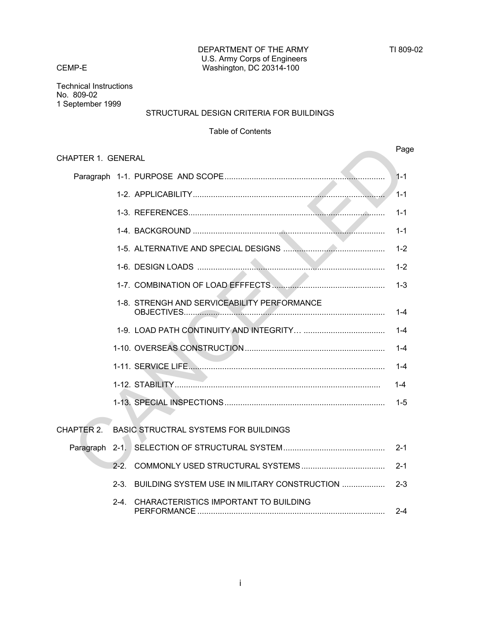Technical Instructions No. 809-02 1 September 1999

#### STRUCTURAL DESIGN CRITERIA FOR BUILDINGS

#### Table of Contents

|                           |           |                                              | Page    |
|---------------------------|-----------|----------------------------------------------|---------|
| <b>CHAPTER 1. GENERAL</b> |           |                                              |         |
|                           |           |                                              | $1 - 1$ |
|                           |           |                                              | $1 - 1$ |
|                           |           |                                              | $1 - 1$ |
|                           |           |                                              | $1 - 1$ |
|                           |           |                                              | $1 - 2$ |
|                           |           |                                              | $1 - 2$ |
|                           |           |                                              | $1 - 3$ |
|                           |           | 1-8. STRENGH AND SERVICEABILITY PERFORMANCE  | $1 - 4$ |
|                           |           |                                              | $1 - 4$ |
|                           |           |                                              | -1-4    |
|                           |           |                                              | $1 - 4$ |
|                           |           |                                              | $1 - 4$ |
|                           |           |                                              | $1-5$   |
|                           |           |                                              |         |
| CHAPTER 2.                |           | <b>BASIC STRUCTRAL SYSTEMS FOR BUILDINGS</b> |         |
|                           |           |                                              | $2 - 1$ |
|                           | $2 - 2$   |                                              | $2 - 1$ |
|                           | $2 - 3$ . | BUILDING SYSTEM USE IN MILITARY CONSTRUCTION | $2 - 3$ |
|                           | 2-4       | CHARACTERISTICS IMPORTANT TO BUILDING        | $2 - 4$ |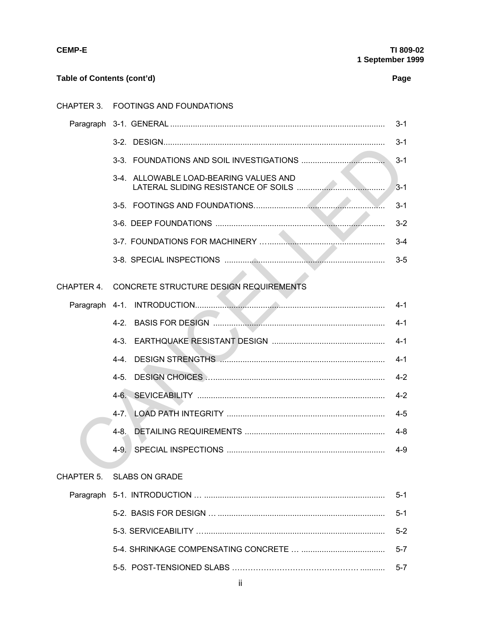| Λ<br>N | ш |
|--------|---|
|--------|---|

| Table of Contents (cont'd) |                                                   | Page    |
|----------------------------|---------------------------------------------------|---------|
|                            | CHAPTER 3. FOOTINGS AND FOUNDATIONS               |         |
|                            |                                                   | $3 - 1$ |
|                            |                                                   | $3 - 1$ |
|                            |                                                   |         |
|                            | 3-4. ALLOWABLE LOAD-BEARING VALUES AND            | $3 - 1$ |
|                            |                                                   | $3 - 1$ |
|                            |                                                   | $3 - 2$ |
|                            |                                                   | $3 - 4$ |
|                            |                                                   | $3-5$   |
|                            | CHAPTER 4. CONCRETE STRUCTURE DESIGN REQUIREMENTS |         |
|                            |                                                   |         |
|                            |                                                   | $4-1$   |
|                            |                                                   | $4-1$   |
|                            | 4-4.                                              | $4 - 1$ |
|                            | $4-5.$                                            |         |
|                            |                                                   |         |
|                            | $4 - 7$ .                                         | $4-5$   |
|                            | $4-8.$                                            | 4-8     |
|                            | $4-9.$                                            | 4-9     |
| CHAPTER 5.                 | <b>SLABS ON GRADE</b>                             |         |
|                            |                                                   | $5 - 1$ |
|                            |                                                   | $5 - 1$ |
|                            |                                                   | $5 - 2$ |
|                            |                                                   | $5 - 7$ |
|                            |                                                   | $5 - 7$ |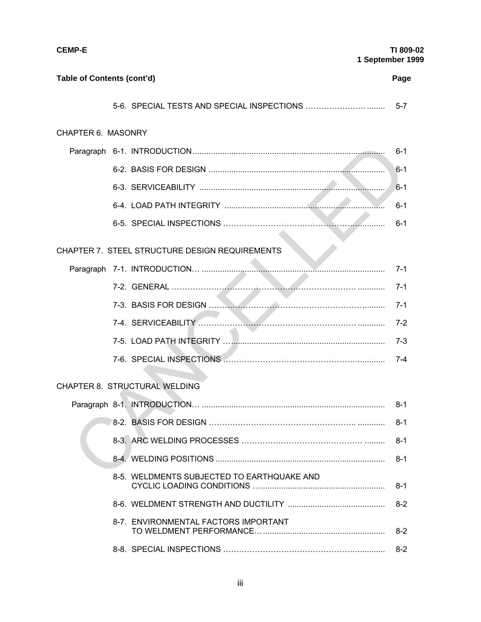| <b>CEMP-E</b>              |                                                       | TI 809-02<br>1 September 1999 |
|----------------------------|-------------------------------------------------------|-------------------------------|
| Table of Contents (cont'd) |                                                       | Page                          |
|                            |                                                       |                               |
| <b>CHAPTER 6. MASONRY</b>  |                                                       |                               |
|                            |                                                       | $6 - 1$                       |
|                            |                                                       | 6-1                           |
|                            |                                                       | $6 - 1$                       |
|                            |                                                       | $6 - 1$                       |
|                            |                                                       | $6 - 1$                       |
|                            | <b>CHAPTER 7. STEEL STRUCTURE DESIGN REQUIREMENTS</b> |                               |
|                            |                                                       | 7-1                           |
|                            |                                                       | $7-1$                         |
|                            |                                                       | $7-1$                         |
|                            |                                                       | $7-2$                         |
|                            |                                                       | $7-3$                         |
|                            |                                                       | 7-4                           |
|                            | <b>CHAPTER 8. STRUCTURAL WELDING</b>                  |                               |
|                            |                                                       | $8-1$                         |
|                            |                                                       | $8 - 1$                       |
|                            |                                                       | $8 - 1$                       |
|                            |                                                       | $8-1$                         |
|                            | 8-5. WELDMENTS SUBJECTED TO EARTHQUAKE AND            | $8-1$                         |
|                            |                                                       | $8 - 2$                       |
|                            | 8-7. ENVIRONMENTAL FACTORS IMPORTANT                  | $8-2$                         |
|                            |                                                       | $8 - 2$                       |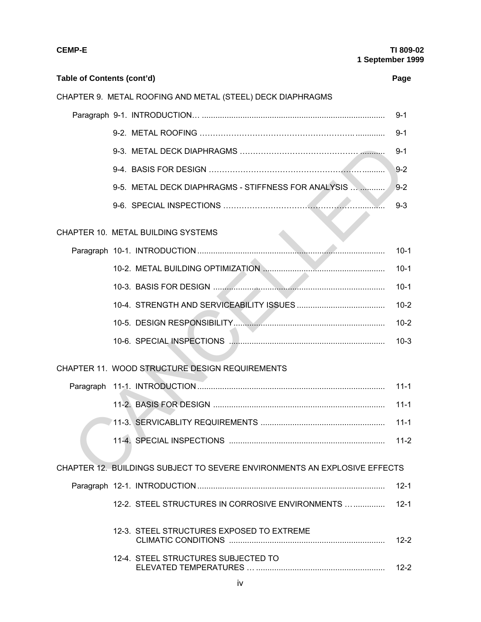| Table of Contents (cont'd) |                                                                           | Page     |
|----------------------------|---------------------------------------------------------------------------|----------|
|                            | CHAPTER 9. METAL ROOFING AND METAL (STEEL) DECK DIAPHRAGMS                |          |
|                            |                                                                           | $9 - 1$  |
|                            |                                                                           | $9 - 1$  |
|                            |                                                                           | $9 - 1$  |
|                            |                                                                           | $9 - 2$  |
|                            | 9-5. METAL DECK DIAPHRAGMS - STIFFNESS FOR ANALYSIS                       | $9 - 2$  |
|                            |                                                                           | $9 - 3$  |
|                            | CHAPTER 10. METAL BUILDING SYSTEMS                                        |          |
|                            |                                                                           | $10-1$   |
|                            |                                                                           | $10-1$   |
|                            |                                                                           | $10-1$   |
|                            |                                                                           | $10-2$   |
|                            |                                                                           | $10-2$   |
|                            |                                                                           | $10-3$   |
|                            | CHAPTER 11. WOOD STRUCTURE DESIGN REQUIREMENTS                            |          |
| Paragraph                  |                                                                           | $11 - 1$ |
|                            |                                                                           | $11 - 1$ |
|                            |                                                                           | $11 - 1$ |
|                            |                                                                           | $11-2$   |
|                            | CHAPTER 12. BUILDINGS SUBJECT TO SEVERE ENVIRONMENTS AN EXPLOSIVE EFFECTS |          |
|                            |                                                                           | $12 - 1$ |
|                            | 12-2. STEEL STRUCTURES IN CORROSIVE ENVIRONMENTS                          | $12 - 1$ |
|                            | 12-3. STEEL STRUCTURES EXPOSED TO EXTREME                                 | $12 - 2$ |
|                            | 12-4. STEEL STRUCTURES SUBJECTED TO                                       | $12 - 2$ |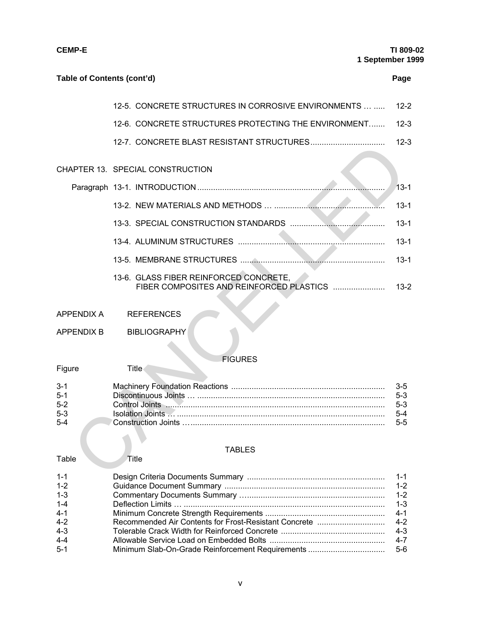| Table of Contents (cont'd)                |                                                                                    | Page                            |
|-------------------------------------------|------------------------------------------------------------------------------------|---------------------------------|
|                                           | 12-5. CONCRETE STRUCTURES IN CORROSIVE ENVIRONMENTS                                | $12 - 2$                        |
|                                           | 12-6. CONCRETE STRUCTURES PROTECTING THE ENVIRONMENT                               | $12-3$                          |
|                                           |                                                                                    | $12 - 3$                        |
|                                           | CHAPTER 13. SPECIAL CONSTRUCTION                                                   |                                 |
|                                           |                                                                                    | $13 - 1$                        |
|                                           |                                                                                    | $13 - 1$                        |
|                                           |                                                                                    | $13 - 1$                        |
|                                           |                                                                                    | $13 - 1$                        |
|                                           |                                                                                    | $13 - 1$                        |
|                                           | 13-6. GLASS FIBER REINFORCED CONCRETE,<br>FIBER COMPOSITES AND REINFORCED PLASTICS | $13-2$                          |
| <b>APPENDIX A</b>                         | <b>REFERENCES</b>                                                                  |                                 |
| APPENDIX B                                | <b>BIBLIOGRAPHY</b>                                                                |                                 |
|                                           | <b>FIGURES</b>                                                                     |                                 |
| Figure                                    | <b>Title</b>                                                                       |                                 |
| 3-1<br>$5 - 1$<br>$5 - 2$<br>$5-3$<br>5-4 |                                                                                    | 3-5<br>5-3<br>5-3<br>5-4<br>5-5 |
| Table                                     | <b>TABLES</b><br>Title                                                             |                                 |
| $1 - 1$                                   | Desian Criteria Documents Summary                                                  | $1 - 1$                         |

## FIGURES

| Figure  | l itle⊹ |       |
|---------|---------|-------|
| $3 - 1$ |         | $3-5$ |
| $5 - 1$ |         | $5-3$ |
| $5-2$   |         | $5-3$ |
| $5-3$   |         | $5-4$ |
| $5 - 4$ |         | $5-5$ |

#### TABLES

| $1 - 1$ |         |
|---------|---------|
| $1 - 2$ |         |
| $1 - 3$ |         |
| $1 - 4$ | $1 - 3$ |
| $4-1$   |         |
| $4 - 2$ |         |
| $4 - 3$ | $4 - 3$ |
| $4 - 4$ |         |
| $5-1$   |         |
|         |         |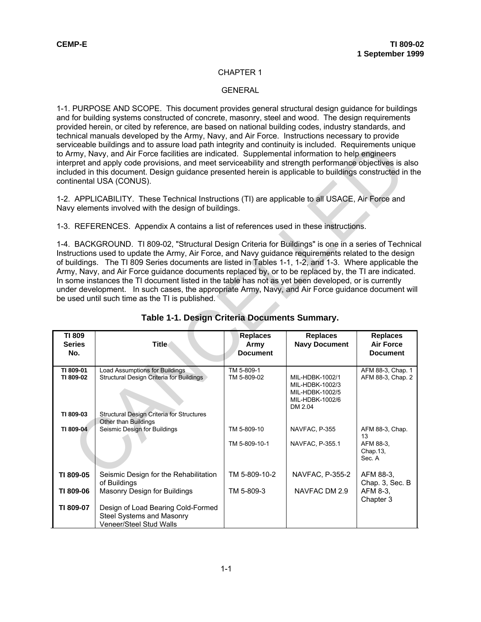#### CHAPTER 1

#### **GENERAL**

1-1. PURPOSE AND SCOPE. This document provides general structural design guidance for buildings and for building systems constructed of concrete, masonry, steel and wood. The design requirements provided herein, or cited by reference, are based on national building codes, industry standards, and technical manuals developed by the Army, Navy, and Air Force. Instructions necessary to provide serviceable buildings and to assure load path integrity and continuity is included. Requirements unique to Army, Navy, and Air Force facilities are indicated. Supplemental information to help engineers interpret and apply code provisions, and meet serviceability and strength performance objectives is also included in this document. Design guidance presented herein is applicable to buildings constructed in the continental USA (CONUS).

|                        |                                                                                                                                                                                                                                                                                                                                                                                                                                                                                                                                                                                                                                                                                                                                                   |                           |                                                                          | interpret and apply code provisions, and meet serviceability and strength performance objectives is also<br>included in this document. Design guidance presented herein is applicable to buildings constructed in th |  |  |
|------------------------|---------------------------------------------------------------------------------------------------------------------------------------------------------------------------------------------------------------------------------------------------------------------------------------------------------------------------------------------------------------------------------------------------------------------------------------------------------------------------------------------------------------------------------------------------------------------------------------------------------------------------------------------------------------------------------------------------------------------------------------------------|---------------------------|--------------------------------------------------------------------------|----------------------------------------------------------------------------------------------------------------------------------------------------------------------------------------------------------------------|--|--|
|                        | 1-2. APPLICABILITY. These Technical Instructions (TI) are applicable to all USACE, Air Force and<br>Navy elements involved with the design of buildings.                                                                                                                                                                                                                                                                                                                                                                                                                                                                                                                                                                                          |                           |                                                                          |                                                                                                                                                                                                                      |  |  |
|                        | 1-3. REFERENCES. Appendix A contains a list of references used in these instructions.                                                                                                                                                                                                                                                                                                                                                                                                                                                                                                                                                                                                                                                             |                           |                                                                          |                                                                                                                                                                                                                      |  |  |
|                        | 1-4. BACKGROUND. TI 809-02, "Structural Design Criteria for Buildings" is one in a series of Technic<br>Instructions used to update the Army, Air Force, and Navy guidance requirements related to the design<br>of buildings. The TI 809 Series documents are listed in Tables 1-1, 1-2, and 1-3. Where applicable the<br>Army, Navy, and Air Force guidance documents replaced by, or to be replaced by, the TI are indicated.<br>In some instances the TI document listed in the table has not as yet been developed, or is currently<br>under development. In such cases, the appropriate Army, Navy, and Air Force guidance document wil<br>be used until such time as the TI is published.<br>Table 1-1. Design Criteria Documents Summary. |                           |                                                                          |                                                                                                                                                                                                                      |  |  |
| <b>TI 809</b>          |                                                                                                                                                                                                                                                                                                                                                                                                                                                                                                                                                                                                                                                                                                                                                   | <b>Replaces</b>           | <b>Replaces</b>                                                          | <b>Replaces</b>                                                                                                                                                                                                      |  |  |
| <b>Series</b><br>No.   | <b>Title</b>                                                                                                                                                                                                                                                                                                                                                                                                                                                                                                                                                                                                                                                                                                                                      | Army                      | <b>Navy Document</b>                                                     | <b>Air Force</b>                                                                                                                                                                                                     |  |  |
|                        |                                                                                                                                                                                                                                                                                                                                                                                                                                                                                                                                                                                                                                                                                                                                                   | <b>Document</b>           |                                                                          | <b>Document</b>                                                                                                                                                                                                      |  |  |
| TI 809-01<br>TI 809-02 | <b>Load Assumptions for Buildings</b><br>Structural Design Criteria for Buildings                                                                                                                                                                                                                                                                                                                                                                                                                                                                                                                                                                                                                                                                 | TM 5-809-1<br>TM 5-809-02 | MIL-HDBK-1002/1<br>MIL-HDBK-1002/3<br>MIL-HDBK-1002/5<br>MIL-HDBK-1002/6 | AFM 88-3, Chap. 1<br>AFM 88-3, Chap. 2                                                                                                                                                                               |  |  |
| TI 809-03              | Structural Design Criteria for Structures                                                                                                                                                                                                                                                                                                                                                                                                                                                                                                                                                                                                                                                                                                         |                           | DM 2.04                                                                  |                                                                                                                                                                                                                      |  |  |
| TI 809-04              | Other than Buildings<br>Seismic Design for Buildings                                                                                                                                                                                                                                                                                                                                                                                                                                                                                                                                                                                                                                                                                              | TM 5-809-10               | NAVFAC, P-355                                                            | AFM 88-3, Chap.<br>13                                                                                                                                                                                                |  |  |
|                        |                                                                                                                                                                                                                                                                                                                                                                                                                                                                                                                                                                                                                                                                                                                                                   | TM 5-809-10-1             | NAVFAC, P-355.1                                                          | AFM 88-3,<br>Chap.13,<br>Sec. A                                                                                                                                                                                      |  |  |
| TI 809-05              | Seismic Design for the Rehabilitation                                                                                                                                                                                                                                                                                                                                                                                                                                                                                                                                                                                                                                                                                                             | TM 5-809-10-2             | NAVFAC, P-355-2                                                          | AFM 88-3.                                                                                                                                                                                                            |  |  |
| TI 809-06              | of Buildings<br>Masonry Design for Buildings                                                                                                                                                                                                                                                                                                                                                                                                                                                                                                                                                                                                                                                                                                      | TM 5-809-3                | NAVEAC DM 2.9                                                            | Chap. 3, Sec. B<br>AFM 8-3,<br>Chapter 3                                                                                                                                                                             |  |  |

#### **Table 1-1. Design Criteria Documents Summary.**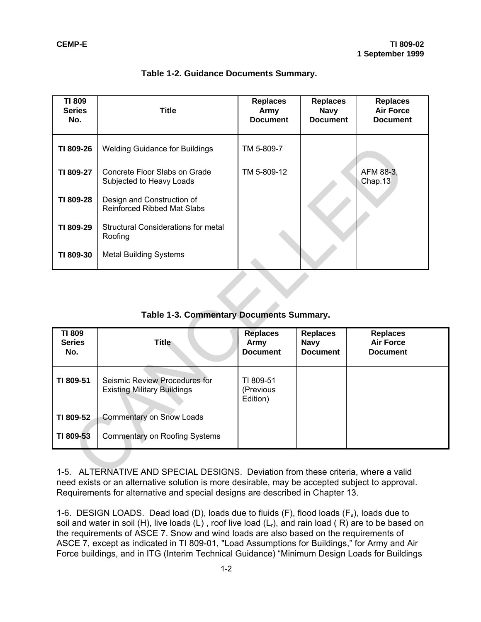| <b>TI 809</b><br><b>Series</b><br>No. | <b>Title</b>                                                        | <b>Replaces</b><br>Army<br><b>Document</b> | <b>Replaces</b><br><b>Navy</b><br><b>Document</b> | <b>Replaces</b><br><b>Air Force</b><br><b>Document</b> |
|---------------------------------------|---------------------------------------------------------------------|--------------------------------------------|---------------------------------------------------|--------------------------------------------------------|
| TI 809-26                             | <b>Welding Guidance for Buildings</b>                               | TM 5-809-7                                 |                                                   |                                                        |
| TI 809-27                             | Concrete Floor Slabs on Grade<br>Subjected to Heavy Loads           | TM 5-809-12                                |                                                   | AFM 88-3,<br>Chap.13                                   |
| TI 809-28                             | Design and Construction of<br><b>Reinforced Ribbed Mat Slabs</b>    |                                            |                                                   |                                                        |
| TI 809-29                             | <b>Structural Considerations for metal</b><br>Roofing               |                                            |                                                   |                                                        |
| TI 809-30                             | <b>Metal Building Systems</b>                                       |                                            |                                                   |                                                        |
|                                       |                                                                     |                                            |                                                   |                                                        |
|                                       | Table 1-3. Commentary Documents Summary.                            |                                            |                                                   |                                                        |
| <b>TI 809</b><br><b>Series</b><br>No. | <b>Title</b>                                                        | <b>Replaces</b><br>Army<br><b>Document</b> | <b>Replaces</b><br><b>Navy</b><br><b>Document</b> | <b>Replaces</b><br><b>Air Force</b><br><b>Document</b> |
| TI 809-51                             | Seismic Review Procedures for<br><b>Existing Military Buildings</b> | TI 809-51<br>(Previous<br>Edition)         |                                                   |                                                        |
| TI 809-52                             | <b>Commentary on Snow Loads</b>                                     |                                            |                                                   |                                                        |
| TI 809-53                             | <b>Commentary on Roofing Systems</b>                                |                                            |                                                   |                                                        |

#### **Table 1-2. Guidance Documents Summary.**

**Table 1-3. Commentary Documents Summary.**

| <b>TI 809</b><br><b>Series</b><br>No. | <b>Title</b>                                                        | <b>Replaces</b><br>Army<br><b>Document</b> | <b>Replaces</b><br><b>Navy</b><br><b>Document</b> | <b>Replaces</b><br><b>Air Force</b><br><b>Document</b> |
|---------------------------------------|---------------------------------------------------------------------|--------------------------------------------|---------------------------------------------------|--------------------------------------------------------|
| TI 809-51                             | Seismic Review Procedures for<br><b>Existing Military Buildings</b> | TI 809-51<br>(Previous<br>Edition)         |                                                   |                                                        |
| TI 809-52                             | <b>Commentary on Snow Loads</b>                                     |                                            |                                                   |                                                        |
| TI 809-53                             | Commentary on Roofing Systems                                       |                                            |                                                   |                                                        |

1-5. ALTERNATIVE AND SPECIAL DESIGNS. Deviation from these criteria, where a valid need exists or an alternative solution is more desirable, may be accepted subject to approval. Requirements for alternative and special designs are described in Chapter 13.

1-6. DESIGN LOADS. Dead load (D), loads due to fluids (F), flood loads  $(F_a)$ , loads due to soil and water in soil (H), live loads (L), roof live load ( $L<sub>r</sub>$ ), and rain load (R) are to be based on the requirements of ASCE 7. Snow and wind loads are also based on the requirements of ASCE 7, except as indicated in TI 809-01, "Load Assumptions for Buildings," for Army and Air Force buildings, and in ITG (Interim Technical Guidance) "Minimum Design Loads for Buildings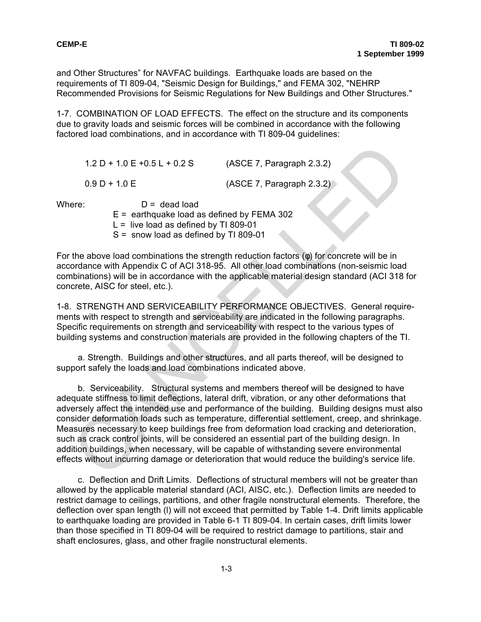and Other Structures" for NAVFAC buildings. Earthquake loads are based on the requirements of TI 809-04, "Seismic Design for Buildings," and FEMA 302, "NEHRP Recommended Provisions for Seismic Regulations for New Buildings and Other Structures."

1-7. COMBINATION OF LOAD EFFECTS. The effect on the structure and its components due to gravity loads and seismic forces will be combined in accordance with the following factored load combinations, and in accordance with TI 809-04 guidelines:

1.2 D + 1.0 E +0.5 L + 0.2 S (ASCE 7, Paragraph 2.3.2) 0.9 D + 1.0 E (ASCE 7, Paragraph 2.3.2)

Where:  $D =$  dead load

 $E =$  earthquake load as defined by FEMA 302

 $L =$  live load as defined by TI 809-01

S = snow load as defined by TI 809-01

For the above load combinations the strength reduction factors (φ) for concrete will be in accordance with Appendix C of ACI 318-95. All other load combinations (non-seismic load combinations) will be in accordance with the applicable material design standard (ACI 318 for concrete, AISC for steel, etc.).

1-8. STRENGTH AND SERVICEABILITY PERFORMANCE OBJECTIVES. General requirements with respect to strength and serviceability are indicated in the following paragraphs. Specific requirements on strength and serviceability with respect to the various types of building systems and construction materials are provided in the following chapters of the TI.

a. Strength. Buildings and other structures, and all parts thereof, will be designed to support safely the loads and load combinations indicated above.

b. Serviceability. Structural systems and members thereof will be designed to have adequate stiffness to limit deflections, lateral drift, vibration, or any other deformations that adversely affect the intended use and performance of the building. Building designs must also consider deformation loads such as temperature, differential settlement, creep, and shrinkage. Measures necessary to keep buildings free from deformation load cracking and deterioration, such as crack control joints, will be considered an essential part of the building design. In addition buildings, when necessary, will be capable of withstanding severe environmental effects without incurring damage or deterioration that would reduce the building's service life. 1.2 D + 1.0 E +0.5 L + 0.2 S (ASCE 7, Paragraph 2.3.2)<br>
0.9 D + 1.0 E = earltupide load as defined by FEMA 302<br>
Ere:  $E =$ earltupide load as defined by TI 809-01<br>
L = live load as defined by TI 809-01<br>
S = snow load as def

c. Deflection and Drift Limits. Deflections of structural members will not be greater than allowed by the applicable material standard (ACI, AISC, etc.). Deflection limits are needed to restrict damage to ceilings, partitions, and other fragile nonstructural elements. Therefore, the deflection over span length (l) will not exceed that permitted by Table 1-4. Drift limits applicable to earthquake loading are provided in Table 6-1 TI 809-04. In certain cases, drift limits lower than those specified in TI 809-04 will be required to restrict damage to partitions, stair and shaft enclosures, glass, and other fragile nonstructural elements.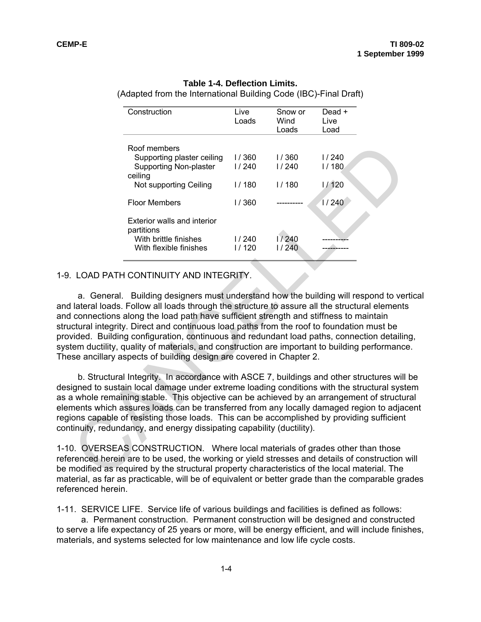| Construction                                                                                                                                                                                                                                                                                                                                                                                                                                                                                                                               | Live<br>Loads  | Snow or<br>Wind<br>Loads | Dead +<br>Live<br>Load |
|--------------------------------------------------------------------------------------------------------------------------------------------------------------------------------------------------------------------------------------------------------------------------------------------------------------------------------------------------------------------------------------------------------------------------------------------------------------------------------------------------------------------------------------------|----------------|--------------------------|------------------------|
| Roof members                                                                                                                                                                                                                                                                                                                                                                                                                                                                                                                               |                |                          |                        |
| Supporting plaster ceiling<br><b>Supporting Non-plaster</b>                                                                                                                                                                                                                                                                                                                                                                                                                                                                                | 1/360<br>1/240 | 1/360<br>1/240           | 1/240<br>1/180         |
| ceiling<br>Not supporting Ceiling                                                                                                                                                                                                                                                                                                                                                                                                                                                                                                          | 1/180          | 1/180                    | 1/120                  |
| <b>Floor Members</b>                                                                                                                                                                                                                                                                                                                                                                                                                                                                                                                       | 1/360          |                          | 1/240                  |
| Exterior walls and interior<br>partitions                                                                                                                                                                                                                                                                                                                                                                                                                                                                                                  |                |                          |                        |
| With brittle finishes<br>With flexible finishes                                                                                                                                                                                                                                                                                                                                                                                                                                                                                            | 1/240<br>1/120 | 1/240<br>1/240           |                        |
| lateral loads. Follow all loads through the structure to assure all the structural elements<br>connections along the load path have sufficient strength and stiffness to maintain<br>ctural integrity. Direct and continuous load paths from the roof to foundation must be<br>vided. Building configuration, continuous and redundant load paths, connection detailir<br>tem ductility, quality of materials, and construction are important to building performance<br>se ancillary aspects of building design are covered in Chapter 2. |                |                          |                        |
| b. Structural Integrity. In accordance with ASCE 7, buildings and other structures will                                                                                                                                                                                                                                                                                                                                                                                                                                                    |                |                          |                        |
| igned to sustain local damage under extreme loading conditions with the structural syst<br>a whole remaining stable. This objective can be achieved by an arrangement of structu<br>nents which assures loads can be transferred from any locally damaged region to adjad<br>ons capable of resisting those loads. This can be accomplished by providing sufficient<br>tinuity, redundancy, and energy dissipating capability (ductility).                                                                                                 |                |                          |                        |
| 0. OVERSEAS CONSTRUCTION. Where local materials of grades other than those<br>renced herein are to be used, the working or yield stresses and details of construction or<br>modified as required by the structural property characteristics of the local material. The<br>priot ao far ao praoticoble, will be ef ceu iudent er better suede than the comparable                                                                                                                                                                           |                |                          |                        |

#### **Table 1-4. Deflection Limits.**

(Adapted from the International Building Code (IBC)-Final Draft)

#### 1-9. LOAD PATH CONTINUITY AND INTEGRITY.

a. General. Building designers must understand how the building will respond to vertical and lateral loads. Follow all loads through the structure to assure all the structural elements and connections along the load path have sufficient strength and stiffness to maintain structural integrity. Direct and continuous load paths from the roof to foundation must be provided. Building configuration, continuous and redundant load paths, connection detailing, system ductility, quality of materials, and construction are important to building performance. These ancillary aspects of building design are covered in Chapter 2.

b. Structural Integrity. In accordance with ASCE 7, buildings and other structures will be designed to sustain local damage under extreme loading conditions with the structural system as a whole remaining stable. This objective can be achieved by an arrangement of structural elements which assures loads can be transferred from any locally damaged region to adjacent regions capable of resisting those loads. This can be accomplished by providing sufficient continuity, redundancy, and energy dissipating capability (ductility).

1-10. OVERSEAS CONSTRUCTION. Where local materials of grades other than those referenced herein are to be used, the working or yield stresses and details of construction will be modified as required by the structural property characteristics of the local material. The material, as far as practicable, will be of equivalent or better grade than the comparable grades referenced herein.

1-11. SERVICE LIFE. Service life of various buildings and facilities is defined as follows:

a. Permanent construction. Permanent construction will be designed and constructed to serve a life expectancy of 25 years or more, will be energy efficient, and will include finishes, materials, and systems selected for low maintenance and low life cycle costs.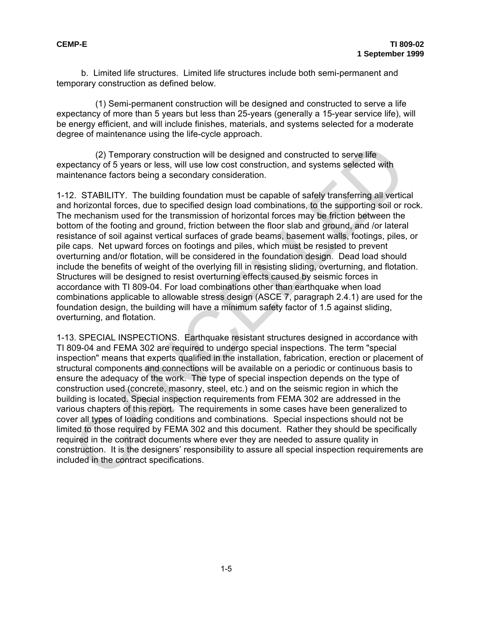b. Limited life structures. Limited life structures include both semi-permanent and temporary construction as defined below.

(1) Semi-permanent construction will be designed and constructed to serve a life expectancy of more than 5 years but less than 25-years (generally a 15-year service life), will be energy efficient, and will include finishes, materials, and systems selected for a moderate degree of maintenance using the life-cycle approach.

(2) Temporary construction will be designed and constructed to serve life expectancy of 5 years or less, will use low cost construction, and systems selected with maintenance factors being a secondary consideration.

1-12. STABILITY. The building foundation must be capable of safely transferring all vertical and horizontal forces, due to specified design load combinations, to the supporting soil or rock. The mechanism used for the transmission of horizontal forces may be friction between the bottom of the footing and ground, friction between the floor slab and ground, and /or lateral resistance of soil against vertical surfaces of grade beams, basement walls, footings, piles, or pile caps. Net upward forces on footings and piles, which must be resisted to prevent overturning and/or flotation, will be considered in the foundation design. Dead load should include the benefits of weight of the overlying fill in resisting sliding, overturning, and flotation. Structures will be designed to resist overturning effects caused by seismic forces in accordance with TI 809-04. For load combinations other than earthquake when load combinations applicable to allowable stress design (ASCE 7, paragraph 2.4.1) are used for the foundation design, the building will have a minimum safety factor of 1.5 against sliding, overturning, and flotation.

1-13. SPECIAL INSPECTIONS. Earthquake resistant structures designed in accordance with TI 809-04 and FEMA 302 are required to undergo special inspections. The term "special inspection" means that experts qualified in the installation, fabrication, erection or placement of structural components and connections will be available on a periodic or continuous basis to ensure the adequacy of the work. The type of special inspection depends on the type of construction used (concrete, masonry, steel, etc.) and on the seismic region in which the building is located. Special inspection requirements from FEMA 302 are addressed in the various chapters of this report. The requirements in some cases have been generalized to cover all types of loading conditions and combinations. Special inspections should not be limited to those required by FEMA 302 and this document. Rather they should be specifically required in the contract documents where ever they are needed to assure quality in construction. It is the designers' responsibility to assure all special inspection requirements are included in the contract specifications. (2) Temporary construction will be designed and constructed to serve life<br>etarncy of 5 years or less, will use low cost construction, and systems selected with<br>thenance factors being a secourody consticeration.<br>
2. STABILI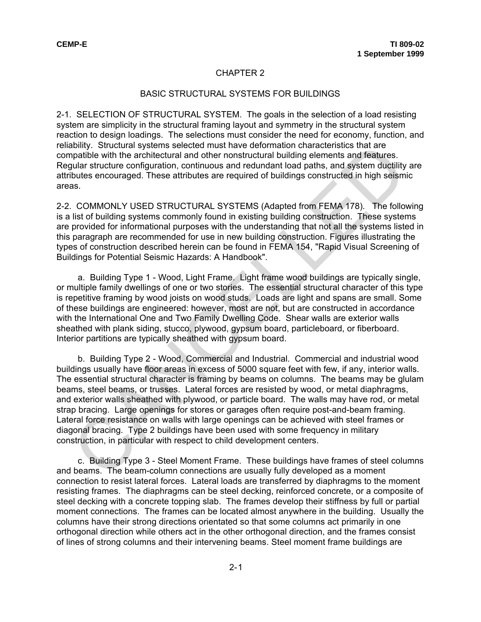#### CHAPTER 2

#### BASIC STRUCTURAL SYSTEMS FOR BUILDINGS

2-1. SELECTION OF STRUCTURAL SYSTEM. The goals in the selection of a load resisting system are simplicity in the structural framing layout and symmetry in the structural system reaction to design loadings. The selections must consider the need for economy, function, and reliability. Structural systems selected must have deformation characteristics that are compatible with the architectural and other nonstructural building elements and features. Regular structure configuration, continuous and redundant load paths, and system ductility are attributes encouraged. These attributes are required of buildings constructed in high seismic areas.

2-2. COMMONLY USED STRUCTURAL SYSTEMS (Adapted from FEMA 178). The following is a list of building systems commonly found in existing building construction. These systems are provided for informational purposes with the understanding that not all the systems listed in this paragraph are recommended for use in new building construction. Figures illustrating the types of construction described herein can be found in FEMA 154, "Rapid Visual Screening of Buildings for Potential Seismic Hazards: A Handbook".

a. Building Type 1 - Wood, Light Frame. Light frame wood buildings are typically single, or multiple family dwellings of one or two stories. The essential structural character of this type is repetitive framing by wood joists on wood studs. Loads are light and spans are small. Some of these buildings are engineered: however, most are not, but are constructed in accordance with the International One and Two Family Dwelling Code. Shear walls are exterior walls sheathed with plank siding, stucco, plywood, gypsum board, particleboard, or fiberboard. Interior partitions are typically sheathed with gypsum board.

b. Building Type 2 - Wood, Commercial and Industrial. Commercial and industrial wood buildings usually have floor areas in excess of 5000 square feet with few, if any, interior walls. The essential structural character is framing by beams on columns. The beams may be glulam beams, steel beams, or trusses. Lateral forces are resisted by wood, or metal diaphragms, and exterior walls sheathed with plywood, or particle board. The walls may have rod, or metal strap bracing. Large openings for stores or garages often require post-and-beam framing. Lateral force resistance on walls with large openings can be achieved with steel frames or diagonal bracing. Type 2 buildings have been used with some frequency in military construction, in particular with respect to child development centers. bility. Structural systems selected must have deformation characteristics that are<br>by patible with the anchitectural and other nonstructural building elements and features.<br>Jular structure configuration, continuous and red

c. Building Type 3 - Steel Moment Frame. These buildings have frames of steel columns and beams. The beam-column connections are usually fully developed as a moment connection to resist lateral forces. Lateral loads are transferred by diaphragms to the moment resisting frames. The diaphragms can be steel decking, reinforced concrete, or a composite of steel decking with a concrete topping slab. The frames develop their stiffness by full or partial moment connections. The frames can be located almost anywhere in the building. Usually the columns have their strong directions orientated so that some columns act primarily in one orthogonal direction while others act in the other orthogonal direction, and the frames consist of lines of strong columns and their intervening beams. Steel moment frame buildings are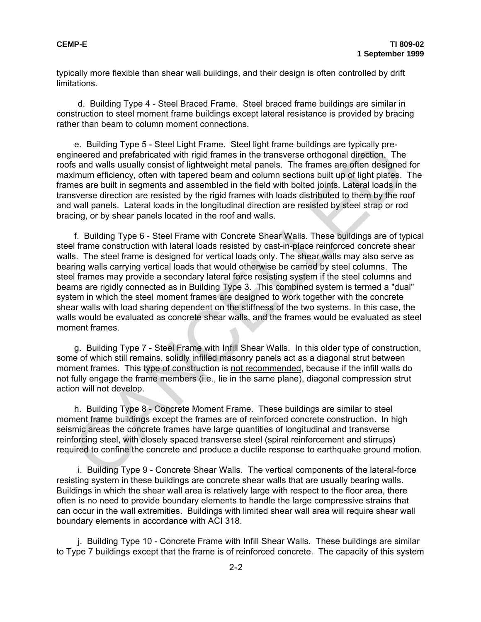typically more flexible than shear wall buildings, and their design is often controlled by drift limitations.

d. Building Type 4 - Steel Braced Frame. Steel braced frame buildings are similar in construction to steel moment frame buildings except lateral resistance is provided by bracing rather than beam to column moment connections.

e. Building Type 5 - Steel Light Frame. Steel light frame buildings are typically preengineered and prefabricated with rigid frames in the transverse orthogonal direction. The roofs and walls usually consist of lightweight metal panels. The frames are often designed for maximum efficiency, often with tapered beam and column sections built up of light plates. The frames are built in segments and assembled in the field with bolted joints. Lateral loads in the transverse direction are resisted by the rigid frames with loads distributed to them by the roof and wall panels. Lateral loads in the longitudinal direction are resisted by steel strap or rod bracing, or by shear panels located in the roof and walls.

f. Building Type 6 - Steel Frame with Concrete Shear Walls. These buildings are of typical steel frame construction with lateral loads resisted by cast-in-place reinforced concrete shear walls. The steel frame is designed for vertical loads only. The shear walls may also serve as bearing walls carrying vertical loads that would otherwise be carried by steel columns. The steel frames may provide a secondary lateral force resisting system if the steel columns and beams are rigidly connected as in Building Type 3. This combined system is termed a "dual" system in which the steel moment frames are designed to work together with the concrete shear walls with load sharing dependent on the stiffness of the two systems. In this case, the walls would be evaluated as concrete shear walls, and the frames would be evaluated as steel moment frames. e. Building type 5 - Steel Light Frame. Steel light frame bilidings are typically pre-<br>insered and prefabricated with rigid frames in the transverse orthogonal direction. The<br>insered and prefabricated with rigid frames in

g. Building Type 7 - Steel Frame with Infill Shear Walls. In this older type of construction, some of which still remains, solidly infilled masonry panels act as a diagonal strut between moment frames. This type of construction is not recommended, because if the infill walls do not fully engage the frame members (i.e., lie in the same plane), diagonal compression strut action will not develop.

h. Building Type 8 - Concrete Moment Frame. These buildings are similar to steel moment frame buildings except the frames are of reinforced concrete construction. In high seismic areas the concrete frames have large quantities of longitudinal and transverse reinforcing steel, with closely spaced transverse steel (spiral reinforcement and stirrups) required to confine the concrete and produce a ductile response to earthquake ground motion.

i. Building Type 9 - Concrete Shear Walls. The vertical components of the lateral-force resisting system in these buildings are concrete shear walls that are usually bearing walls. Buildings in which the shear wall area is relatively large with respect to the floor area, there often is no need to provide boundary elements to handle the large compressive strains that can occur in the wall extremities. Buildings with limited shear wall area will require shear wall boundary elements in accordance with ACI 318.

j. Building Type 10 - Concrete Frame with Infill Shear Walls. These buildings are similar to Type 7 buildings except that the frame is of reinforced concrete. The capacity of this system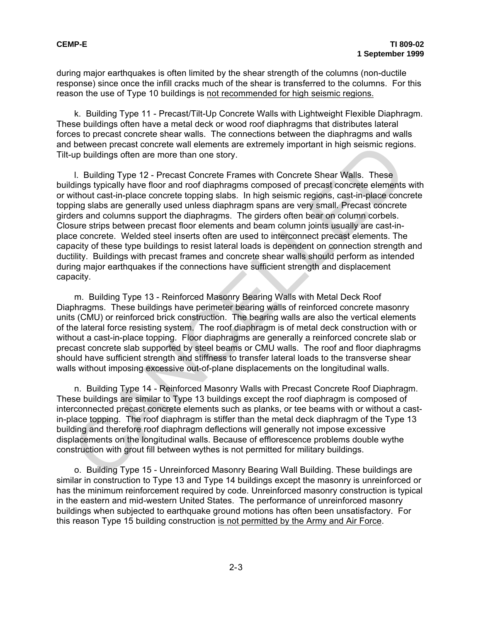during major earthquakes is often limited by the shear strength of the columns (non-ductile response) since once the infill cracks much of the shear is transferred to the columns. For this reason the use of Type 10 buildings is not recommended for high seismic regions.

k. Building Type 11 - Precast/Tilt-Up Concrete Walls with Lightweight Flexible Diaphragm. These buildings often have a metal deck or wood roof diaphragms that distributes lateral forces to precast concrete shear walls. The connections between the diaphragms and walls and between precast concrete wall elements are extremely important in high seismic regions. Tilt-up buildings often are more than one story.

l. Building Type 12 - Precast Concrete Frames with Concrete Shear Walls. These buildings typically have floor and roof diaphragms composed of precast concrete elements with or without cast-in-place concrete topping slabs. In high seismic regions, cast-in-place concrete topping slabs are generally used unless diaphragm spans are very small. Precast concrete girders and columns support the diaphragms. The girders often bear on column corbels. Closure strips between precast floor elements and beam column joints usually are cast-inplace concrete. Welded steel inserts often are used to interconnect precast elements. The capacity of these type buildings to resist lateral loads is dependent on connection strength and ductility. Buildings with precast frames and concrete shear walls should perform as intended during major earthquakes if the connections have sufficient strength and displacement capacity. between precast concrete wall elements are extremely important in high seismic region<br>up buildings often are more than one story.<br>
1. Building Type 12 - Precast Concrete Frames with Concrete Shear Walls. These<br>
dings typic

m. Building Type 13 - Reinforced Masonry Bearing Walls with Metal Deck Roof Diaphragms. These buildings have perimeter bearing walls of reinforced concrete masonry units (CMU) or reinforced brick construction. The bearing walls are also the vertical elements of the lateral force resisting system. The roof diaphragm is of metal deck construction with or without a cast-in-place topping. Floor diaphragms are generally a reinforced concrete slab or precast concrete slab supported by steel beams or CMU walls. The roof and floor diaphragms should have sufficient strength and stiffness to transfer lateral loads to the transverse shear walls without imposing excessive out-of-plane displacements on the longitudinal walls.

n. Building Type 14 - Reinforced Masonry Walls with Precast Concrete Roof Diaphragm. These buildings are similar to Type 13 buildings except the roof diaphragm is composed of interconnected precast concrete elements such as planks, or tee beams with or without a castin-place topping. The roof diaphragm is stiffer than the metal deck diaphragm of the Type 13 building and therefore roof diaphragm deflections will generally not impose excessive displacements on the longitudinal walls. Because of efflorescence problems double wythe construction with grout fill between wythes is not permitted for military buildings.

o. Building Type 15 - Unreinforced Masonry Bearing Wall Building. These buildings are similar in construction to Type 13 and Type 14 buildings except the masonry is unreinforced or has the minimum reinforcement required by code. Unreinforced masonry construction is typical in the eastern and mid-western United States. The performance of unreinforced masonry buildings when subjected to earthquake ground motions has often been unsatisfactory. For this reason Type 15 building construction is not permitted by the Army and Air Force.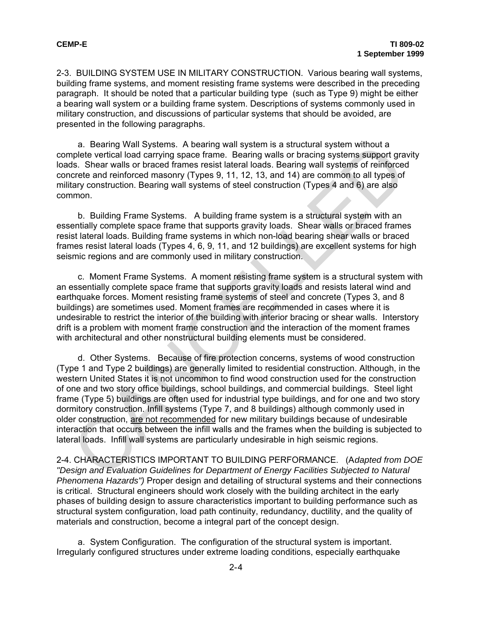2-3. BUILDING SYSTEM USE IN MILITARY CONSTRUCTION. Various bearing wall systems, building frame systems, and moment resisting frame systems were described in the preceding paragraph. It should be noted that a particular building type (such as Type 9) might be either a bearing wall system or a building frame system. Descriptions of systems commonly used in military construction, and discussions of particular systems that should be avoided, are presented in the following paragraphs.

a. Bearing Wall Systems. A bearing wall system is a structural system without a complete vertical load carrying space frame. Bearing walls or bracing systems support gravity loads. Shear walls or braced frames resist lateral loads. Bearing wall systems of reinforced concrete and reinforced masonry (Types 9, 11, 12, 13, and 14) are common to all types of military construction. Bearing wall systems of steel construction (Types 4 and 6) are also common.

b. Building Frame Systems. A building frame system is a structural system with an essentially complete space frame that supports gravity loads. Shear walls or braced frames resist lateral loads. Building frame systems in which non-load bearing shear walls or braced frames resist lateral loads (Types 4, 6, 9, 11, and 12 buildings) are excellent systems for high seismic regions and are commonly used in military construction.

c. Moment Frame Systems. A moment resisting frame system is a structural system with an essentially complete space frame that supports gravity loads and resists lateral wind and earthquake forces. Moment resisting frame systems of steel and concrete (Types 3, and 8 buildings) are sometimes used. Moment frames are recommended in cases where it is undesirable to restrict the interior of the building with interior bracing or shear walls. Interstory drift is a problem with moment frame construction and the interaction of the moment frames with architectural and other nonstructural building elements must be considered.

d. Other Systems. Because of fire protection concerns, systems of wood construction (Type 1 and Type 2 buildings) are generally limited to residential construction. Although, in the western United States it is not uncommon to find wood construction used for the construction of one and two story office buildings, school buildings, and commercial buildings. Steel light frame (Type 5) buildings are often used for industrial type buildings, and for one and two story dormitory construction. Infill systems (Type 7, and 8 buildings) although commonly used in older construction, are not recommended for new military buildings because of undesirable interaction that occurs between the infill walls and the frames when the building is subjected to lateral loads. Infill wall systems are particularly undesirable in high seismic regions. a. Beanning Wall Systems. A beanning wall system is a structural system way the sterict and crarying space frame. Bearing walls or bracing systems support grandle vertical land crarying space frame. Bearing walls or bracin

2-4. CHARACTERISTICS IMPORTANT TO BUILDING PERFORMANCE. (A*dapted from DOE "Design and Evaluation Guidelines for Department of Energy Facilities Subjected to Natural Phenomena Hazards")* Proper design and detailing of structural systems and their connections is critical. Structural engineers should work closely with the building architect in the early phases of building design to assure characteristics important to building performance such as structural system configuration, load path continuity, redundancy, ductility, and the quality of materials and construction, become a integral part of the concept design.

a. System Configuration. The configuration of the structural system is important. Irregularly configured structures under extreme loading conditions, especially earthquake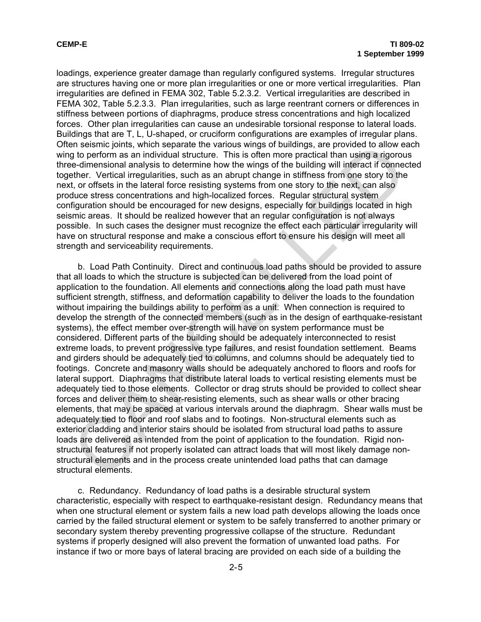loadings, experience greater damage than regularly configured systems. Irregular structures are structures having one or more plan irregularities or one or more vertical irregularities. Plan irregularities are defined in FEMA 302, Table 5.2.3.2. Vertical irregularities are described in FEMA 302, Table 5.2.3.3. Plan irregularities, such as large reentrant corners or differences in stiffness between portions of diaphragms, produce stress concentrations and high localized forces. Other plan irregularities can cause an undesirable torsional response to lateral loads. Buildings that are T, L, U-shaped, or cruciform configurations are examples of irregular plans. Often seismic joints, which separate the various wings of buildings, are provided to allow each wing to perform as an individual structure. This is often more practical than using a rigorous three-dimensional analysis to determine how the wings of the building will interact if connected together. Vertical irregularities, such as an abrupt change in stiffness from one story to the next, or offsets in the lateral force resisting systems from one story to the next, can also produce stress concentrations and high-localized forces. Regular structural system configuration should be encouraged for new designs, especially for buildings located in high seismic areas. It should be realized however that an regular configuration is not always possible. In such cases the designer must recognize the effect each particular irregularity will have on structural response and make a conscious effort to ensure his design will meet all strength and serviceability requirements.

b. Load Path Continuity. Direct and continuous load paths should be provided to assure that all loads to which the structure is subjected can be delivered from the load point of application to the foundation. All elements and connections along the load path must have sufficient strength, stiffness, and deformation capability to deliver the loads to the foundation without impairing the buildings ability to perform as a unit. When connection is required to develop the strength of the connected members (such as in the design of earthquake-resistant systems), the effect member over-strength will have on system performance must be considered. Different parts of the building should be adequately interconnected to resist extreme loads, to prevent progressive type failures, and resist foundation settlement. Beams and girders should be adequately tied to columns, and columns should be adequately tied to footings. Concrete and masonry walls should be adequately anchored to floors and roofs for lateral support. Diaphragms that distribute lateral loads to vertical resisting elements must be adequately tied to those elements. Collector or drag struts should be provided to collect shear forces and deliver them to shear-resisting elements, such as shear walls or other bracing elements, that may be spaced at various intervals around the diaphragm. Shear walls must be adequately tied to floor and roof slabs and to footings. Non-structural elements such as exterior cladding and interior stairs should be isolated from structural load paths to assure loads are delivered as intended from the point of application to the foundation. Rigid nonstructural features if not properly isolated can attract loads that will most likely damage nonstructural elements and in the process create unintended load paths that can damage structural elements. in seismic joints, which separate the vanous wings of buildings, are provided to allow e-<br>e-dimensional analysis to determine how the wings of the building will interact<br>effect. Vertical irregularities, such as an abrupt c

c. Redundancy. Redundancy of load paths is a desirable structural system characteristic, especially with respect to earthquake-resistant design. Redundancy means that when one structural element or system fails a new load path develops allowing the loads once carried by the failed structural element or system to be safely transferred to another primary or secondary system thereby preventing progressive collapse of the structure. Redundant systems if properly designed will also prevent the formation of unwanted load paths. For instance if two or more bays of lateral bracing are provided on each side of a building the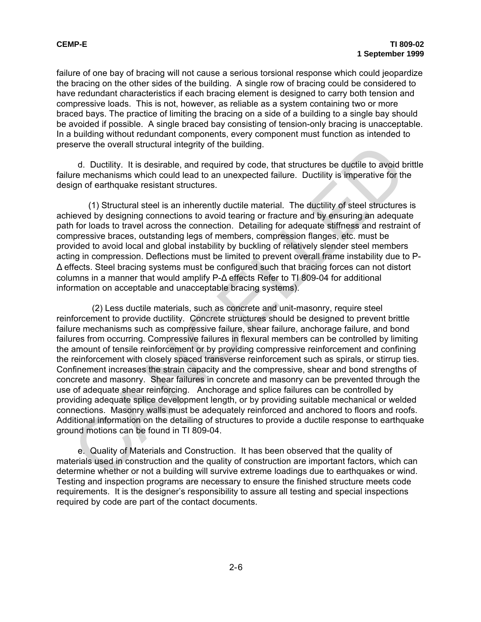failure of one bay of bracing will not cause a serious torsional response which could jeopardize the bracing on the other sides of the building. A single row of bracing could be considered to have redundant characteristics if each bracing element is designed to carry both tension and compressive loads. This is not, however, as reliable as a system containing two or more braced bays. The practice of limiting the bracing on a side of a building to a single bay should be avoided if possible. A single braced bay consisting of tension-only bracing is unacceptable. In a building without redundant components, every component must function as intended to preserve the overall structural integrity of the building.

d. Ductility. It is desirable, and required by code, that structures be ductile to avoid brittle failure mechanisms which could lead to an unexpected failure. Ductility is imperative for the design of earthquake resistant structures.

(1) Structural steel is an inherently ductile material. The ductility of steel structures is achieved by designing connections to avoid tearing or fracture and by ensuring an adequate path for loads to travel across the connection. Detailing for adequate stiffness and restraint of compressive braces, outstanding legs of members, compression flanges, etc. must be provided to avoid local and global instability by buckling of relatively slender steel members acting in compression. Deflections must be limited to prevent overall frame instability due to P-Δ effects. Steel bracing systems must be configured such that bracing forces can not distort columns in a manner that would amplify P-Δ effects Refer to TI 809-04 for additional information on acceptable and unacceptable bracing systems).

 (2) Less ductile materials, such as concrete and unit-masonry, require steel reinforcement to provide ductility. Concrete structures should be designed to prevent brittle failure mechanisms such as compressive failure, shear failure, anchorage failure, and bond failures from occurring. Compressive failures in flexural members can be controlled by limiting the amount of tensile reinforcement or by providing compressive reinforcement and confining the reinforcement with closely spaced transverse reinforcement such as spirals, or stirrup ties. Confinement increases the strain capacity and the compressive, shear and bond strengths of concrete and masonry. Shear failures in concrete and masonry can be prevented through the use of adequate shear reinforcing. Anchorage and splice failures can be controlled by providing adequate splice development length, or by providing suitable mechanical or welded connections. Masonry walls must be adequately reinforced and anchored to floors and roofs. Additional information on the detailing of structures to provide a ductile response to earthquake ground motions can be found in TI 809-04. d. Ductility, It is desirable, and required integrity of the building.<br>
d. Ductility, It is desirable, and required by code, that structures be ductile to avoid b<br>
are mechanisms which could lead to an unexpected failure.

e. Quality of Materials and Construction. It has been observed that the quality of materials used in construction and the quality of construction are important factors, which can determine whether or not a building will survive extreme loadings due to earthquakes or wind. Testing and inspection programs are necessary to ensure the finished structure meets code requirements. It is the designer's responsibility to assure all testing and special inspections required by code are part of the contact documents.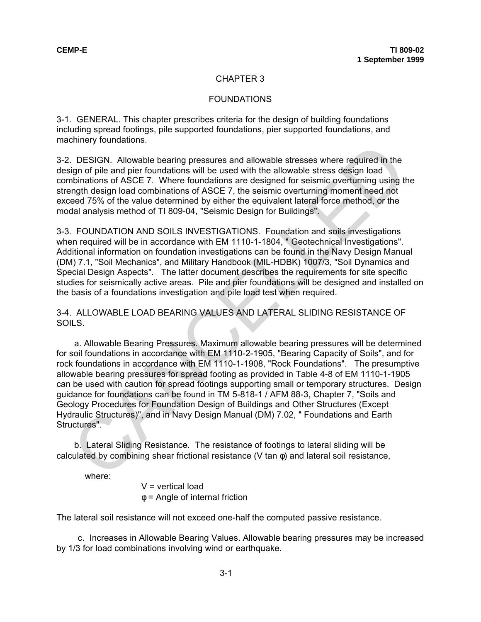#### CHAPTER 3

#### **FOUNDATIONS**

3-1. GENERAL. This chapter prescribes criteria for the design of building foundations including spread footings, pile supported foundations, pier supported foundations, and machinery foundations.

3-2. DESIGN. Allowable bearing pressures and allowable stresses where required in the design of pile and pier foundations will be used with the allowable stress design load combinations of ASCE 7. Where foundations are designed for seismic overturning using the strength design load combinations of ASCE 7, the seismic overturning moment need not exceed 75% of the value determined by either the equivalent lateral force method, or the modal analysis method of TI 809-04, "Seismic Design for Buildings".

3-3. FOUNDATION AND SOILS INVESTIGATIONS. Foundation and soils investigations when required will be in accordance with EM 1110-1-1804, " Geotechnical Investigations". Additional information on foundation investigations can be found in the Navy Design Manual (DM) 7.1, "Soil Mechanics", and Military Handbook (MIL-HDBK) 1007/3, "Soil Dynamics and Special Design Aspects". The latter document describes the requirements for site specific studies for seismically active areas. Pile and pier foundations will be designed and installed on the basis of a foundations investigation and pile load test when required.

3-4. ALLOWABLE LOAD BEARING VALUES AND LATERAL SLIDING RESISTANCE OF SOILS.

a. Allowable Bearing Pressures. Maximum allowable bearing pressures will be determined for soil foundations in accordance with EM 1110-2-1905, "Bearing Capacity of Soils", and for rock foundations in accordance with EM 1110-1-1908, "Rock Foundations". The presumptive allowable bearing pressures for spread footing as provided in Table 4-8 of EM 1110-1-1905 can be used with caution for spread footings supporting small or temporary structures. Design guidance for foundations can be found in TM 5-818-1 / AFM 88-3, Chapter 7, "Soils and Geology Procedures for Foundation Design of Buildings and Other Structures (Except Hydraulic Structures)", and in Navy Design Manual (DM) 7.02, " Foundations and Earth Structures". binalidations of ASCE 7. Where foundations will be used with the allowable stresses where required in the gign of pile and pier foundations will be used with the allowable stress design load<br>this halons of ASCE 7. Where fo

b. Lateral Sliding Resistance. The resistance of footings to lateral sliding will be calculated by combining shear frictional resistance (V tan  $\phi$ ) and lateral soil resistance,

where:

 $V =$  vertical load φ = Angle of internal friction

The lateral soil resistance will not exceed one-half the computed passive resistance.

c. Increases in Allowable Bearing Values. Allowable bearing pressures may be increased by 1/3 for load combinations involving wind or earthquake.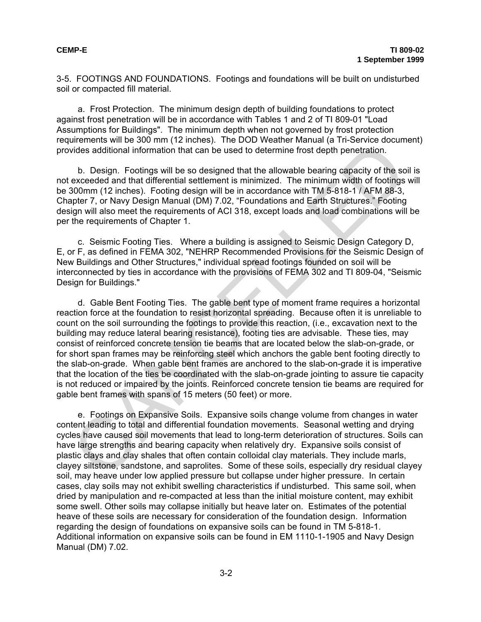3-5. FOOTINGS AND FOUNDATIONS. Footings and foundations will be built on undisturbed soil or compacted fill material.

a. Frost Protection. The minimum design depth of building foundations to protect against frost penetration will be in accordance with Tables 1 and 2 of TI 809-01 "Load Assumptions for Buildings". The minimum depth when not governed by frost protection requirements will be 300 mm (12 inches). The DOD Weather Manual (a Tri-Service document) provides additional information that can be used to determine frost depth penetration.

b. Design. Footings will be so designed that the allowable bearing capacity of the soil is not exceeded and that differential settlement is minimized. The minimum width of footings will be 300mm (12 inches). Footing design will be in accordance with TM 5-818-1 / AFM 88-3, Chapter 7, or Navy Design Manual (DM) 7.02, "Foundations and Earth Structures." Footing design will also meet the requirements of ACI 318, except loads and load combinations will be per the requirements of Chapter 1.

c. Seismic Footing Ties. Where a building is assigned to Seismic Design Category D, E, or F, as defined in FEMA 302, "NEHRP Recommended Provisions for the Seismic Design of New Buildings and Other Structures," individual spread footings founded on soil will be interconnected by ties in accordance with the provisions of FEMA 302 and TI 809-04, "Seismic Design for Buildings."

d. Gable Bent Footing Ties. The gable bent type of moment frame requires a horizontal reaction force at the foundation to resist horizontal spreading. Because often it is unreliable to count on the soil surrounding the footings to provide this reaction, (i.e., excavation next to the building may reduce lateral bearing resistance), footing ties are advisable. These ties, may consist of reinforced concrete tension tie beams that are located below the slab-on-grade, or for short span frames may be reinforcing steel which anchors the gable bent footing directly to the slab-on-grade. When gable bent frames are anchored to the slab-on-grade it is imperative that the location of the ties be coordinated with the slab-on-grade jointing to assure tie capacity is not reduced or impaired by the joints. Reinforced concrete tension tie beams are required for gable bent frames with spans of 15 meters (50 feet) or more. times and that differential settlement is minimal to the stational information that can be used to determine frost depth penetration.<br>
b. Design. Footings will be so designed that the allowable bearing capacity of the socc

e. Footings on Expansive Soils. Expansive soils change volume from changes in water content leading to total and differential foundation movements. Seasonal wetting and drying cycles have caused soil movements that lead to long-term deterioration of structures. Soils can have large strengths and bearing capacity when relatively dry. Expansive soils consist of plastic clays and clay shales that often contain colloidal clay materials. They include marls, clayey siltstone, sandstone, and saprolites. Some of these soils, especially dry residual clayey soil, may heave under low applied pressure but collapse under higher pressure. In certain cases, clay soils may not exhibit swelling characteristics if undisturbed. This same soil, when dried by manipulation and re-compacted at less than the initial moisture content, may exhibit some swell. Other soils may collapse initially but heave later on. Estimates of the potential heave of these soils are necessary for consideration of the foundation design. Information regarding the design of foundations on expansive soils can be found in TM 5-818-1. Additional information on expansive soils can be found in EM 1110-1-1905 and Navy Design Manual (DM) 7.02.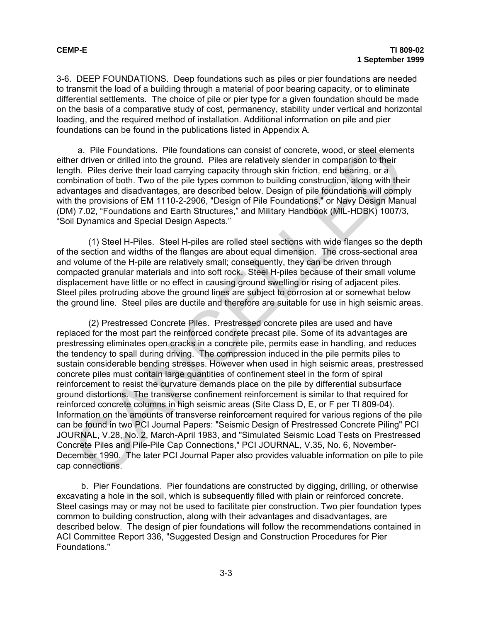3-6. DEEP FOUNDATIONS. Deep foundations such as piles or pier foundations are needed to transmit the load of a building through a material of poor bearing capacity, or to eliminate differential settlements. The choice of pile or pier type for a given foundation should be made on the basis of a comparative study of cost, permanency, stability under vertical and horizontal loading, and the required method of installation. Additional information on pile and pier foundations can be found in the publications listed in Appendix A.

a. Pile Foundations. Pile foundations can consist of concrete, wood, or steel elements either driven or drilled into the ground. Piles are relatively slender in comparison to their length. Piles derive their load carrying capacity through skin friction, end bearing, or a combination of both. Two of the pile types common to building construction, along with their advantages and disadvantages, are described below. Design of pile foundations will comply with the provisions of EM 1110-2-2906, "Design of Pile Foundations," or Navy Design Manual (DM) 7.02, "Foundations and Earth Structures," and Military Handbook (MIL-HDBK) 1007/3, "Soil Dynamics and Special Design Aspects."

(1) Steel H-Piles. Steel H-piles are rolled steel sections with wide flanges so the depth of the section and widths of the flanges are about equal dimension. The cross-sectional area and volume of the H-pile are relatively small; consequently, they can be driven through compacted granular materials and into soft rock. Steel H-piles because of their small volume displacement have little or no effect in causing ground swelling or rising of adjacent piles. Steel piles protruding above the ground lines are subject to corrosion at or somewhat below the ground line. Steel piles are ductile and therefore are suitable for use in high seismic areas.

(2) Prestressed Concrete Piles. Prestressed concrete piles are used and have replaced for the most part the reinforced concrete precast pile. Some of its advantages are prestressing eliminates open cracks in a concrete pile, permits ease in handling, and reduces the tendency to spall during driving. The compression induced in the pile permits piles to sustain considerable bending stresses. However when used in high seismic areas, prestressed concrete piles must contain large quantities of confinement steel in the form of spiral reinforcement to resist the curvature demands place on the pile by differential subsurface ground distortions. The transverse confinement reinforcement is similar to that required for reinforced concrete columns in high seismic areas (Site Class D, E, or F per TI 809-04). Information on the amounts of transverse reinforcement required for various regions of the pile can be found in two PCI Journal Papers: "Seismic Design of Prestressed Concrete Piling" PCI JOURNAL, V.28, No. 2, March-April 1983, and "Simulated Seismic Load Tests on Prestressed Concrete Piles and Pile-Pile Cap Connections," PCI JOURNAL, V.35, No. 6, November-December 1990. The later PCI Journal Paper also provides valuable information on pile to pile cap connections. a. Pile Foundations. Pile foundations can consist of concrete, wood, or steel element af when or drilled into the ground. Piles are relatively slender in comparison to their three are fortwards in the ground. Piles the pro

b. Pier Foundations. Pier foundations are constructed by digging, drilling, or otherwise excavating a hole in the soil, which is subsequently filled with plain or reinforced concrete. Steel casings may or may not be used to facilitate pier construction. Two pier foundation types common to building construction, along with their advantages and disadvantages, are described below. The design of pier foundations will follow the recommendations contained in ACI Committee Report 336, "Suggested Design and Construction Procedures for Pier Foundations."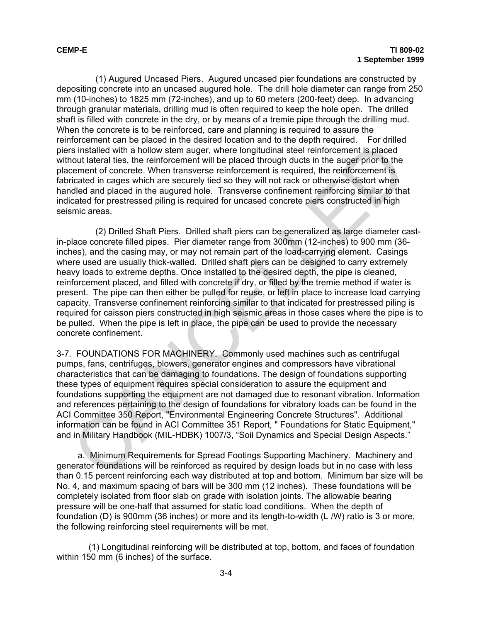(1) Augured Uncased Piers. Augured uncased pier foundations are constructed by depositing concrete into an uncased augured hole. The drill hole diameter can range from 250 mm (10-inches) to 1825 mm (72-inches), and up to 60 meters (200-feet) deep. In advancing through granular materials, drilling mud is often required to keep the hole open. The drilled shaft is filled with concrete in the dry, or by means of a tremie pipe through the drilling mud. When the concrete is to be reinforced, care and planning is required to assure the reinforcement can be placed in the desired location and to the depth required. For drilled piers installed with a hollow stem auger, where longitudinal steel reinforcement is placed without lateral ties, the reinforcement will be placed through ducts in the auger prior to the placement of concrete. When transverse reinforcement is required, the reinforcement is fabricated in cages which are securely tied so they will not rack or otherwise distort when handled and placed in the augured hole. Transverse confinement reinforcing similar to that indicated for prestressed piling is required for uncased concrete piers constructed in high seismic areas.

(2) Drilled Shaft Piers. Drilled shaft piers can be generalized as large diameter castin-place concrete filled pipes. Pier diameter range from 300mm (12-inches) to 900 mm (36 inches), and the casing may, or may not remain part of the load-carrying element. Casings where used are usually thick-walled. Drilled shaft piers can be designed to carry extremely heavy loads to extreme depths. Once installed to the desired depth, the pipe is cleaned, reinforcement placed, and filled with concrete if dry, or filled by the tremie method if water is present. The pipe can then either be pulled for reuse, or left in place to increase load carrying capacity. Transverse confinement reinforcing similar to that indicated for prestressed piling is required for caisson piers constructed in high seismic areas in those cases where the pipe is to be pulled. When the pipe is left in place, the pipe can be used to provide the necessary concrete confinement. is installed with a broke with endeath of the place of the place in the place is singulated with a broke with a broke magger, where longitudinal steel reinforcement is placed<br>contracted in cages which remember will be plac

3-7. FOUNDATIONS FOR MACHINERY. Commonly used machines such as centrifugal pumps, fans, centrifuges, blowers, generator engines and compressors have vibrational characteristics that can be damaging to foundations. The design of foundations supporting these types of equipment requires special consideration to assure the equipment and foundations supporting the equipment are not damaged due to resonant vibration. Information and references pertaining to the design of foundations for vibratory loads can be found in the ACI Committee 350 Report, "Environmental Engineering Concrete Structures". Additional information can be found in ACI Committee 351 Report, " Foundations for Static Equipment," and in Military Handbook (MIL-HDBK) 1007/3, "Soil Dynamics and Special Design Aspects."

a. Minimum Requirements for Spread Footings Supporting Machinery. Machinery and generator foundations will be reinforced as required by design loads but in no case with less than 0.15 percent reinforcing each way distributed at top and bottom. Minimum bar size will be No. 4, and maximum spacing of bars will be 300 mm (12 inches). These foundations will be completely isolated from floor slab on grade with isolation joints. The allowable bearing pressure will be one-half that assumed for static load conditions. When the depth of foundation (D) is 900mm (36 inches) or more and its length-to-width (L /W) ratio is 3 or more, the following reinforcing steel requirements will be met.

 (1) Longitudinal reinforcing will be distributed at top, bottom, and faces of foundation within 150 mm (6 inches) of the surface.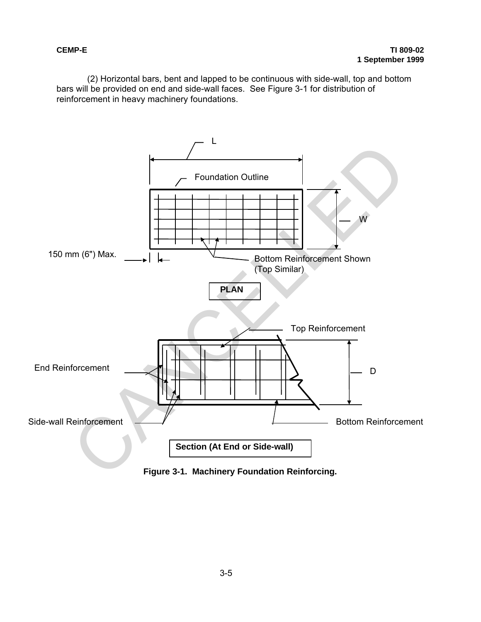(2) Horizontal bars, bent and lapped to be continuous with side-wall, top and bottom bars will be provided on end and side-wall faces. See Figure 3-1 for distribution of reinforcement in heavy machinery foundations.



**Figure 3-1. Machinery Foundation Reinforcing.**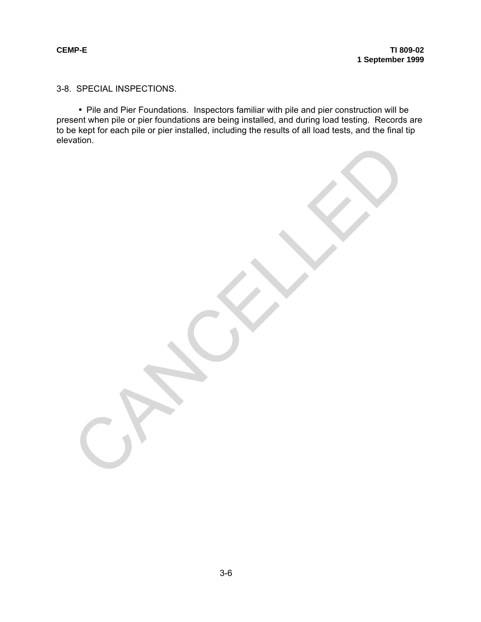3-8. SPECIAL INSPECTIONS.

• Pile and Pier Foundations. Inspectors familiar with pile and pier construction will be present when pile or pier foundations are being installed, and during load testing. Records are to be kept for each pile or pier installed, including the results of all load tests, and the final tip elevation. CANCALLED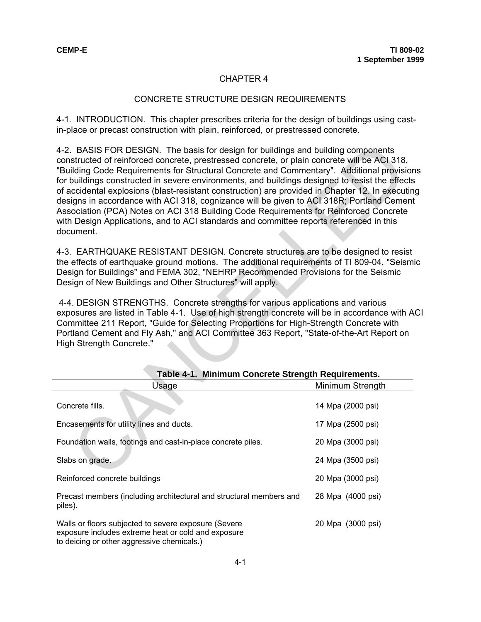#### CHAPTER 4

#### CONCRETE STRUCTURE DESIGN REQUIREMENTS

4-1. INTRODUCTION. This chapter prescribes criteria for the design of buildings using castin-place or precast construction with plain, reinforced, or prestressed concrete.

| 4-2. BASIS FOR DESIGN. The basis for design for buildings and building components<br>constructed of reinforced concrete, prestressed concrete, or plain concrete will be ACI 318,<br>"Building Code Requirements for Structural Concrete and Commentary". Additional provisior<br>for buildings constructed in severe environments, and buildings designed to resist the effects<br>of accidental explosions (blast-resistant construction) are provided in Chapter 12. In executin<br>designs in accordance with ACI 318, cognizance will be given to ACI 318R; Portland Cement<br>Association (PCA) Notes on ACI 318 Building Code Requirements for Reinforced Concrete<br>with Design Applications, and to ACI standards and committee reports referenced in this<br>document. |                   |
|-----------------------------------------------------------------------------------------------------------------------------------------------------------------------------------------------------------------------------------------------------------------------------------------------------------------------------------------------------------------------------------------------------------------------------------------------------------------------------------------------------------------------------------------------------------------------------------------------------------------------------------------------------------------------------------------------------------------------------------------------------------------------------------|-------------------|
| 4-3. EARTHQUAKE RESISTANT DESIGN. Concrete structures are to be designed to resist<br>the effects of earthquake ground motions. The additional requirements of TI 809-04, "Seism<br>Design for Buildings" and FEMA 302, "NEHRP Recommended Provisions for the Seismic<br>Design of New Buildings and Other Structures" will apply.                                                                                                                                                                                                                                                                                                                                                                                                                                                |                   |
| 4-4. DESIGN STRENGTHS. Concrete strengths for various applications and various<br>exposures are listed in Table 4-1. Use of high strength concrete will be in accordance with A<br>Committee 211 Report, "Guide for Selecting Proportions for High-Strength Concrete with<br>Portland Cement and Fly Ash," and ACI Committee 363 Report, "State-of-the-Art Report on<br>High Strength Concrete."                                                                                                                                                                                                                                                                                                                                                                                  |                   |
| Table 4-1. Minimum Concrete Strength Requirements.                                                                                                                                                                                                                                                                                                                                                                                                                                                                                                                                                                                                                                                                                                                                |                   |
| Usage                                                                                                                                                                                                                                                                                                                                                                                                                                                                                                                                                                                                                                                                                                                                                                             | Minimum Strength  |
| Concrete fills.                                                                                                                                                                                                                                                                                                                                                                                                                                                                                                                                                                                                                                                                                                                                                                   | 14 Mpa (2000 psi) |
| Encasements for utility lines and ducts.                                                                                                                                                                                                                                                                                                                                                                                                                                                                                                                                                                                                                                                                                                                                          | 17 Mpa (2500 psi) |
| Foundation walls, footings and cast-in-place concrete piles.                                                                                                                                                                                                                                                                                                                                                                                                                                                                                                                                                                                                                                                                                                                      | 20 Mpa (3000 psi) |
| Slabs on grade.                                                                                                                                                                                                                                                                                                                                                                                                                                                                                                                                                                                                                                                                                                                                                                   | 24 Mpa (3500 psi) |
| Reinforced concrete buildings                                                                                                                                                                                                                                                                                                                                                                                                                                                                                                                                                                                                                                                                                                                                                     | 20 Mpa (3000 psi) |
| Precast members (including architectural and structural members and<br>piles).                                                                                                                                                                                                                                                                                                                                                                                                                                                                                                                                                                                                                                                                                                    | 28 Mpa (4000 psi) |
| Walls or floors subjected to severe exposure (Severe<br>exposure includes extreme heat or cold and exposure<br>to deicing or other aggressive chemicals.)                                                                                                                                                                                                                                                                                                                                                                                                                                                                                                                                                                                                                         | 20 Mpa (3000 psi) |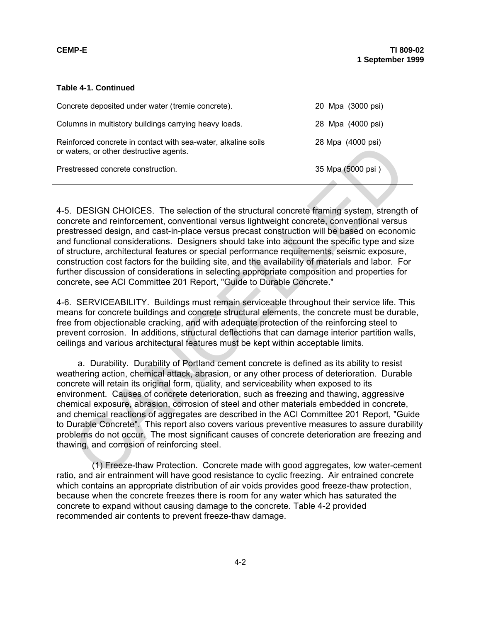#### **Table 4-1. Continued**

| Concrete deposited under water (tremie concrete).                                                        | 20 Mpa (3000 psi) |
|----------------------------------------------------------------------------------------------------------|-------------------|
| Columns in multistory buildings carrying heavy loads.                                                    | 28 Mpa (4000 psi) |
| Reinforced concrete in contact with sea-water, alkaline soils<br>or waters, or other destructive agents. | 28 Mpa (4000 psi) |
| Prestressed concrete construction.                                                                       | 35 Mpa (5000 psi) |

4-5. DESIGN CHOICES. The selection of the structural concrete framing system, strength of concrete and reinforcement, conventional versus lightweight concrete, conventional versus prestressed design, and cast-in-place versus precast construction will be based on economic and functional considerations. Designers should take into account the specific type and size of structure, architectural features or special performance requirements, seismic exposure, construction cost factors for the building site, and the availability of materials and labor. For further discussion of considerations in selecting appropriate composition and properties for concrete, see ACI Committee 201 Report, "Guide to Durable Concrete."

4-6. SERVICEABILITY. Buildings must remain serviceable throughout their service life. This means for concrete buildings and concrete structural elements, the concrete must be durable, free from objectionable cracking, and with adequate protection of the reinforcing steel to prevent corrosion. In additions, structural deflections that can damage interior partition walls, ceilings and various architectural features must be kept within acceptable limits.

a. Durability. Durability of Portland cement concrete is defined as its ability to resist weathering action, chemical attack, abrasion, or any other process of deterioration. Durable concrete will retain its original form, quality, and serviceability when exposed to its environment. Causes of concrete deterioration, such as freezing and thawing, aggressive chemical exposure, abrasion, corrosion of steel and other materials embedded in concrete, and chemical reactions of aggregates are described in the ACI Committee 201 Report, "Guide to Durable Concrete". This report also covers various preventive measures to assure durability problems do not occur. The most significant causes of concrete deterioration are freezing and thawing, and corrosion of reinforcing steel. Induction and the direct with search and the method of the ACI Committee and the method of the entire and carrier and reinforcement, conventional versus lightweight concete, conventional versus<br>tiressed concrete and reinfo

(1) Freeze-thaw Protection. Concrete made with good aggregates, low water-cement ratio, and air entrainment will have good resistance to cyclic freezing. Air entrained concrete which contains an appropriate distribution of air voids provides good freeze-thaw protection, because when the concrete freezes there is room for any water which has saturated the concrete to expand without causing damage to the concrete. Table 4-2 provided recommended air contents to prevent freeze-thaw damage.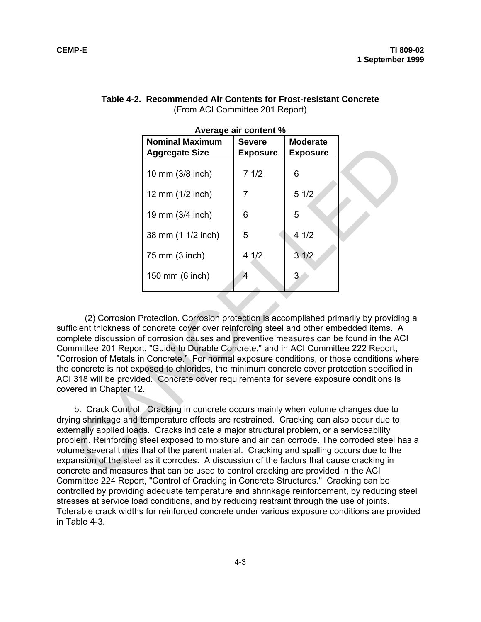|                     |                                                                                                                                                                                                                                                                                                                                                                                                                                                                                                                                                                                                                                      | Average air content % |                 |  |
|---------------------|--------------------------------------------------------------------------------------------------------------------------------------------------------------------------------------------------------------------------------------------------------------------------------------------------------------------------------------------------------------------------------------------------------------------------------------------------------------------------------------------------------------------------------------------------------------------------------------------------------------------------------------|-----------------------|-----------------|--|
|                     | <b>Nominal Maximum</b>                                                                                                                                                                                                                                                                                                                                                                                                                                                                                                                                                                                                               | <b>Severe</b>         | <b>Moderate</b> |  |
|                     | <b>Aggregate Size</b>                                                                                                                                                                                                                                                                                                                                                                                                                                                                                                                                                                                                                | <b>Exposure</b>       | <b>Exposure</b> |  |
|                     | 10 mm (3/8 inch)                                                                                                                                                                                                                                                                                                                                                                                                                                                                                                                                                                                                                     | 71/2                  | 6               |  |
|                     | 12 mm (1/2 inch)                                                                                                                                                                                                                                                                                                                                                                                                                                                                                                                                                                                                                     | $\overline{7}$        | 51/2            |  |
|                     | 19 mm (3/4 inch)                                                                                                                                                                                                                                                                                                                                                                                                                                                                                                                                                                                                                     | 6                     | 5               |  |
|                     | 38 mm (1 1/2 inch)                                                                                                                                                                                                                                                                                                                                                                                                                                                                                                                                                                                                                   | 5                     | 41/2            |  |
|                     | 75 mm (3 inch)                                                                                                                                                                                                                                                                                                                                                                                                                                                                                                                                                                                                                       | 41/2                  | 31/2            |  |
|                     | 150 mm (6 inch)                                                                                                                                                                                                                                                                                                                                                                                                                                                                                                                                                                                                                      | $\overline{4}$        | 3               |  |
| ered in Chapter 12. | (2) Corrosion Protection. Corrosion protection is accomplished primarily by providing<br>icient thickness of concrete cover over reinforcing steel and other embedded items. A<br>plete discussion of corrosion causes and preventive measures can be found in the AC<br>nmittee 201 Report, "Guide to Durable Concrete," and in ACI Committee 222 Report,<br>rrosion of Metals in Concrete." For normal exposure conditions, or those conditions wh<br>concrete is not exposed to chlorides, the minimum concrete cover protection specified<br>318 will be provided. Concrete cover requirements for severe exposure conditions is |                       |                 |  |
|                     | b. Crack Control. Cracking in concrete occurs mainly when volume changes due to<br>ng shrinkage and temperature effects are restrained. Cracking can also occur due to<br>ernally applied loads. Cracks indicate a major structural problem, or a serviceability<br>blem. Reinforcing steel exposed to moisture and air can corrode. The corroded steel ha<br>ime several times that of the parent material. Cracking and spalling occurs due to the<br>ansion of the steel as it corrodes. A discussion of the factors that cause cracking in<br>crete and measures that can be used to control cracking are provided in the ACI    |                       |                 |  |

#### **Table 4-2. Recommended Air Contents for Frost-resistant Concrete** (From ACI Committee 201 Report)

(2) Corrosion Protection. Corrosion protection is accomplished primarily by providing a sufficient thickness of concrete cover over reinforcing steel and other embedded items. A complete discussion of corrosion causes and preventive measures can be found in the ACI Committee 201 Report, "Guide to Durable Concrete," and in ACI Committee 222 Report, "Corrosion of Metals in Concrete." For normal exposure conditions, or those conditions where the concrete is not exposed to chlorides, the minimum concrete cover protection specified in ACI 318 will be provided. Concrete cover requirements for severe exposure conditions is covered in Chapter 12.

b. Crack Control. Cracking in concrete occurs mainly when volume changes due to drying shrinkage and temperature effects are restrained. Cracking can also occur due to externally applied loads. Cracks indicate a major structural problem, or a serviceability problem. Reinforcing steel exposed to moisture and air can corrode. The corroded steel has a volume several times that of the parent material. Cracking and spalling occurs due to the expansion of the steel as it corrodes. A discussion of the factors that cause cracking in concrete and measures that can be used to control cracking are provided in the ACI Committee 224 Report, "Control of Cracking in Concrete Structures." Cracking can be controlled by providing adequate temperature and shrinkage reinforcement, by reducing steel stresses at service load conditions, and by reducing restraint through the use of joints. Tolerable crack widths for reinforced concrete under various exposure conditions are provided in Table 4-3.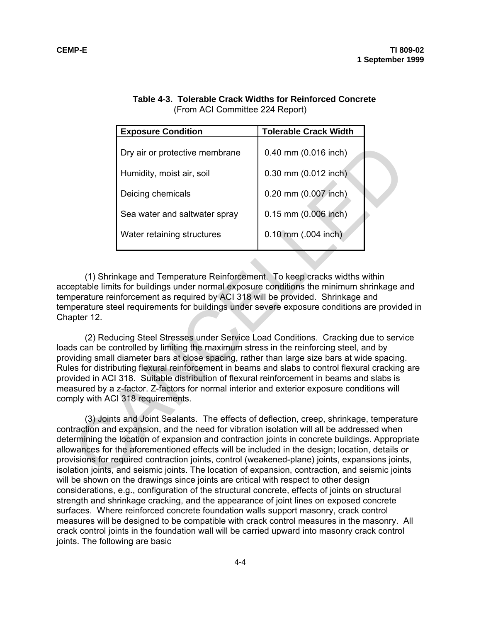|                                                                                                                                                                                                                                                                                                                                                                                                                                                                                                                                                                                                                                                                                                                                      | <b>Exposure Condition</b>                                                                                                                                                                                               | <b>Tolerable Crack Width</b> |  |  |  |
|--------------------------------------------------------------------------------------------------------------------------------------------------------------------------------------------------------------------------------------------------------------------------------------------------------------------------------------------------------------------------------------------------------------------------------------------------------------------------------------------------------------------------------------------------------------------------------------------------------------------------------------------------------------------------------------------------------------------------------------|-------------------------------------------------------------------------------------------------------------------------------------------------------------------------------------------------------------------------|------------------------------|--|--|--|
|                                                                                                                                                                                                                                                                                                                                                                                                                                                                                                                                                                                                                                                                                                                                      | Dry air or protective membrane                                                                                                                                                                                          | 0.40 mm (0.016 inch)         |  |  |  |
|                                                                                                                                                                                                                                                                                                                                                                                                                                                                                                                                                                                                                                                                                                                                      | Humidity, moist air, soil                                                                                                                                                                                               | 0.30 mm (0.012 inch)         |  |  |  |
|                                                                                                                                                                                                                                                                                                                                                                                                                                                                                                                                                                                                                                                                                                                                      | Deicing chemicals                                                                                                                                                                                                       | 0.20 mm (0.007 inch)         |  |  |  |
|                                                                                                                                                                                                                                                                                                                                                                                                                                                                                                                                                                                                                                                                                                                                      | Sea water and saltwater spray                                                                                                                                                                                           | 0.15 mm (0.006 inch)         |  |  |  |
|                                                                                                                                                                                                                                                                                                                                                                                                                                                                                                                                                                                                                                                                                                                                      | Water retaining structures                                                                                                                                                                                              | 0.10 mm (.004 inch)          |  |  |  |
|                                                                                                                                                                                                                                                                                                                                                                                                                                                                                                                                                                                                                                                                                                                                      |                                                                                                                                                                                                                         |                              |  |  |  |
| (1) Shrinkage and Temperature Reinforcement. To keep cracks widths within<br>eptable limits for buildings under normal exposure conditions the minimum shrinkage are<br>perature reinforcement as required by ACI 318 will be provided. Shrinkage and<br>perature steel requirements for buildings under severe exposure conditions are provide<br>apter 12.<br>(2) Reducing Steel Stresses under Service Load Conditions. Cracking due to servic<br>Is can be controlled by limiting the maximum stress in the reinforcing steel, and by<br>viding small diameter bars at close spacing, rather than large size bars at wide spacing.<br>es for distributing flexural reinforcement in beams and slabs to control flexural cracking |                                                                                                                                                                                                                         |                              |  |  |  |
|                                                                                                                                                                                                                                                                                                                                                                                                                                                                                                                                                                                                                                                                                                                                      | vided in ACI 318. Suitable distribution of flexural reinforcement in beams and slabs is<br>asured by a z-factor. Z-factors for normal interior and exterior exposure conditions will<br>iply with ACI 318 requirements. |                              |  |  |  |
| (3) Joints and Joint Sealants. The effects of deflection, creep, shrinkage, temperate<br>traction and expansion, and the need for vibration isolation will all be addressed when<br>ermining the location of expansion and contraction joints in concrete buildings. Appropri<br>wances for the aforementioned effects will be included in the design; location, details or<br>visions for required contraction joints, control (weakened-plane) joints, expansions joints<br>ation joints, and seismic joints. The location of expansion, contraction, and seismic joint                                                                                                                                                            |                                                                                                                                                                                                                         |                              |  |  |  |

|                                 |  | Table 4-3. Tolerable Crack Widths for Reinforced Concrete |  |
|---------------------------------|--|-----------------------------------------------------------|--|
| (From ACI Committee 224 Report) |  |                                                           |  |

(1) Shrinkage and Temperature Reinforcement. To keep cracks widths within acceptable limits for buildings under normal exposure conditions the minimum shrinkage and temperature reinforcement as required by ACI 318 will be provided. Shrinkage and temperature steel requirements for buildings under severe exposure conditions are provided in Chapter 12.

(2) Reducing Steel Stresses under Service Load Conditions. Cracking due to service loads can be controlled by limiting the maximum stress in the reinforcing steel, and by providing small diameter bars at close spacing, rather than large size bars at wide spacing. Rules for distributing flexural reinforcement in beams and slabs to control flexural cracking are provided in ACI 318. Suitable distribution of flexural reinforcement in beams and slabs is measured by a z-factor. Z-factors for normal interior and exterior exposure conditions will comply with ACI 318 requirements.

(3) Joints and Joint Sealants. The effects of deflection, creep, shrinkage, temperature contraction and expansion, and the need for vibration isolation will all be addressed when determining the location of expansion and contraction joints in concrete buildings. Appropriate allowances for the aforementioned effects will be included in the design; location, details or provisions for required contraction joints, control (weakened-plane) joints, expansions joints, isolation joints, and seismic joints. The location of expansion, contraction, and seismic joints will be shown on the drawings since joints are critical with respect to other design considerations, e.g., configuration of the structural concrete, effects of joints on structural strength and shrinkage cracking, and the appearance of joint lines on exposed concrete surfaces. Where reinforced concrete foundation walls support masonry, crack control measures will be designed to be compatible with crack control measures in the masonry. All crack control joints in the foundation wall will be carried upward into masonry crack control joints. The following are basic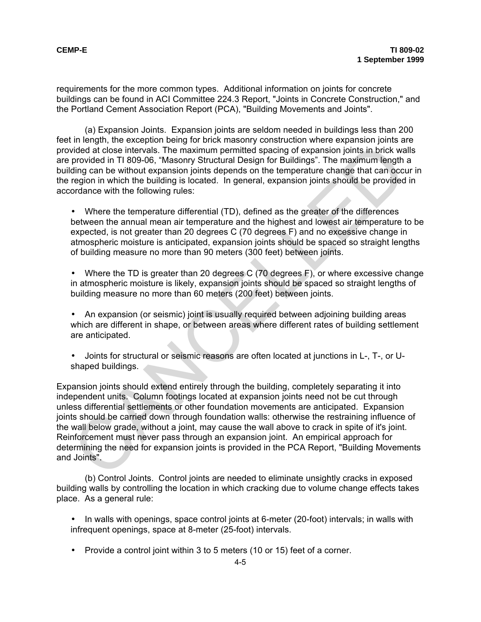requirements for the more common types. Additional information on joints for concrete buildings can be found in ACI Committee 224.3 Report, "Joints in Concrete Construction," and the Portland Cement Association Report (PCA), "Building Movements and Joints".

(a) Expansion Joints. Expansion joints are seldom needed in buildings less than 200 feet in length, the exception being for brick masonry construction where expansion joints are provided at close intervals. The maximum permitted spacing of expansion joints in brick walls are provided in TI 809-06, "Masonry Structural Design for Buildings". The maximum length a building can be without expansion joints depends on the temperature change that can occur in the region in which the building is located. In general, expansion joints should be provided in accordance with the following rules:

• Where the temperature differential (TD), defined as the greater of the differences between the annual mean air temperature and the highest and lowest air temperature to be expected, is not greater than 20 degrees C (70 degrees F) and no excessive change in atmospheric moisture is anticipated, expansion joints should be spaced so straight lengths of building measure no more than 90 meters (300 feet) between joints.

• Where the TD is greater than 20 degrees C (70 degrees F), or where excessive change in atmospheric moisture is likely, expansion joints should be spaced so straight lengths of building measure no more than 60 meters (200 feet) between joints.

• An expansion (or seismic) joint is usually required between adjoining building areas which are different in shape, or between areas where different rates of building settlement are anticipated.

• Joints for structural or seismic reasons are often located at junctions in L-, T-, or Ushaped buildings.

Expansion joints should extend entirely through the building, completely separating it into independent units. Column footings located at expansion joints need not be cut through unless differential settlements or other foundation movements are anticipated. Expansion joints should be carried down through foundation walls: otherwise the restraining influence of the wall below grade, without a joint, may cause the wall above to crack in spite of it's joint. Reinforcement must never pass through an expansion joint. An empirical approach for determining the need for expansion joints is provided in the PCA Report, "Building Movements and Joints". where the interpolarity membership of the maximum permitted spacing of expansion joints in brick way<br>rootided at close intervals. The maximum permitted spacing of expansion joints in brick was<br>provided in T1 809-06, "Maso

(b) Control Joints. Control joints are needed to eliminate unsightly cracks in exposed building walls by controlling the location in which cracking due to volume change effects takes place. As a general rule:

• In walls with openings, space control joints at 6-meter (20-foot) intervals; in walls with infrequent openings, space at 8-meter (25-foot) intervals.

• Provide a control joint within 3 to 5 meters (10 or 15) feet of a corner.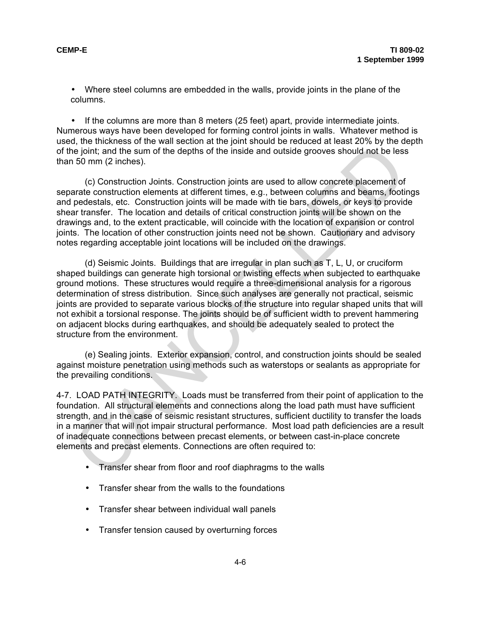• Where steel columns are embedded in the walls, provide joints in the plane of the columns.

• If the columns are more than 8 meters (25 feet) apart, provide intermediate joints. Numerous ways have been developed for forming control joints in walls. Whatever method is used, the thickness of the wall section at the joint should be reduced at least 20% by the depth of the joint; and the sum of the depths of the inside and outside grooves should not be less than 50 mm (2 inches).

(c) Construction Joints. Construction joints are used to allow concrete placement of separate construction elements at different times, e.g., between columns and beams, footings and pedestals, etc. Construction joints will be made with tie bars, dowels, or keys to provide shear transfer. The location and details of critical construction joints will be shown on the drawings and, to the extent practicable, will coincide with the location of expansion or control joints. The location of other construction joints need not be shown. Cautionary and advisory notes regarding acceptable joint locations will be included on the drawings.

(d) Seismic Joints. Buildings that are irregular in plan such as T, L, U, or cruciform shaped buildings can generate high torsional or twisting effects when subjected to earthquake ground motions. These structures would require a three-dimensional analysis for a rigorous determination of stress distribution. Since such analyses are generally not practical, seismic joints are provided to separate various blocks of the structure into regular shaped units that will not exhibit a torsional response. The joints should be of sufficient width to prevent hammering on adjacent blocks during earthquakes, and should be adequately sealed to protect the structure from the environment. vi, ne intervales of the real sociality and the joint is once the point and the point and the sum of the depths of the inside and outside grooves should not be less<br>16 mm (2 inchets).<br>
and the point and the depths of the i

 (e) Sealing joints. Exterior expansion, control, and construction joints should be sealed against moisture penetration using methods such as waterstops or sealants as appropriate for the prevailing conditions.

4-7. LOAD PATH INTEGRITY. Loads must be transferred from their point of application to the foundation. All structural elements and connections along the load path must have sufficient strength, and in the case of seismic resistant structures, sufficient ductility to transfer the loads in a manner that will not impair structural performance. Most load path deficiencies are a result of inadequate connections between precast elements, or between cast-in-place concrete elements and precast elements. Connections are often required to:

- Transfer shear from floor and roof diaphragms to the walls
- Transfer shear from the walls to the foundations
- Transfer shear between individual wall panels
- Transfer tension caused by overturning forces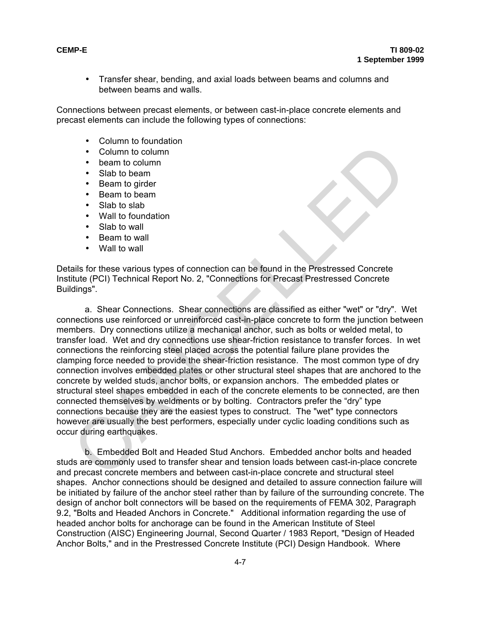• Transfer shear, bending, and axial loads between beams and columns and between beams and walls.

Connections between precast elements, or between cast-in-place concrete elements and precast elements can include the following types of connections:

- Column to foundation
- Column to column
- beam to column
- Slab to beam
- Beam to girder
- Beam to beam
- Slab to slab
- Wall to foundation
- Slab to wall
- Beam to wall
- Wall to wall

Details for these various types of connection can be found in the Prestressed Concrete Institute (PCI) Technical Report No. 2, "Connections for Precast Prestressed Concrete Buildings".

a. Shear Connections. Shear connections are classified as either "wet" or "dry". Wet connections use reinforced or unreinforced cast-in-place concrete to form the junction between members. Dry connections utilize a mechanical anchor, such as bolts or welded metal, to transfer load. Wet and dry connections use shear-friction resistance to transfer forces. In wet connections the reinforcing steel placed across the potential failure plane provides the clamping force needed to provide the shear-friction resistance. The most common type of dry connection involves embedded plates or other structural steel shapes that are anchored to the concrete by welded studs, anchor bolts, or expansion anchors. The embedded plates or structural steel shapes embedded in each of the concrete elements to be connected, are then connected themselves by weldments or by bolting. Contractors prefer the "dry" type connections because they are the easiest types to construct. The "wet" type connectors however are usually the best performers, especially under cyclic loading conditions such as occur during earthquakes. Column to column<br>
• Beam to column<br>
• Beam to girder<br>
• Slab to beam<br>
• Slab to beam<br>
• Slab to beam<br>
• Slab to beam<br>
• Slab to slab<br>
• Wall to wall<br>
• Wall to wall<br>
• Slab to wall<br>
• Wall to wall<br>
• Slab to wall<br>
• Slab t

b. Embedded Bolt and Headed Stud Anchors. Embedded anchor bolts and headed studs are commonly used to transfer shear and tension loads between cast-in-place concrete and precast concrete members and between cast-in-place concrete and structural steel shapes. Anchor connections should be designed and detailed to assure connection failure will be initiated by failure of the anchor steel rather than by failure of the surrounding concrete. The design of anchor bolt connectors will be based on the requirements of FEMA 302, Paragraph 9.2, "Bolts and Headed Anchors in Concrete." Additional information regarding the use of headed anchor bolts for anchorage can be found in the American Institute of Steel Construction (AISC) Engineering Journal, Second Quarter / 1983 Report, "Design of Headed Anchor Bolts," and in the Prestressed Concrete Institute (PCI) Design Handbook. Where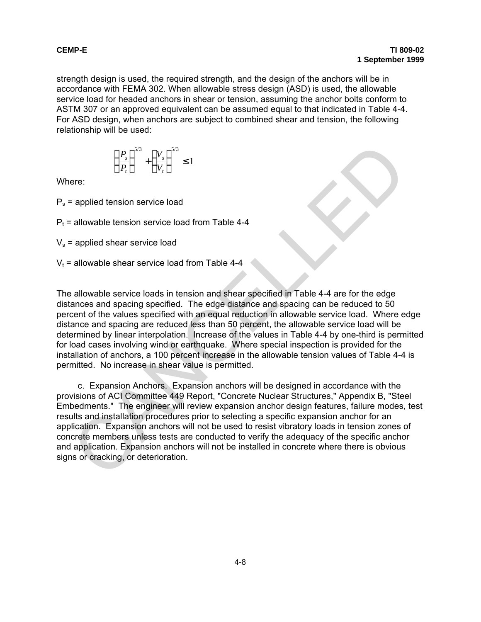strength design is used, the required strength, and the design of the anchors will be in accordance with FEMA 302. When allowable stress design (ASD) is used, the allowable service load for headed anchors in shear or tension, assuming the anchor bolts conform to ASTM 307 or an approved equivalent can be assumed equal to that indicated in Table 4-4. For ASD design, when anchors are subject to combined shear and tension, the following relationship will be used:

$$
\left(\frac{P_s}{P_t}\right)^{5/3} + \left(\frac{V_s}{V_t}\right)^{5/3} \le 1
$$

Where:

 $P_s$  = applied tension service load

 $P<sub>t</sub>$  = allowable tension service load from Table 4-4

 $V_s$  = applied shear service load

 $V_t$  = allowable shear service load from Table 4-4

The allowable service loads in tension and shear specified in Table 4-4 are for the edge distances and spacing specified. The edge distance and spacing can be reduced to 50 percent of the values specified with an equal reduction in allowable service load. Where edge distance and spacing are reduced less than 50 percent, the allowable service load will be determined by linear interpolation. Increase of the values in Table 4-4 by one-third is permitted for load cases involving wind or earthquake. Where special inspection is provided for the installation of anchors, a 100 percent increase in the allowable tension values of Table 4-4 is permitted. No increase in shear value is permitted.  $\left(\frac{P_i}{P_i}\right)^{3/3} + \left(\frac{V_i}{V_i}\right)^{5/3} \le 1$ <br>
ere:<br>
applied tension service load from Table 4-4<br>
applied shear service load from Table 4-4<br>
applied shear service load from Table 4-4<br>
allowable service loads in tension and

c. Expansion Anchors. Expansion anchors will be designed in accordance with the provisions of ACI Committee 449 Report, "Concrete Nuclear Structures," Appendix B, "Steel Embedments." The engineer will review expansion anchor design features, failure modes, test results and installation procedures prior to selecting a specific expansion anchor for an application. Expansion anchors will not be used to resist vibratory loads in tension zones of concrete members unless tests are conducted to verify the adequacy of the specific anchor and application. Expansion anchors will not be installed in concrete where there is obvious signs or cracking, or deterioration.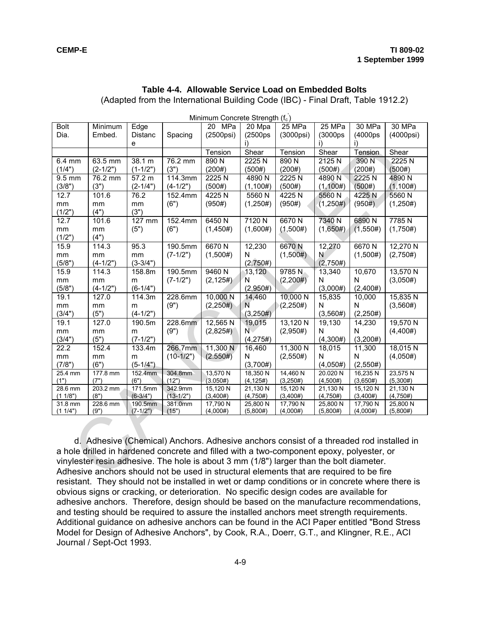### **Table 4-4. Allowable Service Load on Embedded Bolts**

(Adapted from the International Building Code (IBC) - Final Draft, Table 1912.2)

| Minimum Concrete Strength (f <sub>c</sub> ) |                  |                 |                                                                                          |                      |                       |                        |                      |                      |                      |
|---------------------------------------------|------------------|-----------------|------------------------------------------------------------------------------------------|----------------------|-----------------------|------------------------|----------------------|----------------------|----------------------|
| <b>Bolt</b>                                 | Minimum          | Edge            |                                                                                          | 20<br>MPa            | 20 Mpa                | $25$ MPa               | 25 MPa               | 30 MPa               | 30 MPa               |
| Dia.                                        | Embed.           | <b>Distanc</b>  | Spacing                                                                                  | $(2500\text{psi})$   | (2500 <sub>ps</sub> ) | (3000psi)              | (3000ps)             | (4000ps              | (4000psi)            |
|                                             |                  | е               |                                                                                          |                      | Ð                     |                        | i)                   | i)                   |                      |
|                                             |                  |                 |                                                                                          | Tension              | Shear                 | Tension                | Shear                | Tension              | Shear                |
| 6.4 mm                                      | 63.5 mm          | 38.1 m          | 76.2 mm                                                                                  | 890N                 | 2225N                 | 890N                   | 2125N                | 390 N                | 2225N                |
| (1/4")                                      | $(2-1/2")$       | $(1-1/2")$      | (3")                                                                                     | (200#)               | (500#)                | (200#)                 | (500#)               | (200#)               | (500#)               |
| 9.5 mm                                      | 76.2 mm          | 57.2 m          | 114.3mm                                                                                  | 2225N                | 4890N                 | $2225\overline{\rm N}$ | 4890 N               | 2225N                | 4890N                |
| (3/8")                                      | (3")             | $(2-1/4")$      | $(4-1/2")$                                                                               | (500#)               | (1,100#)              | (500#)                 | (1,100#)             | (500#)               | (1, 100#)            |
| 12.7                                        | 101.6            | 76.2            | 152.4mm                                                                                  | 4225N                | 5560N                 | 4225N                  | 5560N                | 4225N                | 5560N                |
| mm                                          | mm               | mm              | (6")                                                                                     | (950#)               | (1,250#)              | (950#)                 | (1,250#)             | (950#)               | (1,250#)             |
| (1/2")                                      | (4")             | (3")            |                                                                                          |                      |                       |                        |                      |                      |                      |
| 12.7                                        | 101.6            | 127 mm          | 152.4mm                                                                                  | $6450$ N             | 7120 N                | 6670N                  | 7340 N               | 6890N                | 7785N                |
| mm                                          | mm               | (5")            | (6")                                                                                     | (1,450#)             | (1,600#)              | (1,500#)               | (1,650#)             | (1,550#)             | (1,750#)             |
| (1/2")                                      | (4")             |                 |                                                                                          |                      |                       |                        |                      |                      |                      |
| 15.9                                        | 114.3            | 95.3            | 190.5mm                                                                                  | 6670N                | 12,230                | 6670N                  | 12,270               | $6670$ N             | 12,270 N             |
| mm                                          | mm               | mm              | $(7-1/2")$                                                                               | (1,500#)             | N                     | (1,500#)               | Ν                    | (1,500#)             | (2,750#)             |
| (5/8")                                      | $(4-1/2")$       | $(3-3/4")$      |                                                                                          |                      | (2,750#)              |                        | (2,750#)             |                      |                      |
| 15.9                                        | 114.3            | 158.8m          | 190.5mm                                                                                  | 9460N                | 13,120                | 9785N                  | 13,340               | 10,670               | 13,570 N             |
| mm                                          | mm               | m               | $(7-1/2")$                                                                               | (2, 125#)            | Ñ                     | (2,200#)               | N                    | N                    | (3,050#)             |
| (5/8")                                      | $(4-1/2")$       | $(6-1/4")$      |                                                                                          |                      | (2,950#)              |                        | (3,000#)             | (2,400#)             |                      |
| 19.1                                        | 127.0            | 114.3m          | 228.6mm                                                                                  | 10,000 N             | 14,460                | 10,000 N               | 15,835               | 10,000               | 15,835 N             |
| mm                                          | mm               | m               | (9")                                                                                     | (2,250#)             | N                     | (2,250#)               | N                    | N                    | (3,560#)             |
| (3/4")                                      | (5")             | $(4-1/2")$      |                                                                                          |                      | (3,250#)              |                        | (3,560#)             | (2,250#)             |                      |
| 19.1                                        | 127.0            | 190.5m          | 228.6mm                                                                                  | 12,565N              | 19,015                | 13,120 N               | 19,130               | 14,230               | 19,570 N             |
| mm                                          | mm               | m               | (9")                                                                                     | (2,825#)             | $\overline{N}$        | (2,950#)               | N                    | N                    | (4,400#)             |
| (3/4")                                      | (5")             | $(7-1/2")$      |                                                                                          |                      | (4,275#)              |                        | (4,300#)             | (3,200#)             |                      |
| 22.2                                        | 152.4            | 133.4m          | 266.7mm                                                                                  | 11,300 N             | 16,460                | 11,300 N               | 18,015               | 11,300               | 18,015N              |
| $\mathsf{mm}$                               | mm               | m               | $(10-1/2")$                                                                              | (2.550#)             | N                     | (2,550#)               | N                    | N                    | (4,050#)             |
| (7/8")                                      | (6")             | $(5-1/4")$      |                                                                                          |                      | (3,700#)              |                        | (4,050#)             | (2,550#)             |                      |
| 25.4 mm                                     | 177.8 mm         | 152.4mm         | 304.8mm                                                                                  | 13,570 N             | 18,350 N              | 14,460 N               | 20.020 N             | 16,235N              | 23,575 N             |
| (1")                                        | (7")<br>203.2 mm | (6")<br>171.5mm | (12")<br>342.9mm                                                                         | (3.050#)<br>15,120 N | (4, 125#)<br>21,130 N | (3,250#)<br>15,120 N   | (4,500#)             | (3,650#)<br>15,120 N | (5,300#)<br>21,130 N |
| 28.6 mm<br>(1 1/8")                         | (8")             | $(6-3/4")$      | $(13-1/2")$                                                                              | (3,400#)             | (4,750#)              | (3,400#)               | 21,130 N<br>(4,750#) | (3,400#)             | (4,750#)             |
| 31.8 mm                                     | 228.6 mm         | 190.5mm         | 381.0mm                                                                                  | 17,790 N             | 25,800 N              | 17,790 N               | 25,800 N             | 17,790 N             | 25,800 N             |
| (1 1/4")                                    | (9")             | $(7-1/2")$      | (15")                                                                                    | (4,000#)             | (5,800#)              | (4,000#)               | (5,800#)             | (4,000#)             | (5,800#)             |
|                                             |                  |                 |                                                                                          |                      |                       |                        |                      |                      |                      |
|                                             |                  |                 | d. Adhesive (Chemical) Anchors. Adhesive anchors consist of a threaded rod installed in  |                      |                       |                        |                      |                      |                      |
|                                             |                  |                 | a hole drilled in hardened concrete and filled with a two-component epoxy, polyester, or |                      |                       |                        |                      |                      |                      |
|                                             |                  |                 | vinylester resin adhesive. The hole is about 3 mm (1/8") larger than the bolt diameter.  |                      |                       |                        |                      |                      |                      |
|                                             |                  |                 | Adhesive anchors should not be used in structural elements that are required to be fire  |                      |                       |                        |                      |                      |                      |
|                                             |                  |                 |                                                                                          |                      |                       |                        |                      |                      |                      |

d. Adhesive (Chemical) Anchors. Adhesive anchors consist of a threaded rod installed in a hole drilled in hardened concrete and filled with a two-component epoxy, polyester, or vinylester resin adhesive. The hole is about 3 mm (1/8") larger than the bolt diameter. Adhesive anchors should not be used in structural elements that are required to be fire resistant. They should not be installed in wet or damp conditions or in concrete where there is obvious signs or cracking, or deterioration. No specific design codes are available for adhesive anchors. Therefore, design should be based on the manufacture recommendations, and testing should be required to assure the installed anchors meet strength requirements. Additional guidance on adhesive anchors can be found in the ACI Paper entitled "Bond Stress Model for Design of Adhesive Anchors", by Cook, R.A., Doerr, G.T., and Klingner, R.E., ACI Journal / Sept-Oct 1993.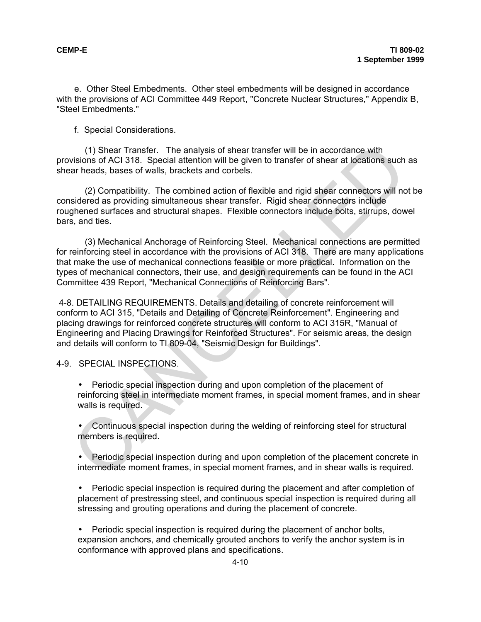e. Other Steel Embedments. Other steel embedments will be designed in accordance with the provisions of ACI Committee 449 Report, "Concrete Nuclear Structures," Appendix B, "Steel Embedments."

f. Special Considerations.

(1) Shear Transfer. The analysis of shear transfer will be in accordance with provisions of ACI 318. Special attention will be given to transfer of shear at locations such as shear heads, bases of walls, brackets and corbels.

 (2) Compatibility. The combined action of flexible and rigid shear connectors will not be considered as providing simultaneous shear transfer. Rigid shear connectors include roughened surfaces and structural shapes. Flexible connectors include bolts, stirrups, dowel bars, and ties.

(3) Mechanical Anchorage of Reinforcing Steel. Mechanical connections are permitted for reinforcing steel in accordance with the provisions of ACI 318. There are many applications that make the use of mechanical connections feasible or more practical. Information on the types of mechanical connectors, their use, and design requirements can be found in the ACI Committee 439 Report, "Mechanical Connections of Reinforcing Bars".

4-8. DETAILING REQUIREMENTS. Details and detailing of concrete reinforcement will conform to ACI 315, "Details and Detailing of Concrete Reinforcement". Engineering and placing drawings for reinforced concrete structures will conform to ACI 315R, "Manual of Engineering and Placing Drawings for Reinforced Structures". For seismic areas, the design and details will conform to TI 809-04, "Seismic Design for Buildings". (1) Shear Transfer. The analysis of shear transfer will be in accordance with<br>
wisins of ACI 316, Special attention will be given to transfer of shear at locations such<br>
are heads, bases of walls, brackets and corbels.<br>
(2

4-9. SPECIAL INSPECTIONS.

• Periodic special inspection during and upon completion of the placement of reinforcing steel in intermediate moment frames, in special moment frames, and in shear walls is required.

• Continuous special inspection during the welding of reinforcing steel for structural members is required.

• Periodic special inspection during and upon completion of the placement concrete in intermediate moment frames, in special moment frames, and in shear walls is required.

Periodic special inspection is required during the placement and after completion of placement of prestressing steel, and continuous special inspection is required during all stressing and grouting operations and during the placement of concrete.

• Periodic special inspection is required during the placement of anchor bolts, expansion anchors, and chemically grouted anchors to verify the anchor system is in conformance with approved plans and specifications.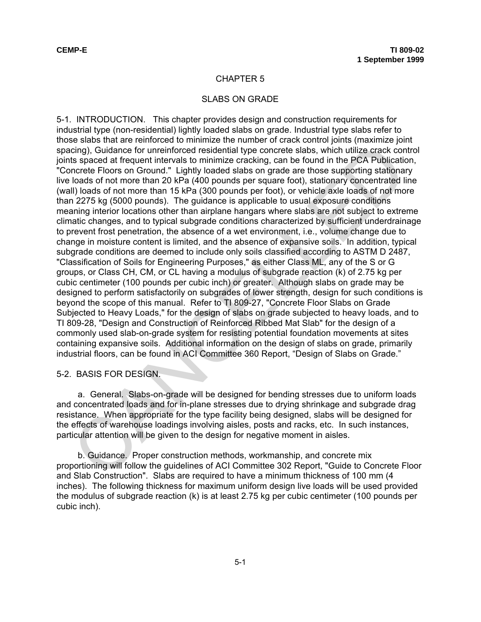## SLABS ON GRADE

5-1. INTRODUCTION. This chapter provides design and construction requirements for industrial type (non-residential) lightly loaded slabs on grade. Industrial type slabs refer to those slabs that are reinforced to minimize the number of crack control joints (maximize joint spacing), Guidance for unreinforced residential type concrete slabs, which utilize crack control joints spaced at frequent intervals to minimize cracking, can be found in the PCA Publication, "Concrete Floors on Ground." Lightly loaded slabs on grade are those supporting stationary live loads of not more than 20 kPa (400 pounds per square foot), stationary concentrated line (wall) loads of not more than 15 kPa (300 pounds per foot), or vehicle axle loads of not more than 2275 kg (5000 pounds). The guidance is applicable to usual exposure conditions meaning interior locations other than airplane hangars where slabs are not subject to extreme climatic changes, and to typical subgrade conditions characterized by sufficient underdrainage to prevent frost penetration, the absence of a wet environment, i.e., volume change due to change in moisture content is limited, and the absence of expansive soils. In addition, typical subgrade conditions are deemed to include only soils classified according to ASTM D 2487, "Classification of Soils for Engineering Purposes," as either Class ML, any of the S or G groups, or Class CH, CM, or CL having a modulus of subgrade reaction (k) of 2.75 kg per cubic centimeter (100 pounds per cubic inch) or greater. Although slabs on grade may be designed to perform satisfactorily on subgrades of lower strength, design for such conditions is beyond the scope of this manual. Refer to TI 809-27, "Concrete Floor Slabs on Grade Subjected to Heavy Loads," for the design of slabs on grade subjected to heavy loads, and to TI 809-28, "Design and Construction of Reinforced Ribbed Mat Slab" for the design of a commonly used slab-on-grade system for resisting potential foundation movements at sites containing expansive soils. Additional information on the design of slabs on grade, primarily industrial floors, can be found in ACI Committee 360 Report, "Design of Slabs on Grade." concurance for unreinforced residential type concrete stabs, which utilize crack concerns, and concurate for unreinforced residential type concrete stabs, which utilize crack concerns), Guidance for unreinforced residentia

### 5-2. BASIS FOR DESIGN.

a. General. Slabs-on-grade will be designed for bending stresses due to uniform loads and concentrated loads and for in-plane stresses due to drying shrinkage and subgrade drag resistance. When appropriate for the type facility being designed, slabs will be designed for the effects of warehouse loadings involving aisles, posts and racks, etc. In such instances, particular attention will be given to the design for negative moment in aisles.

b. Guidance. Proper construction methods, workmanship, and concrete mix proportioning will follow the guidelines of ACI Committee 302 Report, "Guide to Concrete Floor and Slab Construction". Slabs are required to have a minimum thickness of 100 mm (4 inches). The following thickness for maximum uniform design live loads will be used provided the modulus of subgrade reaction (k) is at least 2.75 kg per cubic centimeter (100 pounds per cubic inch).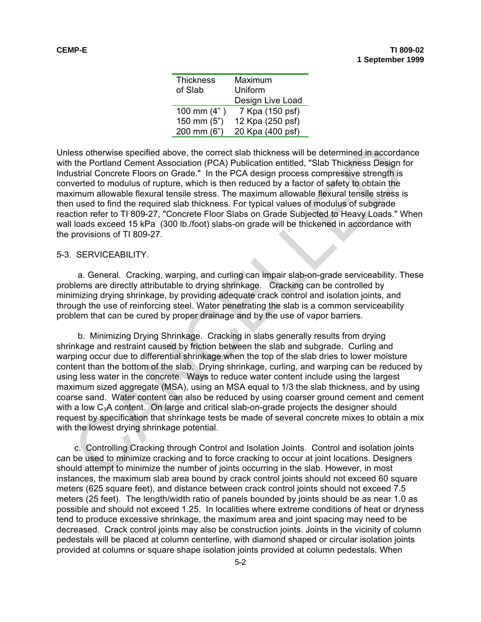| <b>Thickness</b> | Maximum          |  |  |
|------------------|------------------|--|--|
| of Slab          | Uniform          |  |  |
|                  | Design Live Load |  |  |
| 100 mm $(4")$    | 7 Kpa (150 psf)  |  |  |
| 150 mm $(5")$    | 12 Kpa (250 psf) |  |  |
| 200 mm (6")      | 20 Kpa (400 psf) |  |  |

Unless otherwise specified above, the correct slab thickness will be determined in accordance with the Portland Cement Association (PCA) Publication entitled, "Slab Thickness Design for Industrial Concrete Floors on Grade." In the PCA design process compressive strength is converted to modulus of rupture, which is then reduced by a factor of safety to obtain the maximum allowable flexural tensile stress. The maximum allowable flexural tensile stress is then used to find the required slab thickness. For typical values of modulus of subgrade reaction refer to TI 809-27, "Concrete Floor Slabs on Grade Subjected to Heavy Loads." When wall loads exceed 15 kPa (300 lb./foot) slabs-on grade will be thickened in accordance with the provisions of TI 809-27.

### 5-3. SERVICEABILITY.

a. General. Cracking, warping, and curling can impair slab-on-grade serviceability. These problems are directly attributable to drying shrinkage. Cracking can be controlled by minimizing drying shrinkage, by providing adequate crack control and isolation joints, and through the use of reinforcing steel. Water penetrating the slab is a common serviceability problem that can be cured by proper drainage and by the use of vapor barriers.

b. Minimizing Drying Shrinkage. Cracking in slabs generally results from drying shrinkage and restraint caused by friction between the slab and subgrade. Curling and warping occur due to differential shrinkage when the top of the slab dries to lower moisture content than the bottom of the slab. Drying shrinkage, curling, and warping can be reduced by using less water in the concrete. Ways to reduce water content include using the largest maximum sized aggregate (MSA), using an MSA equal to 1/3 the slab thickness, and by using coarse sand. Water content can also be reduced by using coarser ground cement and cement with a low  $C_3A$  content. On large and critical slab-on-grade projects the designer should request by specification that shrinkage tests be made of several concrete mixes to obtain a mix with the lowest drying shrinkage potential. ess otherwise specified above, the correct slab thickness will be determined in accordation and the Portland Cement Association (PCA) Publication entitled, "Slab Thickness Design the Portland Concrete Floors on Grade." In

c. Controlling Cracking through Control and Isolation Joints. Control and isolation joints can be used to minimize cracking and to force cracking to occur at joint locations. Designers should attempt to minimize the number of joints occurring in the slab. However, in most instances, the maximum slab area bound by crack control joints should not exceed 60 square meters (625 square feet), and distance between crack control joints should not exceed 7.5 meters (25 feet). The length/width ratio of panels bounded by joints should be as near 1.0 as possible and should not exceed 1.25. In localities where extreme conditions of heat or dryness tend to produce excessive shrinkage, the maximum area and joint spacing may need to be decreased. Crack control joints may also be construction joints. Joints in the vicinity of column pedestals will be placed at column centerline, with diamond shaped or circular isolation joints provided at columns or square shape isolation joints provided at column pedestals. When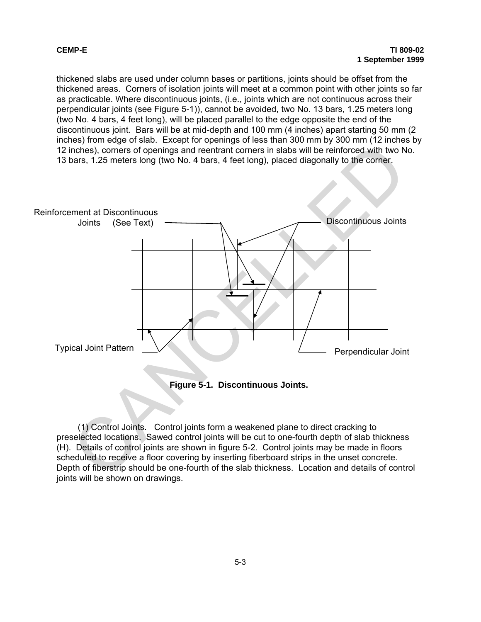thickened slabs are used under column bases or partitions, joints should be offset from the thickened areas. Corners of isolation joints will meet at a common point with other joints so far as practicable. Where discontinuous joints, (i.e., joints which are not continuous across their perpendicular joints (see Figure 5-1)), cannot be avoided, two No. 13 bars, 1.25 meters long (two No. 4 bars, 4 feet long), will be placed parallel to the edge opposite the end of the discontinuous joint. Bars will be at mid-depth and 100 mm (4 inches) apart starting 50 mm (2 inches) from edge of slab. Except for openings of less than 300 mm by 300 mm (12 inches by 12 inches), corners of openings and reentrant corners in slabs will be reinforced with two No. 13 bars, 1.25 meters long (two No. 4 bars, 4 feet long), placed diagonally to the corner.



(1) Control Joints. Control joints form a weakened plane to direct cracking to preselected locations. Sawed control joints will be cut to one-fourth depth of slab thickness (H). Details of control joints are shown in figure 5-2. Control joints may be made in floors scheduled to receive a floor covering by inserting fiberboard strips in the unset concrete. Depth of fiberstrip should be one-fourth of the slab thickness. Location and details of control joints will be shown on drawings.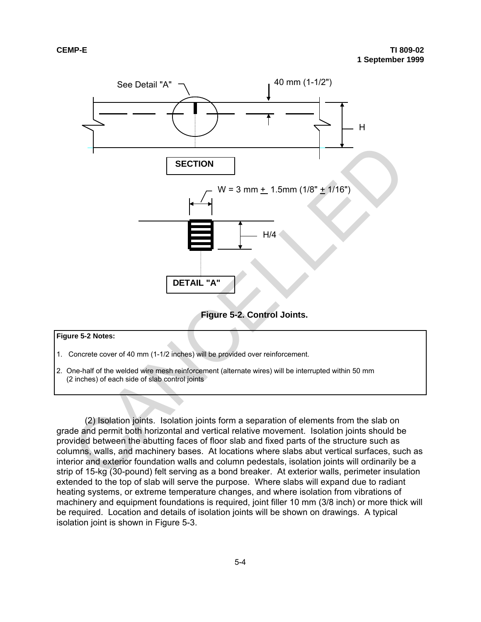

#### **Figure 5-2 Notes:**

- 1. Concrete cover of 40 mm (1-1/2 inches) will be provided over reinforcement.
- 2. One-half of the welded wire mesh reinforcement (alternate wires) will be interrupted within 50 mm (2 inches) of each side of slab control joints

(2) Isolation joints. Isolation joints form a separation of elements from the slab on grade and permit both horizontal and vertical relative movement. Isolation joints should be provided between the abutting faces of floor slab and fixed parts of the structure such as columns, walls, and machinery bases. At locations where slabs abut vertical surfaces, such as interior and exterior foundation walls and column pedestals, isolation joints will ordinarily be a strip of 15-kg (30-pound) felt serving as a bond breaker. At exterior walls, perimeter insulation extended to the top of slab will serve the purpose. Where slabs will expand due to radiant heating systems, or extreme temperature changes, and where isolation from vibrations of machinery and equipment foundations is required, joint filler 10 mm (3/8 inch) or more thick will be required. Location and details of isolation joints will be shown on drawings. A typical isolation joint is shown in Figure 5-3.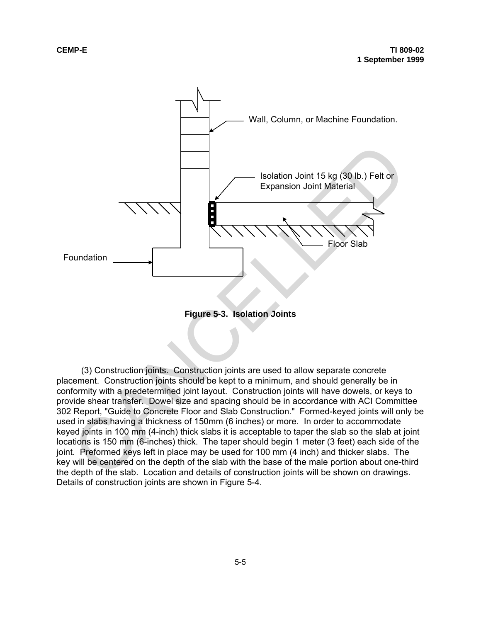



(3) Construction joints. Construction joints are used to allow separate concrete placement. Construction joints should be kept to a minimum, and should generally be in conformity with a predetermined joint layout. Construction joints will have dowels, or keys to provide shear transfer. Dowel size and spacing should be in accordance with ACI Committee 302 Report, "Guide to Concrete Floor and Slab Construction." Formed-keyed joints will only be used in slabs having a thickness of 150mm (6 inches) or more. In order to accommodate keyed joints in 100 mm (4-inch) thick slabs it is acceptable to taper the slab so the slab at joint locations is 150 mm (6-inches) thick. The taper should begin 1 meter (3 feet) each side of the joint. Preformed keys left in place may be used for 100 mm (4 inch) and thicker slabs. The key will be centered on the depth of the slab with the base of the male portion about one-third the depth of the slab. Location and details of construction joints will be shown on drawings. Details of construction joints are shown in Figure 5-4.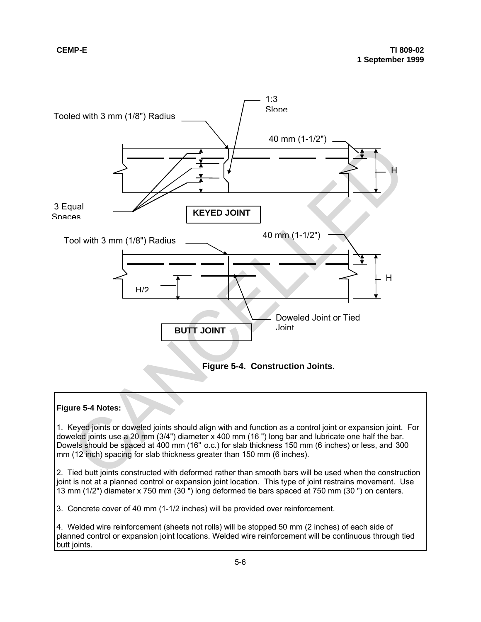

#### **Figure 5-4 Notes:**

1. Keyed joints or doweled joints should align with and function as a control joint or expansion joint. For doweled joints use a 20 mm (3/4") diameter x 400 mm (16 ") long bar and lubricate one half the bar. Dowels should be spaced at 400 mm (16" o.c.) for slab thickness 150 mm (6 inches) or less, and 300 mm (12 inch) spacing for slab thickness greater than 150 mm (6 inches).

2. Tied butt joints constructed with deformed rather than smooth bars will be used when the construction joint is not at a planned control or expansion joint location. This type of joint restrains movement. Use 13 mm (1/2") diameter x 750 mm (30 ") long deformed tie bars spaced at 750 mm (30 ") on centers.

3. Concrete cover of 40 mm (1-1/2 inches) will be provided over reinforcement.

4. Welded wire reinforcement (sheets not rolls) will be stopped 50 mm (2 inches) of each side of planned control or expansion joint locations. Welded wire reinforcement will be continuous through tied butt joints.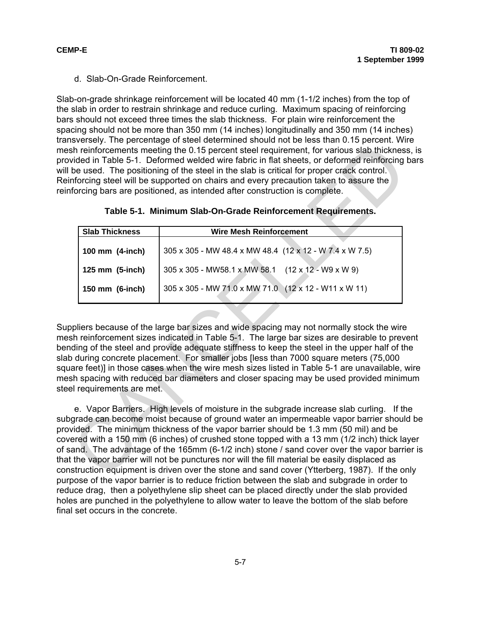d. Slab-On-Grade Reinforcement.

Slab-on-grade shrinkage reinforcement will be located 40 mm (1-1/2 inches) from the top of the slab in order to restrain shrinkage and reduce curling. Maximum spacing of reinforcing bars should not exceed three times the slab thickness. For plain wire reinforcement the spacing should not be more than 350 mm (14 inches) longitudinally and 350 mm (14 inches) transversely. The percentage of steel determined should not be less than 0.15 percent. Wire mesh reinforcements meeting the 0.15 percent steel requirement, for various slab thickness, is provided in Table 5-1. Deformed welded wire fabric in flat sheets, or deformed reinforcing bars will be used. The positioning of the steel in the slab is critical for proper crack control. Reinforcing steel will be supported on chairs and every precaution taken to assure the reinforcing bars are positioned, as intended after construction is complete.

|                          | sh reinforcements meeting the 0.15 percent steel requirement, for various slab thicknes<br>vided in Table 5-1. Deformed welded wire fabric in flat sheets, or deformed reinforcing<br>be used. The positioning of the steel in the slab is critical for proper crack control.<br>nforcing steel will be supported on chairs and every precaution taken to assure the<br>forcing bars are positioned, as intended after construction is complete.                                                                                                                                                                                                                                                                                                                   |
|--------------------------|--------------------------------------------------------------------------------------------------------------------------------------------------------------------------------------------------------------------------------------------------------------------------------------------------------------------------------------------------------------------------------------------------------------------------------------------------------------------------------------------------------------------------------------------------------------------------------------------------------------------------------------------------------------------------------------------------------------------------------------------------------------------|
|                          | Table 5-1. Minimum Slab-On-Grade Reinforcement Requirements.                                                                                                                                                                                                                                                                                                                                                                                                                                                                                                                                                                                                                                                                                                       |
| <b>Slab Thickness</b>    | <b>Wire Mesh Reinforcement</b>                                                                                                                                                                                                                                                                                                                                                                                                                                                                                                                                                                                                                                                                                                                                     |
| 100 mm (4-inch)          | 305 x 305 - MW 48.4 x MW 48.4 (12 x 12 - W 7.4 x W 7.5)                                                                                                                                                                                                                                                                                                                                                                                                                                                                                                                                                                                                                                                                                                            |
| 125 mm (5-inch)          | $(12 \times 12 - W9 \times W9)$<br>305 x 305 - MW58.1 x MW 58.1                                                                                                                                                                                                                                                                                                                                                                                                                                                                                                                                                                                                                                                                                                    |
| 150 mm (6-inch)          | 305 x 305 - MW 71.0 x MW 71.0 (12 x 12 - W11 x W 11)                                                                                                                                                                                                                                                                                                                                                                                                                                                                                                                                                                                                                                                                                                               |
| el requirements are met. | pliers because of the large bar sizes and wide spacing may not normally stock the wire<br>sh reinforcement sizes indicated in Table 5-1. The large bar sizes are desirable to preve<br>ding of the steel and provide adequate stiffness to keep the steel in the upper half of the<br>during concrete placement. For smaller jobs [less than 7000 square meters (75,000<br>are feet)] in those cases when the wire mesh sizes listed in Table 5-1 are unavailable, v<br>sh spacing with reduced bar diameters and closer spacing may be used provided minim                                                                                                                                                                                                        |
|                          | e. Vapor Barriers. High levels of moisture in the subgrade increase slab curling. If the<br>grade can become moist because of ground water an impermeable vapor barrier shoule<br>vided. The minimum thickness of the vapor barrier should be 1.3 mm (50 mil) and be<br>ered with a 150 mm (6 inches) of crushed stone topped with a 13 mm (1/2 inch) thick la<br>and. The advantage of the 165mm (6-1/2 inch) stone / sand cover over the vapor barri<br>the vapor barrier will not be punctures nor will the fill material be easily displaced as<br>struction equipment is driven over the stone and sand cover (Ytterberg, 1987). If the or<br>. Se se provincia de la construcción de la contradición de la construcción de la construcción de la construcció |

**Table 5-1. Minimum Slab-On-Grade Reinforcement Requirements.**

Suppliers because of the large bar sizes and wide spacing may not normally stock the wire mesh reinforcement sizes indicated in Table 5-1. The large bar sizes are desirable to prevent bending of the steel and provide adequate stiffness to keep the steel in the upper half of the slab during concrete placement. For smaller jobs [less than 7000 square meters (75,000 square feet)] in those cases when the wire mesh sizes listed in Table 5-1 are unavailable, wire mesh spacing with reduced bar diameters and closer spacing may be used provided minimum steel requirements are met.

e. Vapor Barriers. High levels of moisture in the subgrade increase slab curling. If the subgrade can become moist because of ground water an impermeable vapor barrier should be provided. The minimum thickness of the vapor barrier should be 1.3 mm (50 mil) and be covered with a 150 mm (6 inches) of crushed stone topped with a 13 mm (1/2 inch) thick layer of sand. The advantage of the 165mm (6-1/2 inch) stone / sand cover over the vapor barrier is that the vapor barrier will not be punctures nor will the fill material be easily displaced as construction equipment is driven over the stone and sand cover (Ytterberg, 1987). If the only purpose of the vapor barrier is to reduce friction between the slab and subgrade in order to reduce drag, then a polyethylene slip sheet can be placed directly under the slab provided holes are punched in the polyethylene to allow water to leave the bottom of the slab before final set occurs in the concrete.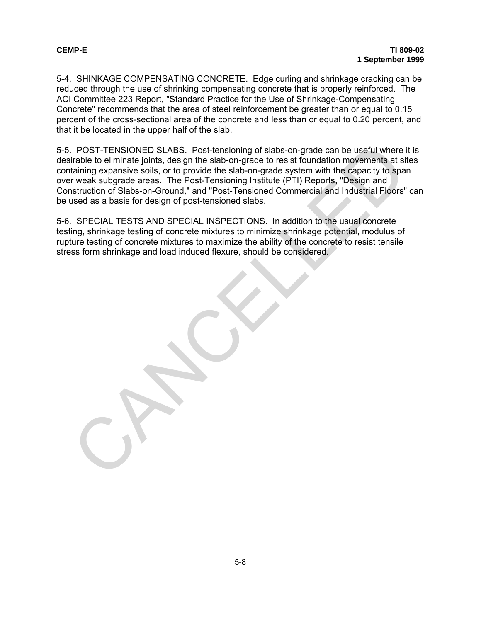5-4. SHINKAGE COMPENSATING CONCRETE. Edge curling and shrinkage cracking can be reduced through the use of shrinking compensating concrete that is properly reinforced. The ACI Committee 223 Report, "Standard Practice for the Use of Shrinkage-Compensating Concrete" recommends that the area of steel reinforcement be greater than or equal to 0.15 percent of the cross-sectional area of the concrete and less than or equal to 0.20 percent, and that it be located in the upper half of the slab.

5-5. POST-TENSIONED SLABS. Post-tensioning of slabs-on-grade can be useful where it is desirable to eliminate joints, design the slab-on-grade to resist foundation movements at sites containing expansive soils, or to provide the slab-on-grade system with the capacity to span over weak subgrade areas. The Post-Tensioning Institute (PTI) Reports, "Design and Construction of Slabs-on-Ground," and "Post-Tensioned Commercial and Industrial Floors" can be used as a basis for design of post-tensioned slabs. POST-TENSIONED SLABS. Post-tensioning of slabs-on-grade can be useful where irable to eliminate joints, design the slab-on-grade to resist foundation movements at is function in the capacity to spatial fainting expansive s

5-6. SPECIAL TESTS AND SPECIAL INSPECTIONS. In addition to the usual concrete testing, shrinkage testing of concrete mixtures to minimize shrinkage potential, modulus of rupture testing of concrete mixtures to maximize the ability of the concrete to resist tensile stress form shrinkage and load induced flexure, should be considered.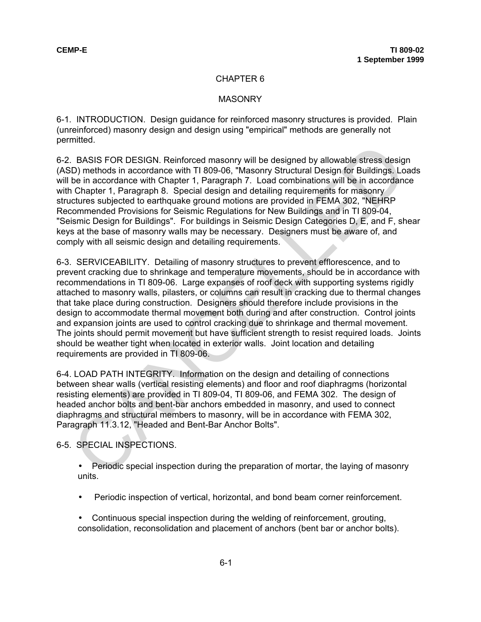### **MASONRY**

6-1. INTRODUCTION. Design guidance for reinforced masonry structures is provided. Plain (unreinforced) masonry design and design using "empirical" methods are generally not permitted.

6-2. BASIS FOR DESIGN. Reinforced masonry will be designed by allowable stress design (ASD) methods in accordance with TI 809-06, "Masonry Structural Design for Buildings. Loads will be in accordance with Chapter 1, Paragraph 7. Load combinations will be in accordance with Chapter 1, Paragraph 8. Special design and detailing requirements for masonry structures subjected to earthquake ground motions are provided in FEMA 302, "NEHRP Recommended Provisions for Seismic Regulations for New Buildings and in TI 809-04, "Seismic Design for Buildings". For buildings in Seismic Design Categories D, E, and F, shear keys at the base of masonry walls may be necessary. Designers must be aware of, and comply with all seismic design and detailing requirements.

6-3. SERVICEABILITY. Detailing of masonry structures to prevent efflorescence, and to prevent cracking due to shrinkage and temperature movements, should be in accordance with recommendations in TI 809-06. Large expanses of roof deck with supporting systems rigidly attached to masonry walls, pilasters, or columns can result in cracking due to thermal changes that take place during construction. Designers should therefore include provisions in the design to accommodate thermal movement both during and after construction. Control joints and expansion joints are used to control cracking due to shrinkage and thermal movement. The joints should permit movement but have sufficient strength to resist required loads. Joints should be weather tight when located in exterior walls. Joint location and detailing requirements are provided in TI 809-06. Incomete Box and the constant in The COSEC (Section and the station of the station of the station of the macrofance with T1809-06, "Masonry Structural Design for Buildings Lot Chapter 1, Paragraph 8. Special design and det

6-4. LOAD PATH INTEGRITY. Information on the design and detailing of connections between shear walls (vertical resisting elements) and floor and roof diaphragms (horizontal resisting elements) are provided in TI 809-04, TI 809-06, and FEMA 302. The design of headed anchor bolts and bent-bar anchors embedded in masonry, and used to connect diaphragms and structural members to masonry, will be in accordance with FEMA 302, Paragraph 11.3.12, "Headed and Bent-Bar Anchor Bolts".

6-5. SPECIAL INSPECTIONS.

- Periodic special inspection during the preparation of mortar, the laying of masonry units.
- Periodic inspection of vertical, horizontal, and bond beam corner reinforcement.
- Continuous special inspection during the welding of reinforcement, grouting, consolidation, reconsolidation and placement of anchors (bent bar or anchor bolts).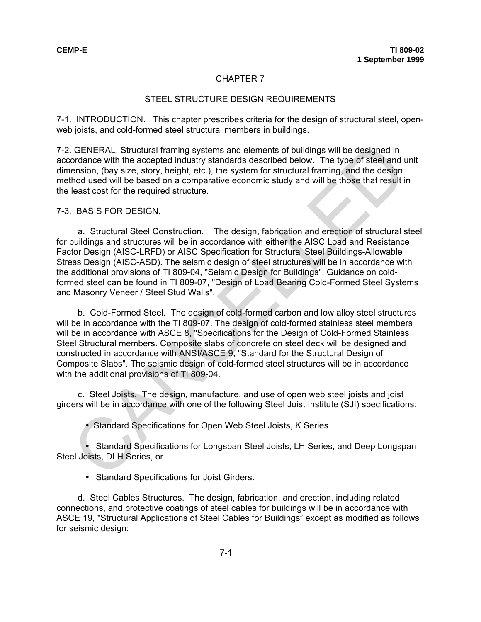# STEEL STRUCTURE DESIGN REQUIREMENTS

7-1. INTRODUCTION. This chapter prescribes criteria for the design of structural steel, openweb joists, and cold-formed steel structural members in buildings.

7-2. GENERAL. Structural framing systems and elements of buildings will be designed in accordance with the accepted industry standards described below. The type of steel and unit dimension, (bay size, story, height, etc.), the system for structural framing, and the design method used will be based on a comparative economic study and will be those that result in the least cost for the required structure.

## 7-3. BASIS FOR DESIGN.

a. Structural Steel Construction. The design, fabrication and erection of structural steel for buildings and structures will be in accordance with either the AISC Load and Resistance Factor Design (AISC-LRFD) or AISC Specification for Structural Steel Buildings-Allowable Stress Design (AISC-ASD). The seismic design of steel structures will be in accordance with the additional provisions of TI 809-04, "Seismic Design for Buildings". Guidance on coldformed steel can be found in TI 809-07, "Design of Load Bearing Cold-Formed Steel Systems and Masonry Veneer / Steel Stud Walls".

b. Cold-Formed Steel. The design of cold-formed carbon and low alloy steel structures will be in accordance with the TI 809-07. The design of cold-formed stainless steel members will be in accordance with ASCE 8, "Specifications for the Design of Cold-Formed Stainless Steel Structural members. Composite slabs of concrete on steel deck will be designed and constructed in accordance with ANSI/ASCE 9, "Standard for the Structural Design of Composite Slabs". The seismic design of cold-formed steel structures will be in accordance with the additional provisions of TI 809-04. GENERAL. Structural framing systems and elements of buildings will be designed in<br>ordinate with the accepted industry standards described below. The type of steel and the<br>ension, (bay size, story, height, etc.), the system

c. Steel Joists. The design, manufacture, and use of open web steel joists and joist girders will be in accordance with one of the following Steel Joist Institute (SJI) specifications:

• Standard Specifications for Open Web Steel Joists, K Series

• Standard Specifications for Longspan Steel Joists, LH Series, and Deep Longspan Steel Joists, DLH Series, or

• Standard Specifications for Joist Girders.

d. Steel Cables Structures. The design, fabrication, and erection, including related connections, and protective coatings of steel cables for buildings will be in accordance with ASCE 19, "Structural Applications of Steel Cables for Buildings" except as modified as follows for seismic design: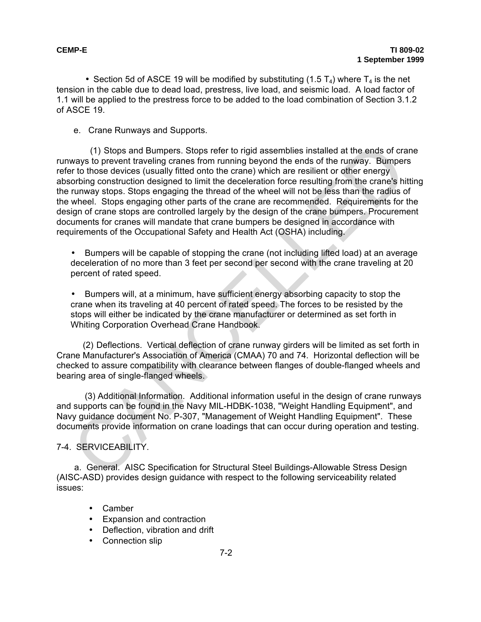• Section 5d of ASCE 19 will be modified by substituting (1.5  $T_4$ ) where  $T_4$  is the net tension in the cable due to dead load, prestress, live load, and seismic load. A load factor of 1.1 will be applied to the prestress force to be added to the load combination of Section 3.1.2 of ASCE 19.

e. Crane Runways and Supports.

 (1) Stops and Bumpers. Stops refer to rigid assemblies installed at the ends of crane runways to prevent traveling cranes from running beyond the ends of the runway. Bumpers refer to those devices (usually fitted onto the crane) which are resilient or other energy absorbing construction designed to limit the deceleration force resulting from the crane's hitting the runway stops. Stops engaging the thread of the wheel will not be less than the radius of the wheel. Stops engaging other parts of the crane are recommended. Requirements for the design of crane stops are controlled largely by the design of the crane bumpers. Procurement documents for cranes will mandate that crane bumpers be designed in accordance with requirements of the Occupational Safety and Health Act (OSHA) including. (1) Stops and Bumpers. Stops refer to rigid assemblies installed at the ends of cravay to prevent fraveling cranes from running beyond the ends of the runwing, Bumper<br>The tot those devices (usually fitted onto the crane) w

• Bumpers will be capable of stopping the crane (not including lifted load) at an average deceleration of no more than 3 feet per second per second with the crane traveling at 20 percent of rated speed.

• Bumpers will, at a minimum, have sufficient energy absorbing capacity to stop the crane when its traveling at 40 percent of rated speed. The forces to be resisted by the stops will either be indicated by the crane manufacturer or determined as set forth in Whiting Corporation Overhead Crane Handbook.

 (2) Deflections. Vertical deflection of crane runway girders will be limited as set forth in Crane Manufacturer's Association of America (CMAA) 70 and 74. Horizontal deflection will be checked to assure compatibility with clearance between flanges of double-flanged wheels and bearing area of single-flanged wheels.

(3) Additional Information. Additional information useful in the design of crane runways and supports can be found in the Navy MIL-HDBK-1038, "Weight Handling Equipment", and Navy guidance document No. P-307, "Management of Weight Handling Equipment". These documents provide information on crane loadings that can occur during operation and testing.

# 7-4. SERVICEABILITY.

a. General. AISC Specification for Structural Steel Buildings-Allowable Stress Design (AISC-ASD) provides design guidance with respect to the following serviceability related issues:

- Camber
- Expansion and contraction
- Deflection, vibration and drift
- Connection slip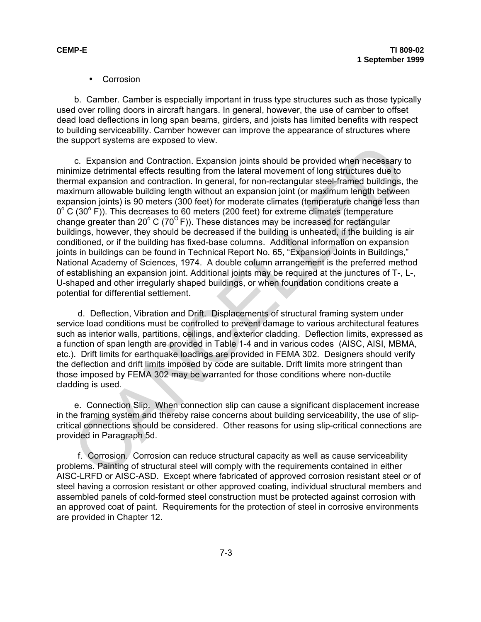• Corrosion

b. Camber. Camber is especially important in truss type structures such as those typically used over rolling doors in aircraft hangars. In general, however, the use of camber to offset dead load deflections in long span beams, girders, and joists has limited benefits with respect to building serviceability. Camber however can improve the appearance of structures where the support systems are exposed to view.

c. Expansion and Contraction. Expansion joints should be provided when necessary to minimize detrimental effects resulting from the lateral movement of long structures due to thermal expansion and contraction. In general, for non-rectangular steel-framed buildings, the maximum allowable building length without an expansion joint (or maximum length between expansion joints) is 90 meters (300 feet) for moderate climates (temperature change less than  $0^{\circ}$  C (30 $^{\circ}$  F)). This decreases to 60 meters (200 feet) for extreme climates (temperature change greater than 20 $^{\circ}$  C (70 $^{\circ}$  F)). These distances may be increased for rectangular buildings, however, they should be decreased if the building is unheated, if the building is air conditioned, or if the building has fixed-base columns. Additional information on expansion joints in buildings can be found in Technical Report No. 65, "Expansion Joints in Buildings," National Academy of Sciences, 1974. A double column arrangement is the preferred method of establishing an expansion joint. Additional joints may be required at the junctures of T-, L-, U-shaped and other irregularly shaped buildings, or when foundation conditions create a potential for differential settlement. c. Expansion and Contraction. Expansion joints should be provided when necessary to: Expansion and Contraction. Expansion joints should be provided when necessary to the maximum allevable building length without an expansi

d. Deflection, Vibration and Drift. Displacements of structural framing system under service load conditions must be controlled to prevent damage to various architectural features such as interior walls, partitions, ceilings, and exterior cladding. Deflection limits, expressed as a function of span length are provided in Table 1-4 and in various codes (AISC, AISI, MBMA, etc.). Drift limits for earthquake loadings are provided in FEMA 302. Designers should verify the deflection and drift limits imposed by code are suitable. Drift limits more stringent than those imposed by FEMA 302 may be warranted for those conditions where non-ductile cladding is used.

e. Connection Slip. When connection slip can cause a significant displacement increase in the framing system and thereby raise concerns about building serviceability, the use of slipcritical connections should be considered. Other reasons for using slip-critical connections are provided in Paragraph 5d.

f. Corrosion. Corrosion can reduce structural capacity as well as cause serviceability problems. Painting of structural steel will comply with the requirements contained in either AISC-LRFD or AISC-ASD. Except where fabricated of approved corrosion resistant steel or of steel having a corrosion resistant or other approved coating, individual structural members and assembled panels of cold-formed steel construction must be protected against corrosion with an approved coat of paint. Requirements for the protection of steel in corrosive environments are provided in Chapter 12.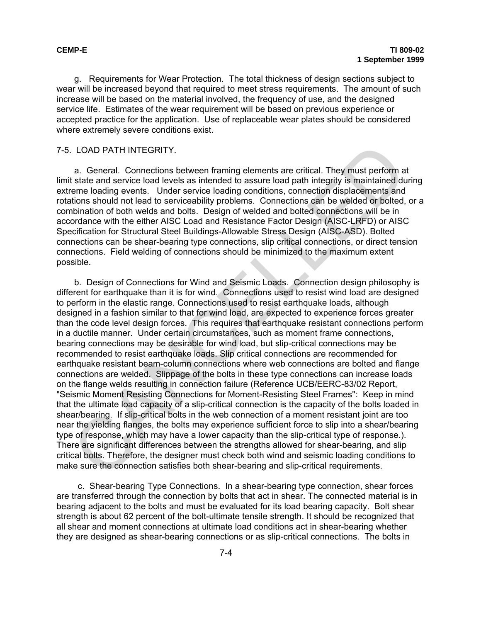g. Requirements for Wear Protection. The total thickness of design sections subject to wear will be increased beyond that required to meet stress requirements. The amount of such increase will be based on the material involved, the frequency of use, and the designed service life. Estimates of the wear requirement will be based on previous experience or accepted practice for the application. Use of replaceable wear plates should be considered where extremely severe conditions exist.

#### 7-5. LOAD PATH INTEGRITY.

a. General. Connections between framing elements are critical. They must perform at limit state and service load levels as intended to assure load path integrity is maintained during extreme loading events. Under service loading conditions, connection displacements and rotations should not lead to serviceability problems. Connections can be welded or bolted, or a combination of both welds and bolts. Design of welded and bolted connections will be in accordance with the either AISC Load and Resistance Factor Design (AISC-LRFD) or AISC Specification for Structural Steel Buildings-Allowable Stress Design (AISC-ASD). Bolted connections can be shear-bearing type connections, slip critical connections, or direct tension connections. Field welding of connections should be minimized to the maximum extent possible.

b. Design of Connections for Wind and Seismic Loads. Connection design philosophy is different for earthquake than it is for wind. Connections used to resist wind load are designed to perform in the elastic range. Connections used to resist earthquake loads, although designed in a fashion similar to that for wind load, are expected to experience forces greater than the code level design forces. This requires that earthquake resistant connections perform in a ductile manner. Under certain circumstances, such as moment frame connections, bearing connections may be desirable for wind load, but slip-critical connections may be recommended to resist earthquake loads. Slip critical connections are recommended for earthquake resistant beam-column connections where web connections are bolted and flange connections are welded. Slippage of the bolts in these type connections can increase loads on the flange welds resulting in connection failure (Reference UCB/EERC-83/02 Report, "Seismic Moment Resisting Connections for Moment-Resisting Steel Frames": Keep in mind that the ultimate load capacity of a slip-critical connection is the capacity of the bolts loaded in shear/bearing. If slip-critical bolts in the web connection of a moment resistant joint are too near the yielding flanges, the bolts may experience sufficient force to slip into a shear/bearing type of response, which may have a lower capacity than the slip-critical type of response.). There are significant differences between the strengths allowed for shear-bearing, and slip critical bolts. Therefore, the designer must check both wind and seismic loading conditions to make sure the connection satisfies both shear-bearing and slip-critical requirements. LOAD PATH INTEGRITY.<br>
a. General. Connections between framing elements are critical. They must perform at state and service load levels as sintended to assure load pain infegrity is maintained dutions<br>
state and service lo

c. Shear-bearing Type Connections. In a shear-bearing type connection, shear forces are transferred through the connection by bolts that act in shear. The connected material is in bearing adjacent to the bolts and must be evaluated for its load bearing capacity. Bolt shear strength is about 62 percent of the bolt-ultimate tensile strength. It should be recognized that all shear and moment connections at ultimate load conditions act in shear-bearing whether they are designed as shear-bearing connections or as slip-critical connections. The bolts in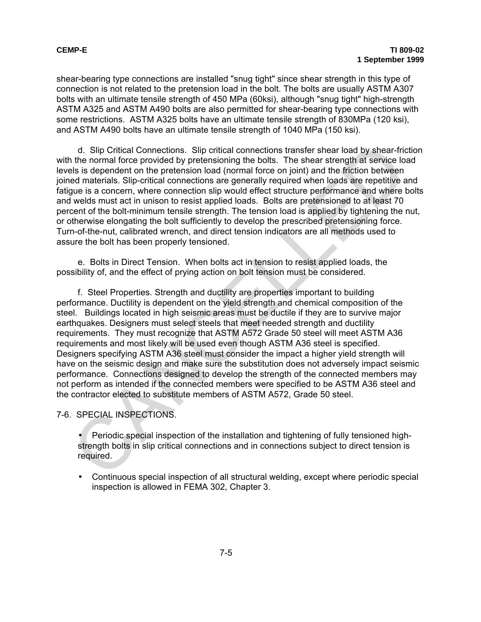shear-bearing type connections are installed "snug tight" since shear strength in this type of connection is not related to the pretension load in the bolt. The bolts are usually ASTM A307 bolts with an ultimate tensile strength of 450 MPa (60ksi), although "snug tight" high-strength ASTM A325 and ASTM A490 bolts are also permitted for shear-bearing type connections with some restrictions. ASTM A325 bolts have an ultimate tensile strength of 830MPa (120 ksi), and ASTM A490 bolts have an ultimate tensile strength of 1040 MPa (150 ksi).

d. Slip Critical Connections. Slip critical connections transfer shear load by shear-friction with the normal force provided by pretensioning the bolts. The shear strength at service load levels is dependent on the pretension load (normal force on joint) and the friction between joined materials. Slip-critical connections are generally required when loads are repetitive and fatigue is a concern, where connection slip would effect structure performance and where bolts and welds must act in unison to resist applied loads. Bolts are pretensioned to at least 70 percent of the bolt-minimum tensile strength. The tension load is applied by tightening the nut, or otherwise elongating the bolt sufficiently to develop the prescribed pretensioning force. Turn-of-the-nut, calibrated wrench, and direct tension indicators are all methods used to assure the bolt has been properly tensioned.

e. Bolts in Direct Tension. When bolts act in tension to resist applied loads, the possibility of, and the effect of prying action on bolt tension must be considered.

f. Steel Properties. Strength and ductility are properties important to building performance. Ductility is dependent on the yield strength and chemical composition of the steel. Buildings located in high seismic areas must be ductile if they are to survive major earthquakes. Designers must select steels that meet needed strength and ductility requirements. They must recognize that ASTM A572 Grade 50 steel will meet ASTM A36 requirements and most likely will be used even though ASTM A36 steel is specified. Designers specifying ASTM A36 steel must consider the impact a higher yield strength will have on the seismic design and make sure the substitution does not adversely impact seismic performance. Connections designed to develop the strength of the connected members may not perform as intended if the connected members were specified to be ASTM A36 steel and the contractor elected to substitute members of ASTM A572, Grade 50 steel. d. Slip Critical Connections. Slip critical connections transfer shear load by shear-frict the normal force provided by pretensioning the botls. The shear strength at service loss is dependent on the pretension load (norma

7-6. SPECIAL INSPECTIONS.

• Periodic special inspection of the installation and tightening of fully tensioned highstrength bolts in slip critical connections and in connections subject to direct tension is required.

• Continuous special inspection of all structural welding, except where periodic special inspection is allowed in FEMA 302, Chapter 3.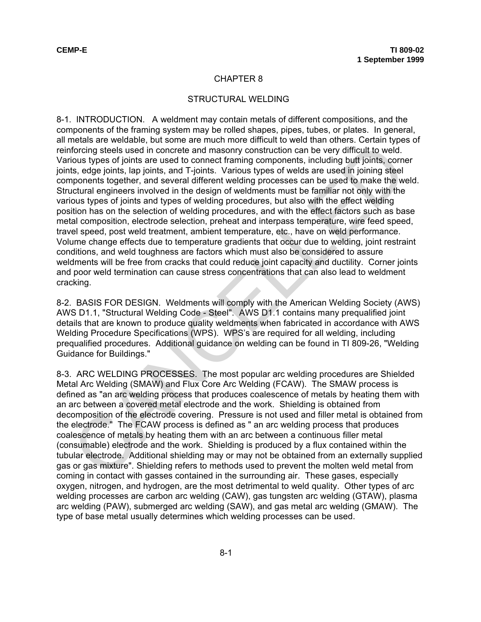### STRUCTURAL WELDING

8-1. INTRODUCTION. A weldment may contain metals of different compositions, and the components of the framing system may be rolled shapes, pipes, tubes, or plates. In general, all metals are weldable, but some are much more difficult to weld than others. Certain types of reinforcing steels used in concrete and masonry construction can be very difficult to weld. Various types of joints are used to connect framing components, including butt joints, corner joints, edge joints, lap joints, and T-joints. Various types of welds are used in joining steel components together, and several different welding processes can be used to make the weld. Structural engineers involved in the design of weldments must be familiar not only with the various types of joints and types of welding procedures, but also with the effect welding position has on the selection of welding procedures, and with the effect factors such as base metal composition, electrode selection, preheat and interpass temperature, wire feed speed, travel speed, post weld treatment, ambient temperature, etc., have on weld performance. Volume change effects due to temperature gradients that occur due to welding, joint restraint conditions, and weld toughness are factors which must also be considered to assure weldments will be free from cracks that could reduce joint capacity and ductility. Corner joints and poor weld termination can cause stress concentrations that can also lead to weldment cracking. tractainers when of concrete and massing construction can be very difficult to weld.<br>To coing steels used in concrete and masonry construction can be very difficult to weld.<br>To coing the steels in concrete and masonry cons

8-2. BASIS FOR DESIGN. Weldments will comply with the American Welding Society (AWS) AWS D1.1, "Structural Welding Code - Steel". AWS D1.1 contains many prequalified joint details that are known to produce quality weldments when fabricated in accordance with AWS Welding Procedure Specifications (WPS). WPS's are required for all welding, including prequalified procedures. Additional guidance on welding can be found in TI 809-26, "Welding Guidance for Buildings."

8-3. ARC WELDING PROCESSES. The most popular arc welding procedures are Shielded Metal Arc Welding (SMAW) and Flux Core Arc Welding (FCAW). The SMAW process is defined as "an arc welding process that produces coalescence of metals by heating them with an arc between a covered metal electrode and the work. Shielding is obtained from decomposition of the electrode covering. Pressure is not used and filler metal is obtained from the electrode." The FCAW process is defined as " an arc welding process that produces coalescence of metals by heating them with an arc between a continuous filler metal (consumable) electrode and the work. Shielding is produced by a flux contained within the tubular electrode. Additional shielding may or may not be obtained from an externally supplied gas or gas mixture". Shielding refers to methods used to prevent the molten weld metal from coming in contact with gasses contained in the surrounding air. These gases, especially oxygen, nitrogen, and hydrogen, are the most detrimental to weld quality. Other types of arc welding processes are carbon arc welding (CAW), gas tungsten arc welding (GTAW), plasma arc welding (PAW), submerged arc welding (SAW), and gas metal arc welding (GMAW). The type of base metal usually determines which welding processes can be used.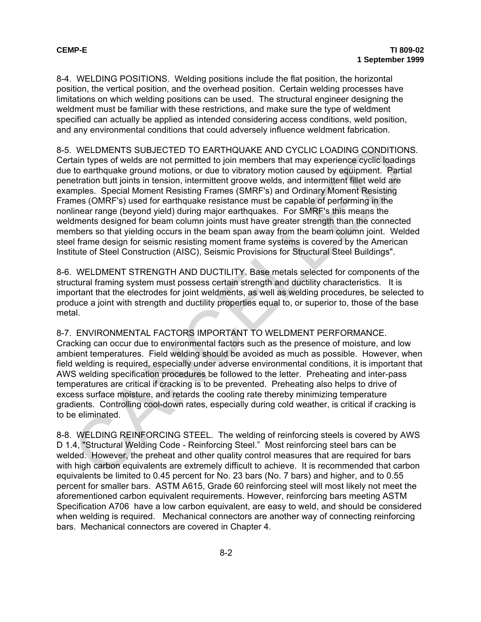8-4. WELDING POSITIONS. Welding positions include the flat position, the horizontal position, the vertical position, and the overhead position. Certain welding processes have limitations on which welding positions can be used. The structural engineer designing the weldment must be familiar with these restrictions, and make sure the type of weldment specified can actually be applied as intended considering access conditions, weld position, and any environmental conditions that could adversely influence weldment fabrication.

8-5. WELDMENTS SUBJECTED TO EARTHQUAKE AND CYCLIC LOADING CONDITIONS. Certain types of welds are not permitted to join members that may experience cyclic loadings due to earthquake ground motions, or due to vibratory motion caused by equipment. Partial penetration butt joints in tension, intermittent groove welds, and intermittent fillet weld are examples. Special Moment Resisting Frames (SMRF's) and Ordinary Moment Resisting Frames (OMRF's) used for earthquake resistance must be capable of performing in the nonlinear range (beyond yield) during major earthquakes. For SMRF's this means the weldments designed for beam column joints must have greater strength than the connected members so that yielding occurs in the beam span away from the beam column joint. Welded steel frame design for seismic resisting moment frame systems is covered by the American Institute of Steel Construction (AISC), Seismic Provisions for Structural Steel Buildings". . WELDMENTS SUBJECTED TO EARTHQUAKE AND CYCLIC LOADING CONDITION<br>tion tipse of welds are not permitted to join members that may experience cyclic loading<br>tain types of welds are not permitted to join members that may exper

8-6. WELDMENT STRENGTH AND DUCTILITY. Base metals selected for components of the structural framing system must possess certain strength and ductility characteristics. It is important that the electrodes for joint weldments, as well as welding procedures, be selected to produce a joint with strength and ductility properties equal to, or superior to, those of the base metal.

8-7. ENVIRONMENTAL FACTORS IMPORTANT TO WELDMENT PERFORMANCE. Cracking can occur due to environmental factors such as the presence of moisture, and low ambient temperatures. Field welding should be avoided as much as possible. However, when field welding is required, especially under adverse environmental conditions, it is important that AWS welding specification procedures be followed to the letter. Preheating and inter-pass temperatures are critical if cracking is to be prevented. Preheating also helps to drive of excess surface moisture, and retards the cooling rate thereby minimizing temperature gradients. Controlling cool-down rates, especially during cold weather, is critical if cracking is to be eliminated.

8-8. WELDING REINFORCING STEEL. The welding of reinforcing steels is covered by AWS D 1.4, "Structural Welding Code - Reinforcing Steel." Most reinforcing steel bars can be welded. However, the preheat and other quality control measures that are required for bars with high carbon equivalents are extremely difficult to achieve. It is recommended that carbon equivalents be limited to 0.45 percent for No. 23 bars (No. 7 bars) and higher, and to 0.55 percent for smaller bars. ASTM A615, Grade 60 reinforcing steel will most likely not meet the aforementioned carbon equivalent requirements. However, reinforcing bars meeting ASTM Specification A706 have a low carbon equivalent, are easy to weld, and should be considered when welding is required. Mechanical connectors are another way of connecting reinforcing bars. Mechanical connectors are covered in Chapter 4.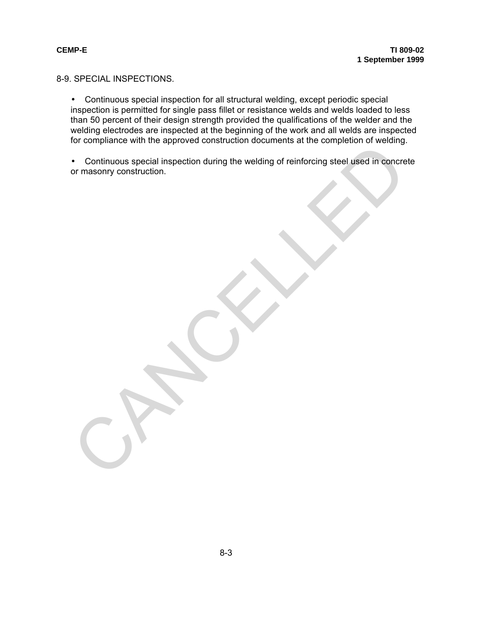8-9. SPECIAL INSPECTIONS.

• Continuous special inspection for all structural welding, except periodic special inspection is permitted for single pass fillet or resistance welds and welds loaded to less than 50 percent of their design strength provided the qualifications of the welder and the welding electrodes are inspected at the beginning of the work and all welds are inspected for compliance with the approved construction documents at the completion of welding.

• Continuous special inspection during the welding of reinforcing steel used in concrete or masonry construction. of completion that the upplicated constation. Hocking the welding of reinforcing steel used in concrete<br>• Continuous special inspection during the welding of reinforcing steel used in concrete<br>or masonry construction.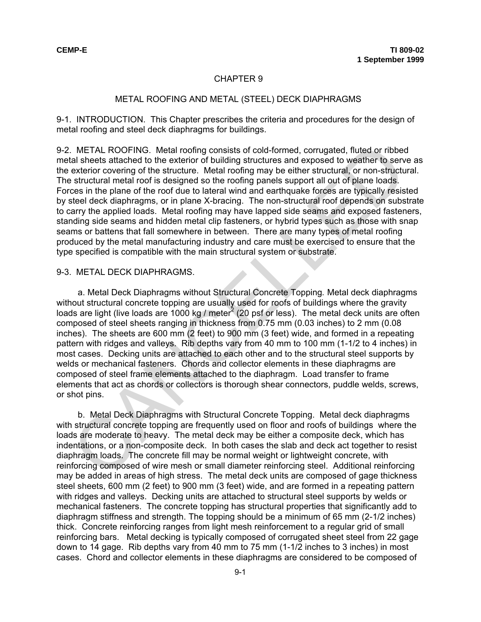#### METAL ROOFING AND METAL (STEEL) DECK DIAPHRAGMS

9-1. INTRODUCTION. This Chapter prescribes the criteria and procedures for the design of metal roofing and steel deck diaphragms for buildings.

9-2. METAL ROOFING. Metal roofing consists of cold-formed, corrugated, fluted or ribbed metal sheets attached to the exterior of building structures and exposed to weather to serve as the exterior covering of the structure. Metal roofing may be either structural, or non-structural. The structural metal roof is designed so the roofing panels support all out of plane loads. Forces in the plane of the roof due to lateral wind and earthquake forces are typically resisted by steel deck diaphragms, or in plane X-bracing. The non-structural roof depends on substrate to carry the applied loads. Metal roofing may have lapped side seams and exposed fasteners, standing side seams and hidden metal clip fasteners, or hybrid types such as those with snap seams or battens that fall somewhere in between. There are many types of metal roofing produced by the metal manufacturing industry and care must be exercised to ensure that the type specified is compatible with the main structural system or substrate. . METAL ROOFING. Metal roofing consists of cold-formed, corrugated, fluted or ribbee<br>al sheets attached to the exterior corbuilding structures and exposed to weather to service exterior covering of the structure. Metal rol

#### 9-3. METAL DECK DIAPHRAGMS.

a. Metal Deck Diaphragms without Structural Concrete Topping*.* Metal deck diaphragms without structural concrete topping are usually used for roofs of buildings where the gravity loads are light (live loads are 1000 kg / meter<sup>2</sup> (20 psf or less). The metal deck units are often composed of steel sheets ranging in thickness from 0.75 mm (0.03 inches) to 2 mm (0.08 inches). The sheets are 600 mm (2 feet) to 900 mm (3 feet) wide, and formed in a repeating pattern with ridges and valleys. Rib depths vary from 40 mm to 100 mm (1-1/2 to 4 inches) in most cases. Decking units are attached to each other and to the structural steel supports by welds or mechanical fasteners. Chords and collector elements in these diaphragms are composed of steel frame elements attached to the diaphragm. Load transfer to frame elements that act as chords or collectors is thorough shear connectors, puddle welds, screws, or shot pins.

b. Metal Deck Diaphragms with Structural Concrete Topping. Metal deck diaphragms with structural concrete topping are frequently used on floor and roofs of buildings where the loads are moderate to heavy. The metal deck may be either a composite deck, which has indentations, or a non-composite deck. In both cases the slab and deck act together to resist diaphragm loads. The concrete fill may be normal weight or lightweight concrete, with reinforcing composed of wire mesh or small diameter reinforcing steel. Additional reinforcing may be added in areas of high stress. The metal deck units are composed of gage thickness steel sheets, 600 mm (2 feet) to 900 mm (3 feet) wide, and are formed in a repeating pattern with ridges and valleys. Decking units are attached to structural steel supports by welds or mechanical fasteners. The concrete topping has structural properties that significantly add to diaphragm stiffness and strength. The topping should be a minimum of 65 mm (2-1/2 inches) thick. Concrete reinforcing ranges from light mesh reinforcement to a regular grid of small reinforcing bars. Metal decking is typically composed of corrugated sheet steel from 22 gage down to 14 gage. Rib depths vary from 40 mm to 75 mm (1-1/2 inches to 3 inches) in most cases. Chord and collector elements in these diaphragms are considered to be composed of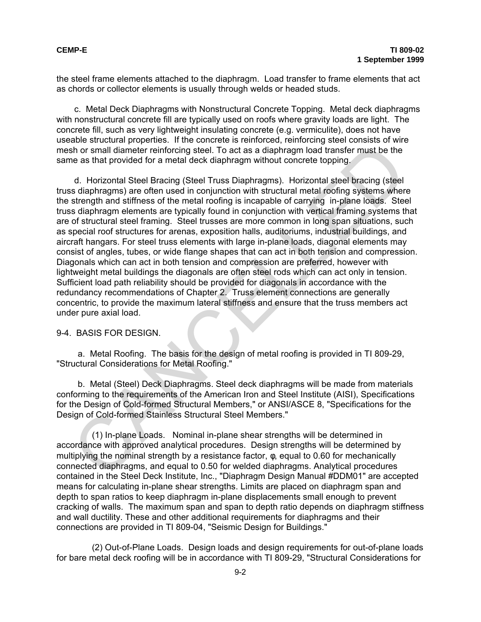the steel frame elements attached to the diaphragm. Load transfer to frame elements that act as chords or collector elements is usually through welds or headed studs.

c. Metal Deck Diaphragms with Nonstructural Concrete Topping. Metal deck diaphragms with nonstructural concrete fill are typically used on roofs where gravity loads are light. The concrete fill, such as very lightweight insulating concrete (e.g. vermiculite), does not have useable structural properties. If the concrete is reinforced, reinforcing steel consists of wire mesh or small diameter reinforcing steel. To act as a diaphragm load transfer must be the same as that provided for a metal deck diaphragm without concrete topping.

d. Horizontal Steel Bracing (Steel Truss Diaphragms). Horizontal steel bracing (steel truss diaphragms) are often used in conjunction with structural metal roofing systems where the strength and stiffness of the metal roofing is incapable of carrying in-plane loads. Steel truss diaphragm elements are typically found in conjunction with vertical framing systems that are of structural steel framing. Steel trusses are more common in long span situations, such as special roof structures for arenas, exposition halls, auditoriums, industrial buildings, and aircraft hangars. For steel truss elements with large in-plane loads, diagonal elements may consist of angles, tubes, or wide flange shapes that can act in both tension and compression. Diagonals which can act in both tension and compression are preferred, however with lightweight metal buildings the diagonals are often steel rods which can act only in tension. Sufficient load path reliability should be provided for diagonals in accordance with the redundancy recommendations of Chapter 2. Truss element connections are generally concentric, to provide the maximum lateral stiffness and ensure that the truss members act under pure axial load. information and preferance of the methal of the methal of the methal of the best and an information of small diameter reinforcing steel. To act as a diaphragm load transfer must be the<br>the as that provided for a metal deck

### 9-4. BASIS FOR DESIGN.

a. Metal Roofing. The basis for the design of metal roofing is provided in TI 809-29, "Structural Considerations for Metal Roofing."

b. Metal (Steel) Deck Diaphragms. Steel deck diaphragms will be made from materials conforming to the requirements of the American Iron and Steel Institute (AISI), Specifications for the Design of Cold-formed Structural Members," or ANSI/ASCE 8, "Specifications for the Design of Cold-formed Stainless Structural Steel Members."

(1) In-plane Loads. Nominal in-plane shear strengths will be determined in accordance with approved analytical procedures. Design strengths will be determined by multiplying the nominal strength by a resistance factor, φ, equal to 0.60 for mechanically connected diaphragms, and equal to 0.50 for welded diaphragms. Analytical procedures contained in the Steel Deck Institute, Inc., "Diaphragm Design Manual #DDM01" are accepted means for calculating in-plane shear strengths. Limits are placed on diaphragm span and depth to span ratios to keep diaphragm in-plane displacements small enough to prevent cracking of walls. The maximum span and span to depth ratio depends on diaphragm stiffness and wall ductility. These and other additional requirements for diaphragms and their connections are provided in TI 809-04, "Seismic Design for Buildings."

(2) Out-of-Plane Loads. Design loads and design requirements for out-of-plane loads for bare metal deck roofing will be in accordance with TI 809-29, "Structural Considerations for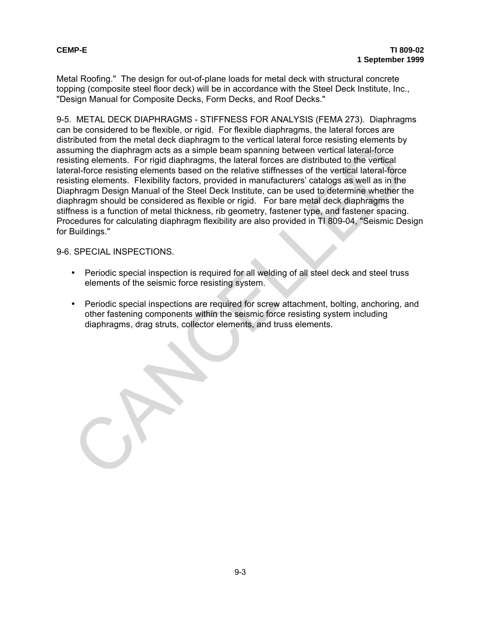Metal Roofing." The design for out-of-plane loads for metal deck with structural concrete topping (composite steel floor deck) will be in accordance with the Steel Deck Institute, Inc., "Design Manual for Composite Decks, Form Decks, and Roof Decks."

9-5. METAL DECK DIAPHRAGMS - STIFFNESS FOR ANALYSIS (FEMA 273). Diaphragms can be considered to be flexible, or rigid. For flexible diaphragms, the lateral forces are distributed from the metal deck diaphragm to the vertical lateral force resisting elements by assuming the diaphragm acts as a simple beam spanning between vertical lateral-force resisting elements. For rigid diaphragms, the lateral forces are distributed to the vertical lateral-force resisting elements based on the relative stiffnesses of the vertical lateral-force resisting elements. Flexibility factors, provided in manufacturers' catalogs as well as in the Diaphragm Design Manual of the Steel Deck Institute, can be used to determine whether the diaphragm should be considered as flexible or rigid. For bare metal deck diaphragms the stiffness is a function of metal thickness, rib geometry, fastener type, and fastener spacing. Procedures for calculating diaphragm flexibility are also provided in TI 809-04, "Seismic Design for Buildings." muning the diaphragm acts as a simple beam spanning between vertical laterationer<br>unring the diaphragm acts as a simple beam spanning between vertical laterationer<br>tal-force resisting elements. For rigild diaphragms, the l

## 9-6. SPECIAL INSPECTIONS.

- Periodic special inspection is required for all welding of all steel deck and steel truss elements of the seismic force resisting system.
- Periodic special inspections are required for screw attachment, bolting, anchoring, and other fastening components within the seismic force resisting system including diaphragms, drag struts, collector elements, and truss elements.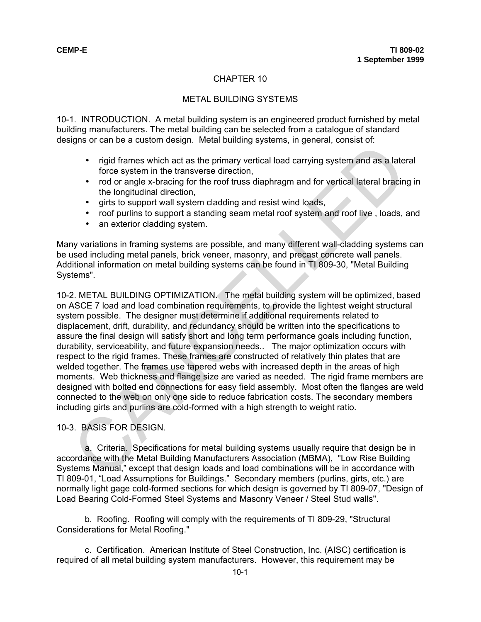## METAL BUILDING SYSTEMS

10-1. INTRODUCTION. A metal building system is an engineered product furnished by metal building manufacturers. The metal building can be selected from a catalogue of standard designs or can be a custom design. Metal building systems, in general, consist of:

- rigid frames which act as the primary vertical load carrying system and as a lateral force system in the transverse direction,
- rod or angle x-bracing for the roof truss diaphragm and for vertical lateral bracing in the longitudinal direction,
- girts to support wall system cladding and resist wind loads,
- roof purlins to support a standing seam metal roof system and roof live , loads, and
- an exterior cladding system.

Many variations in framing systems are possible, and many different wall-cladding systems can be used including metal panels, brick veneer, masonry, and precast concrete wall panels. Additional information on metal building systems can be found in TI 809-30, "Metal Building Systems".

10-2. METAL BUILDING OPTIMIZATION. The metal building system will be optimized, based on ASCE 7 load and load combination requirements, to provide the lightest weight structural system possible. The designer must determine if additional requirements related to displacement, drift, durability, and redundancy should be written into the specifications to assure the final design will satisfy short and long term performance goals including function, durability, serviceability, and future expansion needs.. The major optimization occurs with respect to the rigid frames. These frames are constructed of relatively thin plates that are welded together. The frames use tapered webs with increased depth in the areas of high moments. Web thickness and flange size are varied as needed. The rigid frame members are designed with bolted end connections for easy field assembly. Most often the flanges are weld connected to the web on only one side to reduce fabrication costs. The secondary members including girts and purlins are cold-formed with a high strength to weight ratio. • The diversion and the planary system, and a state of the planary system in the transverse direction,<br>• The diverse system in the transverse direction,<br>• The root of angle x-bracing for the roof truss diaphragm and for ve

10-3. BASIS FOR DESIGN.

a. Criteria. Specifications for metal building systems usually require that design be in accordance with the Metal Building Manufacturers Association (MBMA), "Low Rise Building Systems Manual," except that design loads and load combinations will be in accordance with TI 809-01, "Load Assumptions for Buildings." Secondary members (purlins, girts, etc.) are normally light gage cold-formed sections for which design is governed by TI 809-07, "Design of Load Bearing Cold-Formed Steel Systems and Masonry Veneer / Steel Stud walls".

b. Roofing. Roofing will comply with the requirements of TI 809-29, "Structural Considerations for Metal Roofing."

c. Certification. American Institute of Steel Construction, Inc. (AISC) certification is required of all metal building system manufacturers. However, this requirement may be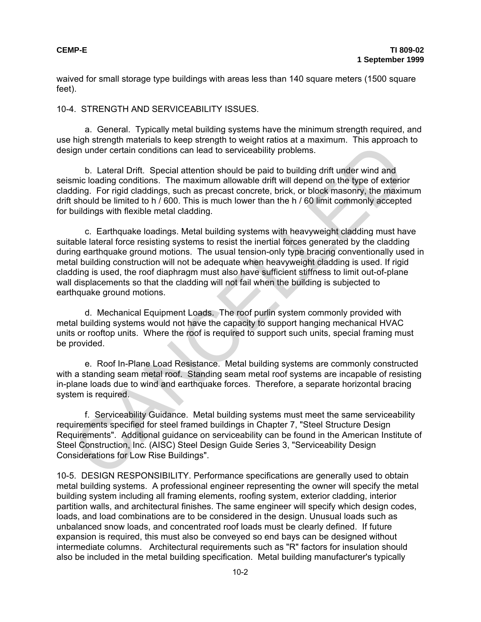waived for small storage type buildings with areas less than 140 square meters (1500 square feet).

## 10-4. STRENGTH AND SERVICEABILITY ISSUES.

a. General. Typically metal building systems have the minimum strength required, and use high strength materials to keep strength to weight ratios at a maximum. This approach to design under certain conditions can lead to serviceability problems.

b. Lateral Drift. Special attention should be paid to building drift under wind and seismic loading conditions. The maximum allowable drift will depend on the type of exterior cladding. For rigid claddings, such as precast concrete, brick, or block masonry, the maximum drift should be limited to h / 600. This is much lower than the h / 60 limit commonly accepted for buildings with flexible metal cladding.

c. Earthquake loadings. Metal building systems with heavyweight cladding must have suitable lateral force resisting systems to resist the inertial forces generated by the cladding during earthquake ground motions. The usual tension-only type bracing conventionally used in metal building construction will not be adequate when heavyweight cladding is used. If rigid cladding is used, the roof diaphragm must also have sufficient stiffness to limit out-of-plane wall displacements so that the cladding will not fail when the building is subjected to earthquake ground motions. right theorem and the specific and the specific and the Merican Conditions can be the specifical attention should be paid to building drift under wind and<br>tiding. For rigid claddings, such as precast concrete, brick, or bl

d. Mechanical Equipment Loads. The roof purlin system commonly provided with metal building systems would not have the capacity to support hanging mechanical HVAC units or rooftop units. Where the roof is required to support such units, special framing must be provided.

e. Roof In-Plane Load Resistance. Metal building systems are commonly constructed with a standing seam metal roof. Standing seam metal roof systems are incapable of resisting in-plane loads due to wind and earthquake forces. Therefore, a separate horizontal bracing system is required.

f. Serviceability Guidance. Metal building systems must meet the same serviceability requirements specified for steel framed buildings in Chapter 7, "Steel Structure Design Requirements". Additional guidance on serviceability can be found in the American Institute of Steel Construction, Inc. (AISC) Steel Design Guide Series 3, "Serviceability Design Considerations for Low Rise Buildings".

10-5. DESIGN RESPONSIBILITY. Performance specifications are generally used to obtain metal building systems. A professional engineer representing the owner will specify the metal building system including all framing elements, roofing system, exterior cladding, interior partition walls, and architectural finishes. The same engineer will specify which design codes, loads, and load combinations are to be considered in the design. Unusual loads such as unbalanced snow loads, and concentrated roof loads must be clearly defined. If future expansion is required, this must also be conveyed so end bays can be designed without intermediate columns. Architectural requirements such as "R" factors for insulation should also be included in the metal building specification. Metal building manufacturer's typically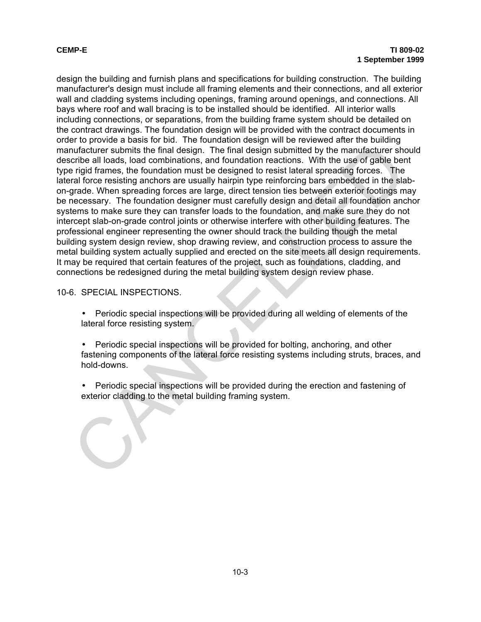design the building and furnish plans and specifications for building construction. The building manufacturer's design must include all framing elements and their connections, and all exterior wall and cladding systems including openings, framing around openings, and connections. All bays where roof and wall bracing is to be installed should be identified. All interior walls including connections, or separations, from the building frame system should be detailed on the contract drawings. The foundation design will be provided with the contract documents in order to provide a basis for bid. The foundation design will be reviewed after the building manufacturer submits the final design. The final design submitted by the manufacturer should describe all loads, load combinations, and foundation reactions. With the use of gable bent type rigid frames, the foundation must be designed to resist lateral spreading forces. The lateral force resisting anchors are usually hairpin type reinforcing bars embedded in the slabon-grade. When spreading forces are large, direct tension ties between exterior footings may be necessary. The foundation designer must carefully design and detail all foundation anchor systems to make sure they can transfer loads to the foundation, and make sure they do not intercept slab-on-grade control joints or otherwise interfere with other building features. The professional engineer representing the owner should track the building though the metal building system design review, shop drawing review, and construction process to assure the metal building system actually supplied and erected on the site meets all design requirements. It may be required that certain features of the project, such as foundations, cladding, and connections be redesigned during the metal building system design review phase. or previous the final design. The final design submitted by the manufacturer submitted by the manufacturer shortles all loads, load combinations, and foundation reactions. With the use of gable ber-<br>rigid frames, the found

# 10-6. SPECIAL INSPECTIONS.

- Periodic special inspections will be provided during all welding of elements of the lateral force resisting system.
- Periodic special inspections will be provided for bolting, anchoring, and other fastening components of the lateral force resisting systems including struts, braces, and hold-downs.
- Periodic special inspections will be provided during the erection and fastening of exterior cladding to the metal building framing system.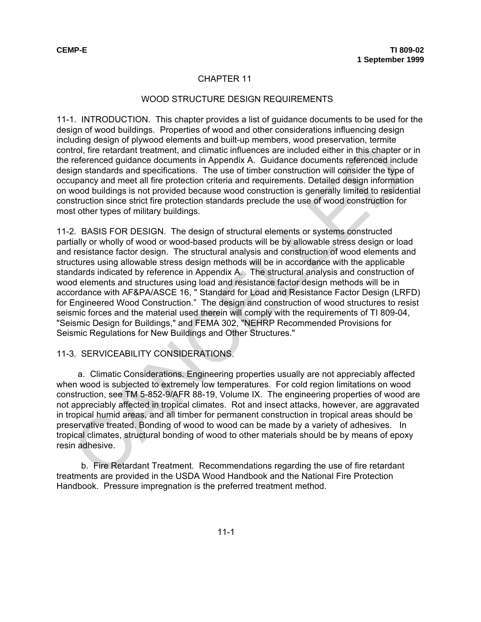### WOOD STRUCTURE DESIGN REQUIREMENTS

11-1. INTRODUCTION. This chapter provides a list of guidance documents to be used for the design of wood buildings. Properties of wood and other considerations influencing design including design of plywood elements and built-up members, wood preservation, termite control, fire retardant treatment, and climatic influences are included either in this chapter or in the referenced guidance documents in Appendix A. Guidance documents referenced include design standards and specifications. The use of timber construction will consider the type of occupancy and meet all fire protection criteria and requirements. Detailed design information on wood buildings is not provided because wood construction is generally limited to residential construction since strict fire protection standards preclude the use of wood construction for most other types of military buildings.

11-2. BASIS FOR DESIGN. The design of structural elements or systems constructed partially or wholly of wood or wood-based products will be by allowable stress design or load and resistance factor design. The structural analysis and construction of wood elements and structures using allowable stress design methods will be in accordance with the applicable standards indicated by reference in Appendix A. The structural analysis and construction of wood elements and structures using load and resistance factor design methods will be in accordance with AF&PA/ASCE 16, " Standard for Load and Resistance Factor Design (LRFD) for Engineered Wood Construction." The design and construction of wood structures to resist seismic forces and the material used therein will comply with the requirements of TI 809-04, "Seismic Design for Buildings," and FEMA 302, "NEHRP Recommended Provisions for Seismic Regulations for New Buildings and Other Structures." Engine of the distance doteration in tAppendix A. Guidance is neithed by a member of the electron of the electron of the relation of the relation of the relation of the relation of the relation of the relation of the relat

### 11-3. SERVICEABILITY CONSIDERATIONS.

a. Climatic Considerations. Engineering properties usually are not appreciably affected when wood is subjected to extremely low temperatures. For cold region limitations on wood construction, see TM 5-852-9/AFR 88-19, Volume IX. The engineering properties of wood are not appreciably affected in tropical climates. Rot and insect attacks, however, are aggravated in tropical humid areas, and all timber for permanent construction in tropical areas should be preservative treated. Bonding of wood to wood can be made by a variety of adhesives. In tropical climates, structural bonding of wood to other materials should be by means of epoxy resin adhesive.

b. Fire Retardant Treatment. Recommendations regarding the use of fire retardant treatments are provided in the USDA Wood Handbook and the National Fire Protection Handbook. Pressure impregnation is the preferred treatment method.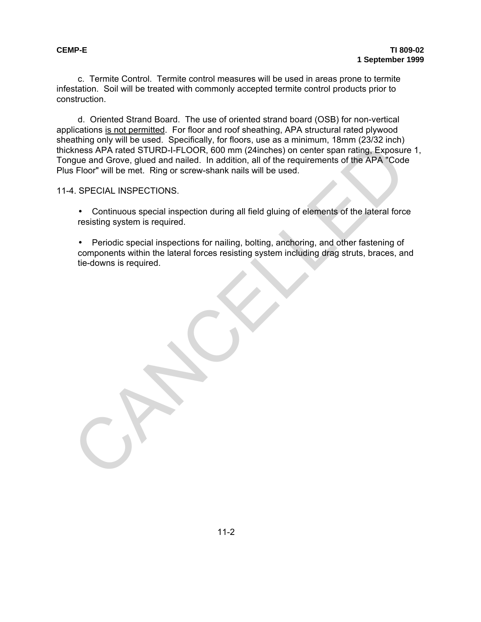c. Termite Control. Termite control measures will be used in areas prone to termite infestation. Soil will be treated with commonly accepted termite control products prior to construction.

d. Oriented Strand Board. The use of oriented strand board (OSB) for non-vertical applications is not permitted. For floor and roof sheathing, APA structural rated plywood sheathing only will be used. Specifically, for floors, use as a minimum, 18mm (23/32 inch) thickness APA rated STURD-I-FLOOR, 600 mm (24inches) on center span rating, Exposure 1, Tongue and Grove, glued and nailed. In addition, all of the requirements of the APA "Code Plus Floor" will be met. Ring or screw-shank nails will be used. Mens APA rated STURD-I-FLOOR, 600 mm (24inches) on center span rating, Exposure<br>
Mens APA rated STURD-I-FLOOR, 600 mm (24inches) on center span rating, Exposure<br>
Floor "will be met. Ring or screw-shank nails will be used.<br>

11-4. SPECIAL INSPECTIONS.

- Continuous special inspection during all field gluing of elements of the lateral force resisting system is required.
- Periodic special inspections for nailing, bolting, anchoring, and other fastening of components within the lateral forces resisting system including drag struts, braces, and tie-downs is required.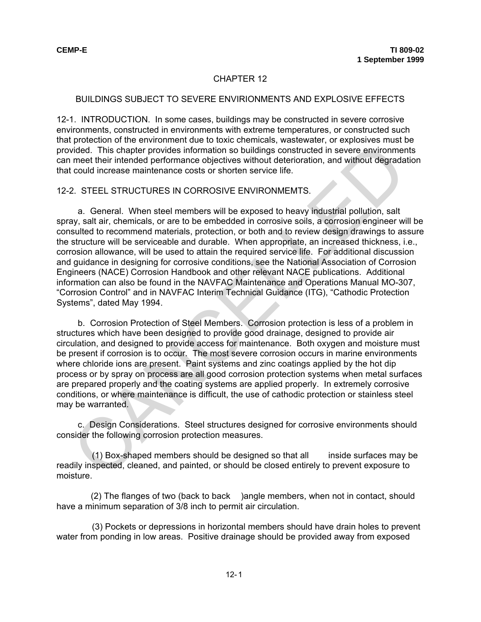### BUILDINGS SUBJECT TO SEVERE ENVIRIONMENTS AND EXPLOSIVE EFFECTS

12-1. INTRODUCTION. In some cases, buildings may be constructed in severe corrosive environments, constructed in environments with extreme temperatures, or constructed such that protection of the environment due to toxic chemicals, wastewater, or explosives must be provided. This chapter provides information so buildings constructed in severe environments can meet their intended performance objectives without deterioration, and without degradation that could increase maintenance costs or shorten service life.

#### 12-2. STEEL STRUCTURES IN CORROSIVE ENVIRONMEMTS.

 a. General. When steel members will be exposed to heavy industrial pollution, salt spray, salt air, chemicals, or are to be embedded in corrosive soils, a corrosion engineer will be consulted to recommend materials, protection, or both and to review design drawings to assure the structure will be serviceable and durable. When appropriate, an increased thickness, i.e., corrosion allowance, will be used to attain the required service life. For additional discussion and guidance in designing for corrosive conditions, see the National Association of Corrosion Engineers (NACE) Corrosion Handbook and other relevant NACE publications. Additional information can also be found in the NAVFAC Maintenance and Operations Manual MO-307, "Corrosion Control" and in NAVFAC Interim Technical Guidance (ITG), "Cathodic Protection Systems", dated May 1994. procedure in the metrical metrical substituted in severe environment their interded performance objectives without deterroidion, and without degrade constructed in severe environment their interded performance objectives w

b. Corrosion Protection of Steel Members. Corrosion protection is less of a problem in structures which have been designed to provide good drainage, designed to provide air circulation, and designed to provide access for maintenance. Both oxygen and moisture must be present if corrosion is to occur. The most severe corrosion occurs in marine environments where chloride ions are present. Paint systems and zinc coatings applied by the hot dip process or by spray on process are all good corrosion protection systems when metal surfaces are prepared properly and the coating systems are applied properly. In extremely corrosive conditions, or where maintenance is difficult, the use of cathodic protection or stainless steel may be warranted.

 c. Design Considerations. Steel structures designed for corrosive environments should consider the following corrosion protection measures.

 (1) Box-shaped members should be designed so that all inside surfaces may be readily inspected, cleaned, and painted, or should be closed entirely to prevent exposure to moisture.

 (2) The flanges of two (back to back )angle members, when not in contact, should have a minimum separation of 3/8 inch to permit air circulation.

 (3) Pockets or depressions in horizontal members should have drain holes to prevent water from ponding in low areas. Positive drainage should be provided away from exposed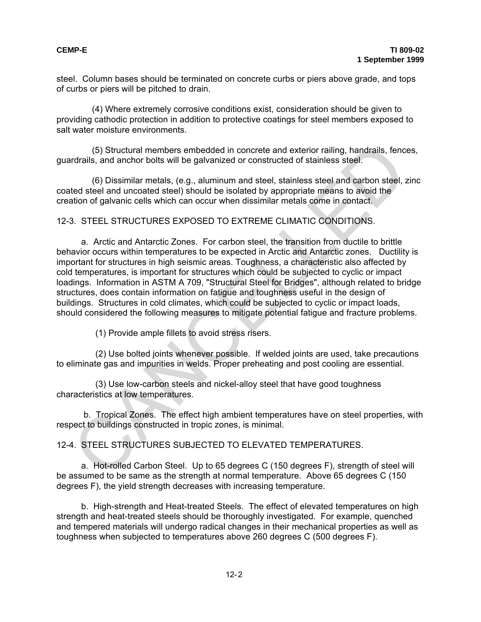steel. Column bases should be terminated on concrete curbs or piers above grade, and tops of curbs or piers will be pitched to drain.

 (4) Where extremely corrosive conditions exist, consideration should be given to providing cathodic protection in addition to protective coatings for steel members exposed to salt water moisture environments.

 (5) Structural members embedded in concrete and exterior railing, handrails, fences, guardrails, and anchor bolts will be galvanized or constructed of stainless steel.

 (6) Dissimilar metals, (e.g., aluminum and steel, stainless steel and carbon steel, zinc coated steel and uncoated steel) should be isolated by appropriate means to avoid the creation of galvanic cells which can occur when dissimilar metals come in contact.

## 12-3. STEEL STRUCTURES EXPOSED TO EXTREME CLIMATIC CONDITIONS.

a. Arctic and Antarctic Zones. For carbon steel, the transition from ductile to brittle behavior occurs within temperatures to be expected in Arctic and Antarctic zones. Ductility is important for structures in high seismic areas. Toughness, a characteristic also affected by cold temperatures, is important for structures which could be subjected to cyclic or impact loadings. Information in ASTM A 709, "Structural Steel for Bridges", although related to bridge structures, does contain information on fatigue and toughness useful in the design of buildings. Structures in cold climates, which could be subjected to cyclic or impact loads, should considered the following measures to mitigate potential fatigue and fracture problems. (5) Structural members embedded in concrete and exterior railing, handrails, fencefrails, and anchor bolts will be galvanized or constructed of stainless steel.<br>
Etad steel and uncoated steel) should be isolated by appropr

(1) Provide ample fillets to avoid stress risers.

 (2) Use bolted joints whenever possible. If welded joints are used, take precautions to eliminate gas and impurities in welds. Proper preheating and post cooling are essential.

 (3) Use low-carbon steels and nickel-alloy steel that have good toughness characteristics at low temperatures.

 b. Tropical Zones. The effect high ambient temperatures have on steel properties, with respect to buildings constructed in tropic zones, is minimal.

12-4. STEEL STRUCTURES SUBJECTED TO ELEVATED TEMPERATURES.

 a. Hot-rolled Carbon Steel. Up to 65 degrees C (150 degrees F), strength of steel will be assumed to be same as the strength at normal temperature. Above 65 degrees C (150 degrees F), the yield strength decreases with increasing temperature.

 b. High-strength and Heat-treated Steels. The effect of elevated temperatures on high strength and heat-treated steels should be thoroughly investigated. For example, quenched and tempered materials will undergo radical changes in their mechanical properties as well as toughness when subjected to temperatures above 260 degrees C (500 degrees F).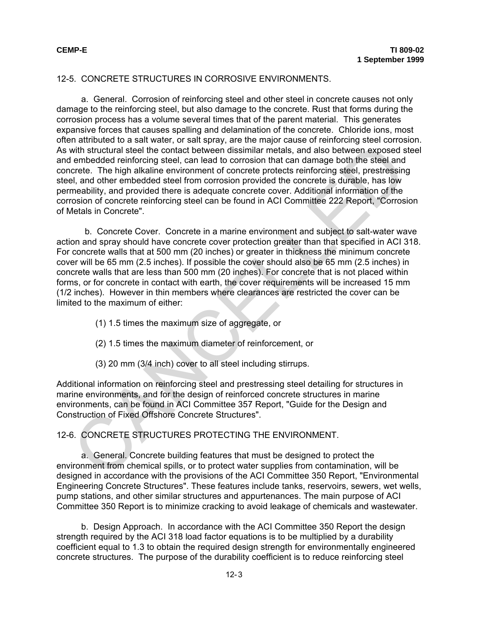## 12-5. CONCRETE STRUCTURES IN CORROSIVE ENVIRONMENTS.

a. General. Corrosion of reinforcing steel and other steel in concrete causes not only damage to the reinforcing steel, but also damage to the concrete. Rust that forms during the corrosion process has a volume several times that of the parent material. This generates expansive forces that causes spalling and delamination of the concrete. Chloride ions, most often attributed to a salt water, or salt spray, are the major cause of reinforcing steel corrosion. As with structural steel the contact between dissimilar metals, and also between exposed steel and embedded reinforcing steel, can lead to corrosion that can damage both the steel and concrete. The high alkaline environment of concrete protects reinforcing steel, prestressing steel, and other embedded steel from corrosion provided the concrete is durable, has low permeability, and provided there is adequate concrete cover. Additional information of the corrosion of concrete reinforcing steel can be found in ACI Committee 222 Report, "Corrosion of Metals in Concrete".

b. Concrete Cover. Concrete in a marine environment and subject to salt-water wave action and spray should have concrete cover protection greater than that specified in ACI 318. For concrete walls that at 500 mm (20 inches) or greater in thickness the minimum concrete cover will be 65 mm (2.5 inches). If possible the cover should also be 65 mm (2.5 inches) in concrete walls that are less than 500 mm (20 inches). For concrete that is not placed within forms, or for concrete in contact with earth, the cover requirements will be increased 15 mm (1/2 inches). However in thin members where clearances are restricted the cover can be limited to the maximum of either: in this structure of the control of the control of the control of the control of the control of the structural steel the control of the street and disc between exposed scretc. The high dalkaline environment of concrete pro

- (1) 1.5 times the maximum size of aggregate, or
- (2) 1.5 times the maximum diameter of reinforcement, or
- (3) 20 mm (3/4 inch) cover to all steel including stirrups.

Additional information on reinforcing steel and prestressing steel detailing for structures in marine environments, and for the design of reinforced concrete structures in marine environments, can be found in ACI Committee 357 Report, "Guide for the Design and Construction of Fixed Offshore Concrete Structures".

12-6. CONCRETE STRUCTURES PROTECTING THE ENVIRONMENT.

a. General. Concrete building features that must be designed to protect the environment from chemical spills, or to protect water supplies from contamination, will be designed in accordance with the provisions of the ACI Committee 350 Report, "Environmental Engineering Concrete Structures". These features include tanks, reservoirs, sewers, wet wells, pump stations, and other similar structures and appurtenances. The main purpose of ACI Committee 350 Report is to minimize cracking to avoid leakage of chemicals and wastewater.

b. Design Approach. In accordance with the ACI Committee 350 Report the design strength required by the ACI 318 load factor equations is to be multiplied by a durability coefficient equal to 1.3 to obtain the required design strength for environmentally engineered concrete structures. The purpose of the durability coefficient is to reduce reinforcing steel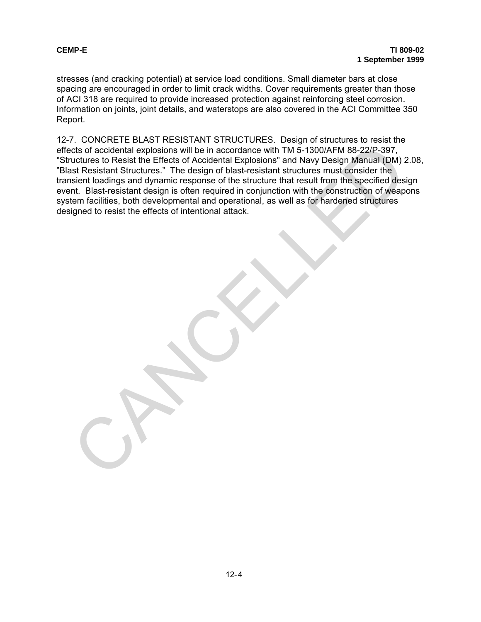stresses (and cracking potential) at service load conditions. Small diameter bars at close spacing are encouraged in order to limit crack widths. Cover requirements greater than those of ACI 318 are required to provide increased protection against reinforcing steel corrosion. Information on joints, joint details, and waterstops are also covered in the ACI Committee 350 Report.

12-7. CONCRETE BLAST RESISTANT STRUCTURES. Design of structures to resist the effects of accidental explosions will be in accordance with TM 5-1300/AFM 88-22/P-397, "Structures to Resist the Effects of Accidental Explosions" and Navy Design Manual (DM) 2.08, "Blast Resistant Structures." The design of blast-resistant structures must consider the transient loadings and dynamic response of the structure that result from the specified design event. Blast-resistant design is often required in conjunction with the construction of weapons system facilities, both developmental and operational, as well as for hardened structures designed to resist the effects of intentional attack. The contract the proposition will be in accordance with TM 5-1300/AFM 88-22/P-397.<br>
Intervalse to Resist the Effects of Accidental Explosions will be in accordance with TM 5-1300/AFM 88-22/P-397.<br>
Luctures to Resist the Ef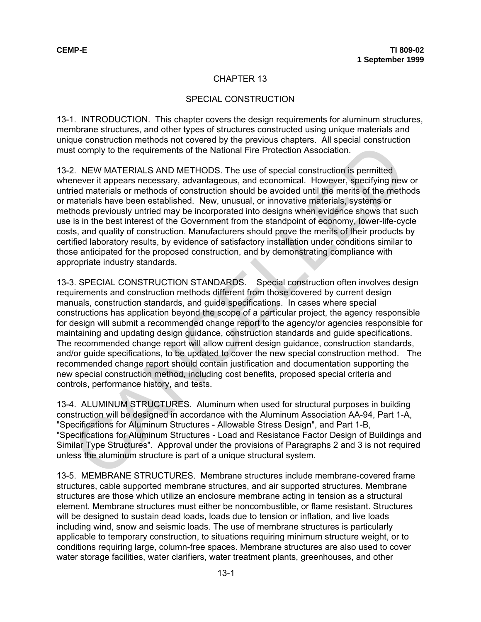## SPECIAL CONSTRUCTION

13-1. INTRODUCTION. This chapter covers the design requirements for aluminum structures, membrane structures, and other types of structures constructed using unique materials and unique construction methods not covered by the previous chapters. All special construction must comply to the requirements of the National Fire Protection Association.

13-2. NEW MATERIALS AND METHODS. The use of special construction is permitted whenever it appears necessary, advantageous, and economical. However, specifying new or untried materials or methods of construction should be avoided until the merits of the methods or materials have been established. New, unusual, or innovative materials, systems or methods previously untried may be incorporated into designs when evidence shows that such use is in the best interest of the Government from the standpoint of economy, lower-life-cycle costs, and quality of construction. Manufacturers should prove the merits of their products by certified laboratory results, by evidence of satisfactory installation under conditions similar to those anticipated for the proposed construction, and by demonstrating compliance with appropriate industry standards.

13-3. SPECIAL CONSTRUCTION STANDARDS. Special construction often involves design requirements and construction methods different from those covered by current design manuals, construction standards, and guide specifications. In cases where special constructions has application beyond the scope of a particular project, the agency responsible for design will submit a recommended change report to the agency/or agencies responsible for maintaining and updating design guidance, construction standards and guide specifications. The recommended change report will allow current design guidance, construction standards, and/or guide specifications, to be updated to cover the new special construction method. The recommended change report should contain justification and documentation supporting the new special construction method, including cost benefits, proposed special criteria and controls, performance history, and tests. ation of the means necessary, advantageously in the people of the people in the system of the people and the people and the people and the meth interaction. Severally, and the meth interaction is permitted interaction inst

13-4. ALUMINUM STRUCTURES. Aluminum when used for structural purposes in building construction will be designed in accordance with the Aluminum Association AA-94, Part 1-A, "Specifications for Aluminum Structures - Allowable Stress Design", and Part 1-B, "Specifications for Aluminum Structures - Load and Resistance Factor Design of Buildings and Similar Type Structures". Approval under the provisions of Paragraphs 2 and 3 is not required unless the aluminum structure is part of a unique structural system.

13-5. MEMBRANE STRUCTURES. Membrane structures include membrane-covered frame structures, cable supported membrane structures, and air supported structures. Membrane structures are those which utilize an enclosure membrane acting in tension as a structural element. Membrane structures must either be noncombustible, or flame resistant. Structures will be designed to sustain dead loads, loads due to tension or inflation, and live loads including wind, snow and seismic loads. The use of membrane structures is particularly applicable to temporary construction, to situations requiring minimum structure weight, or to conditions requiring large, column-free spaces. Membrane structures are also used to cover water storage facilities, water clarifiers, water treatment plants, greenhouses, and other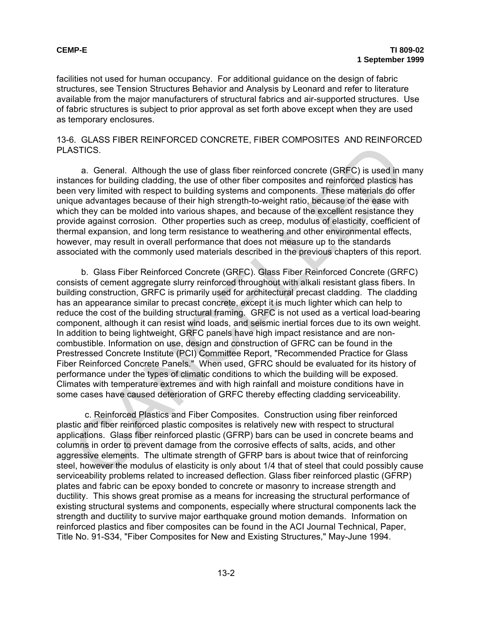facilities not used for human occupancy. For additional guidance on the design of fabric structures, see Tension Structures Behavior and Analysis by Leonard and refer to literature available from the major manufacturers of structural fabrics and air-supported structures. Use of fabric structures is subject to prior approval as set forth above except when they are used as temporary enclosures.

13-6. GLASS FIBER REINFORCED CONCRETE, FIBER COMPOSITES AND REINFORCED PLASTICS.

a. General. Although the use of glass fiber reinforced concrete (GRFC) is used in many instances for building cladding, the use of other fiber composites and reinforced plastics has been very limited with respect to building systems and components. These materials do offer unique advantages because of their high strength-to-weight ratio, because of the ease with which they can be molded into various shapes, and because of the excellent resistance they provide against corrosion. Other properties such as creep, modulus of elasticity, coefficient of thermal expansion, and long term resistance to weathering and other environmental effects, however, may result in overall performance that does not measure up to the standards associated with the commonly used materials described in the previous chapters of this report.

b. Glass Fiber Reinforced Concrete (GRFC). Glass Fiber Reinforced Concrete (GRFC) consists of cement aggregate slurry reinforced throughout with alkali resistant glass fibers. In building construction, GRFC is primarily used for architectural precast cladding. The cladding has an appearance similar to precast concrete, except it is much lighter which can help to reduce the cost of the building structural framing. GRFC is not used as a vertical load-bearing component, although it can resist wind loads, and seismic inertial forces due to its own weight. In addition to being lightweight, GRFC panels have high impact resistance and are noncombustible. Information on use, design and construction of GFRC can be found in the Prestressed Concrete Institute (PCI) Committee Report, "Recommended Practice for Glass Fiber Reinforced Concrete Panels." When used, GFRC should be evaluated for its history of performance under the types of climatic conditions to which the building will be exposed. Climates with temperature extremes and with high rainfall and moisture conditions have in some cases have caused deterioration of GRFC thereby effecting cladding serviceability. CFICES.<br>
a. General. Although the use of glass fiber reinforced concrete (GRFC) is used in a<br>nonses for building clading, the use of dher fiber composites and reinforced plastics has<br>nonses for building clading, the use of

c. Reinforced Plastics and Fiber Composites. Construction using fiber reinforced plastic and fiber reinforced plastic composites is relatively new with respect to structural applications. Glass fiber reinforced plastic (GFRP) bars can be used in concrete beams and columns in order to prevent damage from the corrosive effects of salts, acids, and other aggressive elements. The ultimate strength of GFRP bars is about twice that of reinforcing steel, however the modulus of elasticity is only about 1/4 that of steel that could possibly cause serviceability problems related to increased deflection. Glass fiber reinforced plastic (GFRP) plates and fabric can be epoxy bonded to concrete or masonry to increase strength and ductility. This shows great promise as a means for increasing the structural performance of existing structural systems and components, especially where structural components lack the strength and ductility to survive major earthquake ground motion demands. Information on reinforced plastics and fiber composites can be found in the ACI Journal Technical, Paper, Title No. 91-S34, "Fiber Composites for New and Existing Structures," May-June 1994.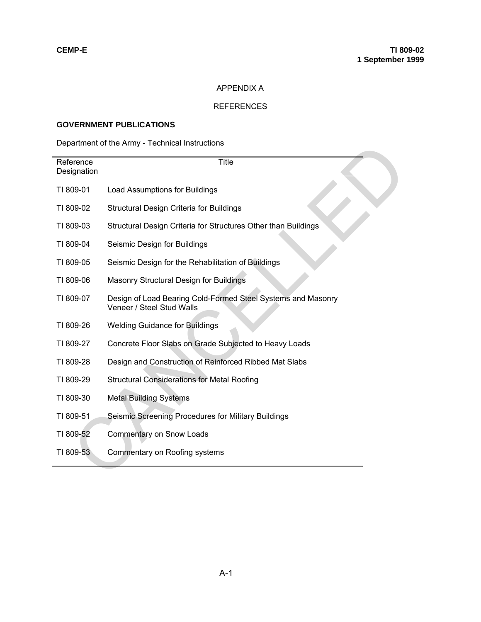## APPENDIX A

## REFERENCES

# **GOVERNMENT PUBLICATIONS**

# Department of the Army - Technical Instructions

| Department of the Army - Technical Instructions |                                                                                           |  |  |
|-------------------------------------------------|-------------------------------------------------------------------------------------------|--|--|
| Reference<br>Designation                        | <b>Title</b>                                                                              |  |  |
| TI 809-01                                       | Load Assumptions for Buildings                                                            |  |  |
| TI 809-02                                       | Structural Design Criteria for Buildings                                                  |  |  |
| TI 809-03                                       | Structural Design Criteria for Structures Other than Buildings                            |  |  |
| TI 809-04                                       | Seismic Design for Buildings                                                              |  |  |
| TI 809-05                                       | Seismic Design for the Rehabilitation of Buildings                                        |  |  |
| TI 809-06                                       | Masonry Structural Design for Buildings                                                   |  |  |
| TI 809-07                                       | Design of Load Bearing Cold-Formed Steel Systems and Masonry<br>Veneer / Steel Stud Walls |  |  |
| TI 809-26                                       | <b>Welding Guidance for Buildings</b>                                                     |  |  |
| TI 809-27                                       | Concrete Floor Slabs on Grade Subjected to Heavy Loads                                    |  |  |
| TI 809-28                                       | Design and Construction of Reinforced Ribbed Mat Slabs                                    |  |  |
| TI 809-29                                       | <b>Structural Considerations for Metal Roofing</b>                                        |  |  |
| TI 809-30                                       | <b>Metal Building Systems</b>                                                             |  |  |
| TI 809-51                                       | Seismic Screening Procedures for Military Buildings                                       |  |  |
| TI 809-52                                       | <b>Commentary on Snow Loads</b>                                                           |  |  |
| TI 809-53                                       | Commentary on Roofing systems                                                             |  |  |
|                                                 |                                                                                           |  |  |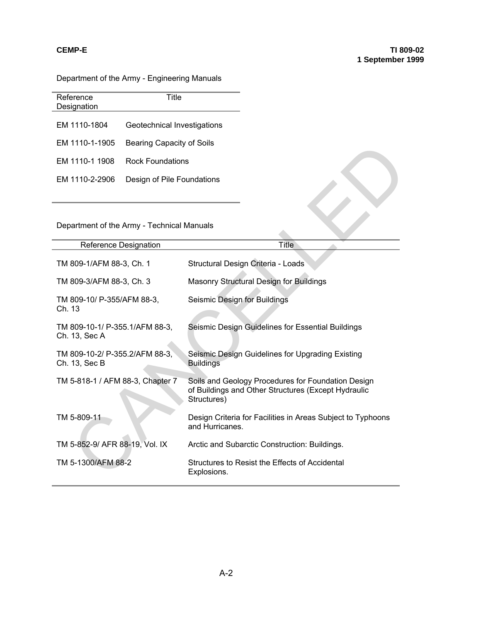Department of the Army - Engineering Manuals

| Reference      | Title                       |
|----------------|-----------------------------|
| Designation    |                             |
|                |                             |
| EM 1110-1804   | Geotechnical Investigations |
|                |                             |
| EM 1110-1-1905 | Bearing Capacity of Soils   |
|                |                             |
| FM 1110-1 1908 | Rock Foundations            |
|                |                             |
|                |                             |
| EM 1110-2-2906 | Design of Pile Foundations  |
|                |                             |

# Department of the Army - Technical Manuals

| EM 1110-1-1905                                  | Bearing Capacity of Solis  |                                                                                                                          |  |  |
|-------------------------------------------------|----------------------------|--------------------------------------------------------------------------------------------------------------------------|--|--|
| EM 1110-1 1908                                  | <b>Rock Foundations</b>    |                                                                                                                          |  |  |
| EM 1110-2-2906                                  | Design of Pile Foundations |                                                                                                                          |  |  |
| Department of the Army - Technical Manuals      |                            |                                                                                                                          |  |  |
| Reference Designation                           |                            | Title                                                                                                                    |  |  |
| TM 809-1/AFM 88-3, Ch. 1                        |                            | Structural Design Criteria - Loads                                                                                       |  |  |
| TM 809-3/AFM 88-3, Ch. 3                        |                            | Masonry Structural Design for Buildings                                                                                  |  |  |
| TM 809-10/ P-355/AFM 88-3,<br>Ch. 13            |                            | Seismic Design for Buildings                                                                                             |  |  |
| TM 809-10-1/ P-355.1/AFM 88-3,<br>Ch. 13, Sec A |                            | Seismic Design Guidelines for Essential Buildings                                                                        |  |  |
| TM 809-10-2/ P-355.2/AFM 88-3,<br>Ch. 13, Sec B |                            | Seismic Design Guidelines for Upgrading Existing<br><b>Buildings</b>                                                     |  |  |
| TM 5-818-1 / AFM 88-3, Chapter 7                |                            | Soils and Geology Procedures for Foundation Design<br>of Buildings and Other Structures (Except Hydraulic<br>Structures) |  |  |
| TM 5-809-11                                     |                            | Design Criteria for Facilities in Areas Subject to Typhoons<br>and Hurricanes.                                           |  |  |
| TM 5-852-9/ AFR 88-19, Vol. IX                  |                            | Arctic and Subarctic Construction: Buildings.                                                                            |  |  |
| TM 5-1300/AFM 88-2                              |                            | Structures to Resist the Effects of Accidental<br>Explosions.                                                            |  |  |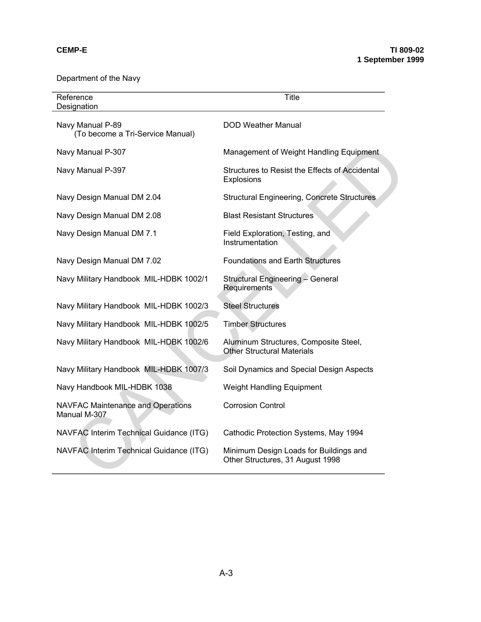Department of the Navy

| Reference<br>Designation                             | <b>Title</b>                                                               |
|------------------------------------------------------|----------------------------------------------------------------------------|
| Navy Manual P-89<br>(To become a Tri-Service Manual) | <b>DOD Weather Manual</b>                                                  |
| Navy Manual P-307                                    | Management of Weight Handling Equipment                                    |
| Navy Manual P-397                                    | Structures to Resist the Effects of Accidental<br>Explosions               |
| Navy Design Manual DM 2.04                           | <b>Structural Engineering, Concrete Structures</b>                         |
| Navy Design Manual DM 2.08                           | <b>Blast Resistant Structures</b>                                          |
| Navy Design Manual DM 7.1                            | Field Exploration, Testing, and<br>Instrumentation                         |
| Navy Design Manual DM 7.02                           | <b>Foundations and Earth Structures</b>                                    |
| Navy Military Handbook MIL-HDBK 1002/1               | Structural Engineering - General<br>Requirements                           |
| Navy Military Handbook MIL-HDBK 1002/3               | <b>Steel Structures</b>                                                    |
| Navy Military Handbook MIL-HDBK 1002/5               | <b>Timber Structures</b>                                                   |
| Navy Military Handbook MIL-HDBK 1002/6               | Aluminum Structures, Composite Steel,<br><b>Other Structural Materials</b> |
| Navy Military Handbook MIL-HDBK 1007/3               | Soil Dynamics and Special Design Aspects                                   |
| Navy Handbook MIL-HDBK 1038                          | <b>Weight Handling Equipment</b>                                           |
| NAVFAC Maintenance and Operations<br>Manual M-307    | <b>Corrosion Control</b>                                                   |
| NAVFAC Interim Technical Guidance (ITG)              | Cathodic Protection Systems, May 1994                                      |
| NAVFAC Interim Technical Guidance (ITG)              | Minimum Design Loads for Buildings and<br>Other Structures, 31 August 1998 |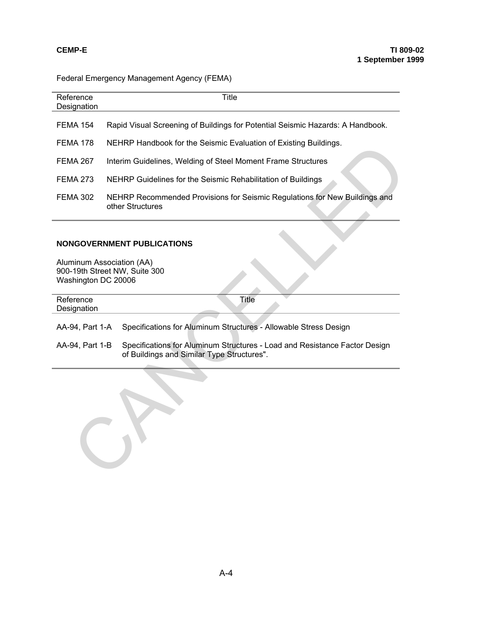# Federal Emergency Management Agency (FEMA)

| Reference<br>Designation                                                          | Title                                                                                                                    |  |  |  |  |
|-----------------------------------------------------------------------------------|--------------------------------------------------------------------------------------------------------------------------|--|--|--|--|
| <b>FEMA 154</b>                                                                   | Rapid Visual Screening of Buildings for Potential Seismic Hazards: A Handbook.                                           |  |  |  |  |
| <b>FEMA 178</b>                                                                   | NEHRP Handbook for the Seismic Evaluation of Existing Buildings.                                                         |  |  |  |  |
| <b>FEMA 267</b>                                                                   | Interim Guidelines, Welding of Steel Moment Frame Structures                                                             |  |  |  |  |
| <b>FEMA 273</b>                                                                   | NEHRP Guidelines for the Seismic Rehabilitation of Buildings                                                             |  |  |  |  |
| <b>FEMA 302</b>                                                                   | NEHRP Recommended Provisions for Seismic Regulations for New Buildings and<br>other Structures                           |  |  |  |  |
|                                                                                   |                                                                                                                          |  |  |  |  |
|                                                                                   | <b>NONGOVERNMENT PUBLICATIONS</b>                                                                                        |  |  |  |  |
| Aluminum Association (AA)<br>900-19th Street NW, Suite 300<br>Washington DC 20006 |                                                                                                                          |  |  |  |  |
| Reference<br>Designation                                                          | <b>Title</b>                                                                                                             |  |  |  |  |
| AA-94, Part 1-A                                                                   | Specifications for Aluminum Structures - Allowable Stress Design                                                         |  |  |  |  |
| AA-94, Part 1-B                                                                   | Specifications for Aluminum Structures - Load and Resistance Factor Design<br>of Buildings and Similar Type Structures". |  |  |  |  |
|                                                                                   |                                                                                                                          |  |  |  |  |

## **NONGOVERNMENT PUBLICATIONS**

| Reference       | Title                                                                                                                    |
|-----------------|--------------------------------------------------------------------------------------------------------------------------|
| Designation     |                                                                                                                          |
|                 |                                                                                                                          |
|                 | AA-94, Part 1-A Specifications for Aluminum Structures - Allowable Stress Design                                         |
| AA-94, Part 1-B | Specifications for Aluminum Structures - Load and Resistance Factor Design<br>of Buildings and Similar Type Structures". |

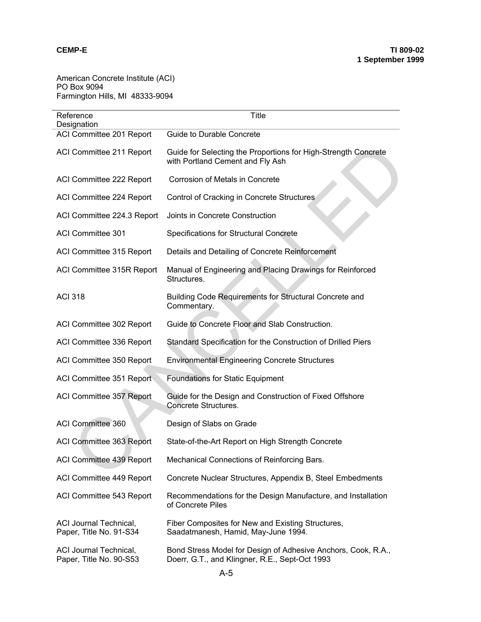American Concrete Institute (ACI) PO Box 9094 Farmington Hills, MI 48333-9094

| Reference<br>Designation                                 | <b>Title</b>                                                                                                    |  |  |  |  |
|----------------------------------------------------------|-----------------------------------------------------------------------------------------------------------------|--|--|--|--|
| ACI Committee 201 Report                                 | <b>Guide to Durable Concrete</b>                                                                                |  |  |  |  |
| ACI Committee 211 Report                                 | Guide for Selecting the Proportions for High-Strength Concrete<br>with Portland Cement and Fly Ash              |  |  |  |  |
| ACI Committee 222 Report                                 | Corrosion of Metals in Concrete                                                                                 |  |  |  |  |
| ACI Committee 224 Report                                 | Control of Cracking in Concrete Structures                                                                      |  |  |  |  |
| ACI Committee 224.3 Report                               | Joints in Concrete Construction                                                                                 |  |  |  |  |
| <b>ACI Committee 301</b>                                 | Specifications for Structural Concrete                                                                          |  |  |  |  |
| ACI Committee 315 Report                                 | Details and Detailing of Concrete Reinforcement                                                                 |  |  |  |  |
| ACI Committee 315R Report                                | Manual of Engineering and Placing Drawings for Reinforced<br>Structures.                                        |  |  |  |  |
| <b>ACI 318</b>                                           | Building Code Requirements for Structural Concrete and<br>Commentary.                                           |  |  |  |  |
| ACI Committee 302 Report                                 | Guide to Concrete Floor and Slab Construction.                                                                  |  |  |  |  |
| ACI Committee 336 Report                                 | Standard Specification for the Construction of Drilled Piers                                                    |  |  |  |  |
| ACI Committee 350 Report                                 | <b>Environmental Engineering Concrete Structures</b>                                                            |  |  |  |  |
| ACI Committee 351 Report                                 | <b>Foundations for Static Equipment</b>                                                                         |  |  |  |  |
| ACI Committee 357 Report                                 | Guide for the Design and Construction of Fixed Offshore<br><b>Concrete Structures.</b>                          |  |  |  |  |
| ACI Committee 360                                        | Design of Slabs on Grade                                                                                        |  |  |  |  |
| ACI Committee 363 Report                                 | State-of-the-Art Report on High Strength Concrete                                                               |  |  |  |  |
| ACI Committee 439 Report                                 | Mechanical Connections of Reinforcing Bars.                                                                     |  |  |  |  |
| ACI Committee 449 Report                                 | Concrete Nuclear Structures, Appendix B, Steel Embedments                                                       |  |  |  |  |
| ACI Committee 543 Report                                 | Recommendations for the Design Manufacture, and Installation<br>of Concrete Piles                               |  |  |  |  |
| ACI Journal Technical,<br>Paper, Title No. 91-S34        | Fiber Composites for New and Existing Structures,<br>Saadatmanesh, Hamid, May-June 1994.                        |  |  |  |  |
| <b>ACI Journal Technical,</b><br>Paper, Title No. 90-S53 | Bond Stress Model for Design of Adhesive Anchors, Cook, R.A.,<br>Doerr, G.T., and Klingner, R.E., Sept-Oct 1993 |  |  |  |  |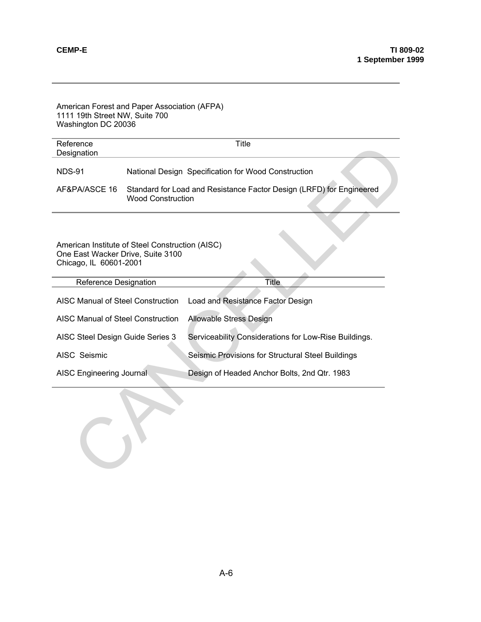| American Forest and Paper Association (AFPA)<br>1111 19th Street NW, Suite 700<br>Washington DC 20036          |                                                                                                  |                                                       |  |  |  |
|----------------------------------------------------------------------------------------------------------------|--------------------------------------------------------------------------------------------------|-------------------------------------------------------|--|--|--|
| Reference<br>Designation                                                                                       | Title                                                                                            |                                                       |  |  |  |
| <b>NDS-91</b>                                                                                                  | National Design Specification for Wood Construction                                              |                                                       |  |  |  |
| AF&PA/ASCE 16                                                                                                  | Standard for Load and Resistance Factor Design (LRFD) for Engineered<br><b>Wood Construction</b> |                                                       |  |  |  |
| American Institute of Steel Construction (AISC)<br>One East Wacker Drive, Suite 3100<br>Chicago, IL 60601-2001 |                                                                                                  |                                                       |  |  |  |
| Title<br>Reference Designation                                                                                 |                                                                                                  |                                                       |  |  |  |
| <b>AISC Manual of Steel Construction</b><br>Load and Resistance Factor Design                                  |                                                                                                  |                                                       |  |  |  |
| <b>Allowable Stress Design</b><br><b>AISC Manual of Steel Construction</b>                                     |                                                                                                  |                                                       |  |  |  |
| AISC Steel Design Guide Series 3                                                                               |                                                                                                  | Serviceability Considerations for Low-Rise Buildings. |  |  |  |
| AISC Seismic                                                                                                   |                                                                                                  | Seismic Provisions for Structural Steel Buildings     |  |  |  |
| AISC Engineering Journal                                                                                       |                                                                                                  | Design of Headed Anchor Bolts, 2nd Qtr. 1983          |  |  |  |
|                                                                                                                |                                                                                                  |                                                       |  |  |  |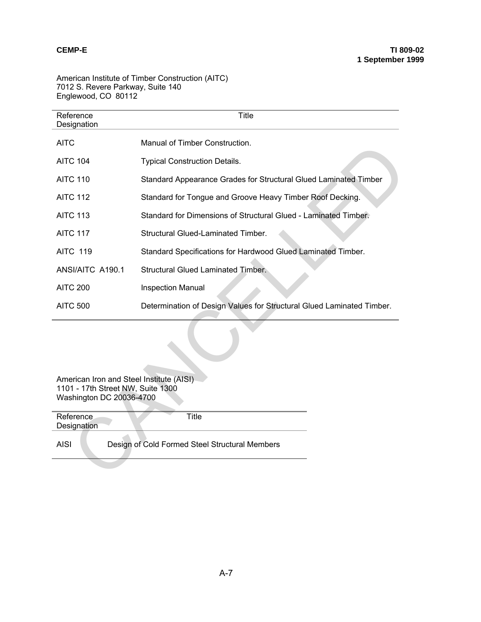American Institute of Timber Construction (AITC) 7012 S. Revere Parkway, Suite 140 Englewood, CO 80112

| Reference<br>Designation                                      | Title                                                                 |  |  |  |  |  |
|---------------------------------------------------------------|-----------------------------------------------------------------------|--|--|--|--|--|
| <b>AITC</b>                                                   | Manual of Timber Construction.                                        |  |  |  |  |  |
| <b>AITC 104</b>                                               | <b>Typical Construction Details.</b>                                  |  |  |  |  |  |
| <b>AITC 110</b>                                               | Standard Appearance Grades for Structural Glued Laminated Timber      |  |  |  |  |  |
| <b>AITC 112</b>                                               | Standard for Tongue and Groove Heavy Timber Roof Decking.             |  |  |  |  |  |
| <b>AITC 113</b>                                               | Standard for Dimensions of Structural Glued - Laminated Timber.       |  |  |  |  |  |
| <b>AITC 117</b>                                               | <b>Structural Glued-Laminated Timber.</b>                             |  |  |  |  |  |
| <b>AITC 119</b>                                               | Standard Specifications for Hardwood Glued Laminated Timber.          |  |  |  |  |  |
| ANSI/AITC A190.1                                              | <b>Structural Glued Laminated Timber.</b>                             |  |  |  |  |  |
| <b>AITC 200</b>                                               | Inspection Manual                                                     |  |  |  |  |  |
| <b>AITC 500</b>                                               | Determination of Design Values for Structural Glued Laminated Timber. |  |  |  |  |  |
| American Iron and Steel Institute (AISI)                      |                                                                       |  |  |  |  |  |
| 1101 - 17th Street NW, Suite 1300<br>Washington DC 20036-4700 |                                                                       |  |  |  |  |  |
| Reference<br>Designation                                      | <b>Title</b>                                                          |  |  |  |  |  |
| <b>AISI</b>                                                   | Design of Cold Formed Steel Structural Members                        |  |  |  |  |  |
|                                                               |                                                                       |  |  |  |  |  |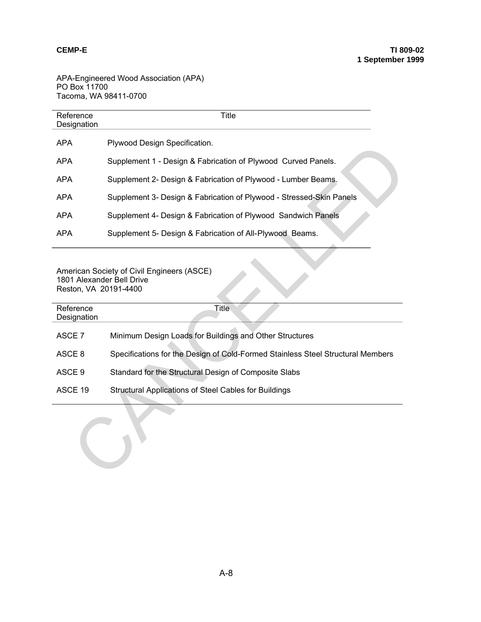APA-Engineered Wood Association (APA) PO Box 11700 Tacoma, WA 98411-0700

| Reference<br>Designation                                                                                                      | <b>Title</b>                                                                    |  |  |  |  |
|-------------------------------------------------------------------------------------------------------------------------------|---------------------------------------------------------------------------------|--|--|--|--|
| <b>APA</b>                                                                                                                    | Plywood Design Specification.                                                   |  |  |  |  |
| <b>APA</b>                                                                                                                    | Supplement 1 - Design & Fabrication of Plywood Curved Panels.                   |  |  |  |  |
| <b>APA</b>                                                                                                                    | Supplement 2- Design & Fabrication of Plywood - Lumber Beams.                   |  |  |  |  |
| <b>APA</b>                                                                                                                    | Supplement 3- Design & Fabrication of Plywood - Stressed-Skin Panels            |  |  |  |  |
| <b>APA</b>                                                                                                                    | Supplement 4- Design & Fabrication of Plywood Sandwich Panels                   |  |  |  |  |
| <b>APA</b>                                                                                                                    | Supplement 5- Design & Fabrication of All-Plywood Beams.                        |  |  |  |  |
| American Society of Civil Engineers (ASCE)<br>1801 Alexander Bell Drive<br>Reston, VA 20191-4400<br><b>Title</b><br>Reference |                                                                                 |  |  |  |  |
| Designation                                                                                                                   |                                                                                 |  |  |  |  |
| ASCE 7                                                                                                                        | Minimum Design Loads for Buildings and Other Structures                         |  |  |  |  |
| ASCE <sub>8</sub>                                                                                                             | Specifications for the Design of Cold-Formed Stainless Steel Structural Members |  |  |  |  |
| ASCE <sub>9</sub>                                                                                                             | Standard for the Structural Design of Composite Slabs                           |  |  |  |  |
| ASCE 19                                                                                                                       | Structural Applications of Steel Cables for Buildings                           |  |  |  |  |
|                                                                                                                               |                                                                                 |  |  |  |  |

| Reference<br>Designation | <b>Title</b>                                                                    |
|--------------------------|---------------------------------------------------------------------------------|
| ASCE 7                   | Minimum Design Loads for Buildings and Other Structures                         |
| ASCE 8                   | Specifications for the Design of Cold-Formed Stainless Steel Structural Members |
| ASCE 9                   | Standard for the Structural Design of Composite Slabs                           |
| ASCE 19                  | Structural Applications of Steel Cables for Buildings                           |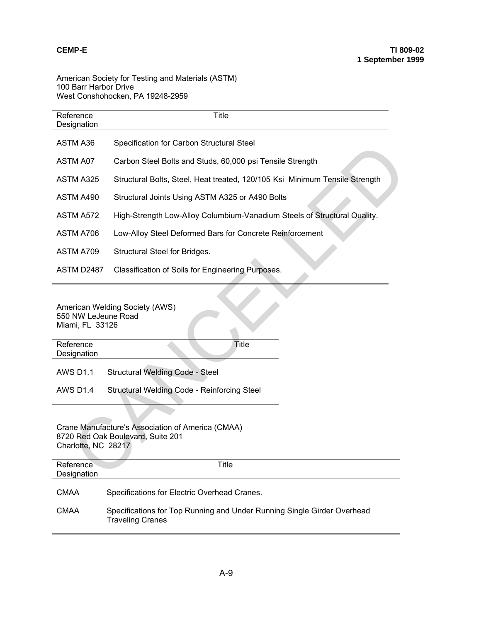### American Society for Testing and Materials (ASTM) 100 Barr Harbor Drive West Conshohocken, PA 19248-2959

| Reference<br>Designation               | <b>Title</b>                                                                           |  |  |  |  |  |
|----------------------------------------|----------------------------------------------------------------------------------------|--|--|--|--|--|
| ASTM A36                               | Specification for Carbon Structural Steel                                              |  |  |  |  |  |
| ASTM A07                               | Carbon Steel Bolts and Studs, 60,000 psi Tensile Strength                              |  |  |  |  |  |
| ASTM A325                              | Structural Bolts, Steel, Heat treated, 120/105 Ksi Minimum Tensile Strength            |  |  |  |  |  |
| ASTM A490                              | Structural Joints Using ASTM A325 or A490 Bolts                                        |  |  |  |  |  |
| ASTM A572                              | High-Strength Low-Alloy Columbium-Vanadium Steels of Structural Quality.               |  |  |  |  |  |
| ASTM A706                              | Low-Alloy Steel Deformed Bars for Concrete Reinforcement                               |  |  |  |  |  |
| ASTM A709                              | Structural Steel for Bridges.                                                          |  |  |  |  |  |
| ASTM D2487                             | Classification of Soils for Engineering Purposes.                                      |  |  |  |  |  |
| 550 NW LeJeune Road<br>Miami, FL 33126 | American Welding Society (AWS)                                                         |  |  |  |  |  |
| Reference<br>Designation               | <b>Title</b>                                                                           |  |  |  |  |  |
| <b>AWS D1.1</b>                        | Structural Welding Code - Steel                                                        |  |  |  |  |  |
| <b>AWS D1.4</b>                        | Structural Welding Code - Reinforcing Steel                                            |  |  |  |  |  |
| Charlotte, NC 28217                    | Crane Manufacture's Association of America (CMAA)<br>8720 Red Oak Boulevard, Suite 201 |  |  |  |  |  |
| Reference<br>Designation               | <b>Title</b>                                                                           |  |  |  |  |  |

#### Crane Manufacture's Association of America (CMAA) 8720 Red Oak Boulevard, Suite 201 Charlotte, NC 28217

| Reference<br>Designation | Title                                                                                              |
|--------------------------|----------------------------------------------------------------------------------------------------|
| <b>CMAA</b>              | Specifications for Electric Overhead Cranes.                                                       |
| <b>CMAA</b>              | Specifications for Top Running and Under Running Single Girder Overhead<br><b>Traveling Cranes</b> |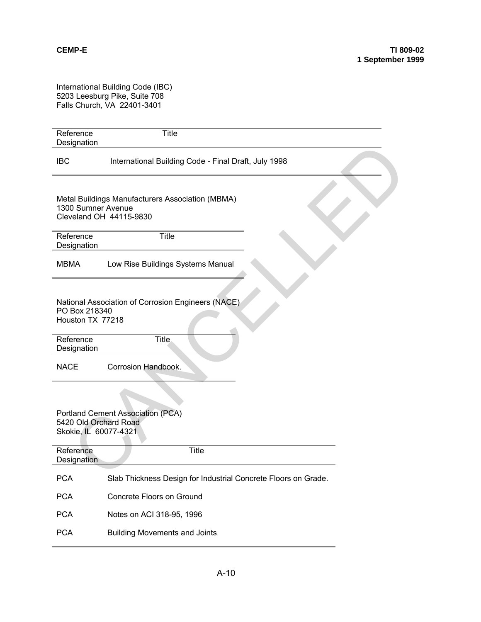International Building Code (IBC) 5203 Leesburg Pike, Suite 708 Falls Church, VA 22401-3401

| Reference<br>Designation                       | <b>Title</b>                                                                            |  |  |  |  |
|------------------------------------------------|-----------------------------------------------------------------------------------------|--|--|--|--|
| <b>IBC</b>                                     | International Building Code - Final Draft, July 1998                                    |  |  |  |  |
| 1300 Sumner Avenue                             | Metal Buildings Manufacturers Association (MBMA)<br>Cleveland OH 44115-9830             |  |  |  |  |
| Reference<br>Designation                       | <b>Title</b>                                                                            |  |  |  |  |
| <b>MBMA</b>                                    | Low Rise Buildings Systems Manual                                                       |  |  |  |  |
|                                                | National Association of Corrosion Engineers (NACE)<br>PO Box 218340<br>Houston TX 77218 |  |  |  |  |
| Reference<br>Designation                       | <b>Title</b>                                                                            |  |  |  |  |
| <b>NACE</b>                                    | Corrosion Handbook.                                                                     |  |  |  |  |
| 5420 Old Orchard Road<br>Skokie, IL 60077-4321 | Portland Cement Association (PCA)                                                       |  |  |  |  |
| Reference<br>Designation                       | <b>Title</b>                                                                            |  |  |  |  |
| <b>PCA</b>                                     | Slab I hickness Design for Industrial Concrete Floors on Grade.                         |  |  |  |  |
| <b>PCA</b>                                     | Concrete Floors on Ground                                                               |  |  |  |  |
| <b>PCA</b>                                     | Notes on ACI 318-95, 1996                                                               |  |  |  |  |
| <b>PCA</b>                                     | <b>Building Movements and Joints</b>                                                    |  |  |  |  |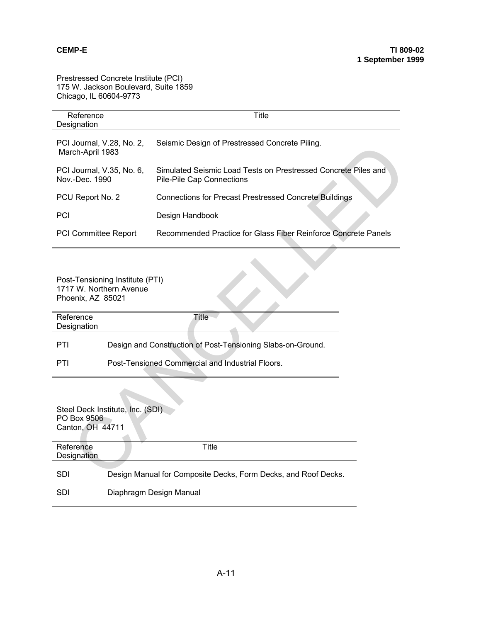Prestressed Concrete Institute (PCI) 175 W. Jackson Boulevard, Suite 1859 Chicago, IL 60604-9773

| Reference                                                                       |                                                  | Title                                                                                       |  |  |  |  |
|---------------------------------------------------------------------------------|--------------------------------------------------|---------------------------------------------------------------------------------------------|--|--|--|--|
| Designation                                                                     |                                                  |                                                                                             |  |  |  |  |
| PCI Journal, V.28, No. 2,<br>March-April 1983                                   |                                                  | Seismic Design of Prestressed Concrete Piling.                                              |  |  |  |  |
| PCI Journal, V.35, No. 6,<br>Nov.-Dec. 1990                                     |                                                  | Simulated Seismic Load Tests on Prestressed Concrete Piles and<br>Pile-Pile Cap Connections |  |  |  |  |
| PCU Report No. 2                                                                |                                                  | <b>Connections for Precast Prestressed Concrete Buildings</b>                               |  |  |  |  |
| PCI                                                                             |                                                  | Design Handbook                                                                             |  |  |  |  |
| <b>PCI Committee Report</b>                                                     |                                                  | Recommended Practice for Glass Fiber Reinforce Concrete Panels                              |  |  |  |  |
|                                                                                 |                                                  |                                                                                             |  |  |  |  |
| Post-Tensioning Institute (PTI)<br>1717 W. Northern Avenue<br>Phoenix, AZ 85021 |                                                  |                                                                                             |  |  |  |  |
| Reference<br>Designation                                                        |                                                  | Title                                                                                       |  |  |  |  |
| PTI                                                                             |                                                  | Design and Construction of Post-Tensioning Slabs-on-Ground.                                 |  |  |  |  |
| PTI                                                                             | Post-Tensioned Commercial and Industrial Floors. |                                                                                             |  |  |  |  |
| Steel Deck Institute, Inc. (SDI)<br>PO Box 9506<br>Canton, OH 44711             |                                                  |                                                                                             |  |  |  |  |
| Reference<br><b>Designation</b>                                                 |                                                  | Title                                                                                       |  |  |  |  |
| <b>SDI</b>                                                                      |                                                  | Design Manual for Composite Decks, Form Decks, and Roof Decks.                              |  |  |  |  |

| Reference   | 'itle |  |  |
|-------------|-------|--|--|
| Designation |       |  |  |
|             |       |  |  |

| Steel Deck Institute, Inc. (SDI)<br>PO Box 9506<br>Canton, OH 44711 |                                                                |  |  |
|---------------------------------------------------------------------|----------------------------------------------------------------|--|--|
| Reference<br><b>Designation</b>                                     | Title                                                          |  |  |
| <b>SDI</b>                                                          | Design Manual for Composite Decks, Form Decks, and Roof Decks. |  |  |
| <b>SDI</b>                                                          | Diaphragm Design Manual                                        |  |  |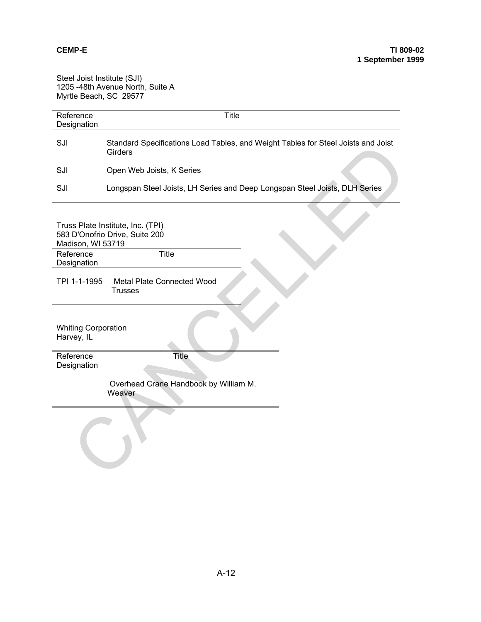Steel Joist Institute (SJI) 1205 -48th Avenue North, Suite A Myrtle Beach, SC 29577

| Reference<br>Designation                 | <b>Title</b>                                                                                 |  |  |  |
|------------------------------------------|----------------------------------------------------------------------------------------------|--|--|--|
| SJI                                      | Standard Specifications Load Tables, and Weight Tables for Steel Joists and Joist<br>Girders |  |  |  |
| SJI                                      | Open Web Joists, K Series                                                                    |  |  |  |
| SJI                                      | Longspan Steel Joists, LH Series and Deep Longspan Steel Joists, DLH Series                  |  |  |  |
| Madison, WI 53719                        | Truss Plate Institute, Inc. (TPI)<br>583 D'Onofrio Drive, Suite 200                          |  |  |  |
| Reference<br>Designation                 | <b>Title</b>                                                                                 |  |  |  |
| TPI 1-1-1995                             | Metal Plate Connected Wood<br><b>Trusses</b>                                                 |  |  |  |
| <b>Whiting Corporation</b><br>Harvey, IL |                                                                                              |  |  |  |
| Reference<br>Designation                 | <b>Title</b>                                                                                 |  |  |  |
|                                          | Overhead Crane Handbook by William M.<br>Weaver                                              |  |  |  |
|                                          |                                                                                              |  |  |  |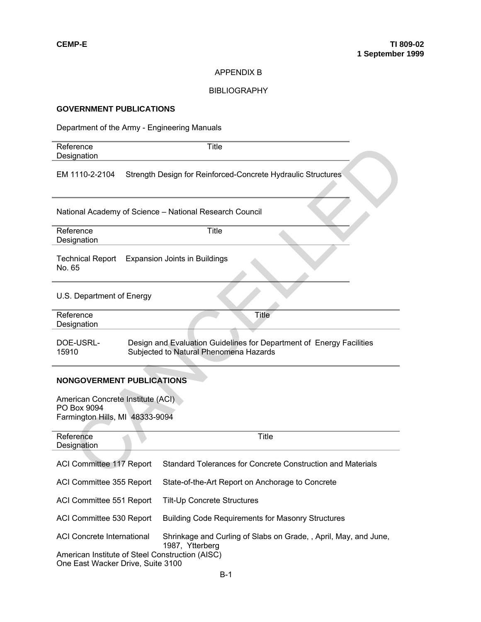## APPENDIX B

### BIBLIOGRAPHY

## **GOVERNMENT PUBLICATIONS**

Department of the Army - Engineering Manuals

| Reference<br>Designation                                                                                                                                                                                         | <b>Title</b>                                                                                                   |  |  |  |
|------------------------------------------------------------------------------------------------------------------------------------------------------------------------------------------------------------------|----------------------------------------------------------------------------------------------------------------|--|--|--|
| EM 1110-2-2104                                                                                                                                                                                                   | Strength Design for Reinforced-Concrete Hydraulic Structures                                                   |  |  |  |
| National Academy of Science - National Research Council                                                                                                                                                          |                                                                                                                |  |  |  |
| Reference<br>Designation                                                                                                                                                                                         | <b>Title</b>                                                                                                   |  |  |  |
| <b>Technical Report</b><br>No. 65                                                                                                                                                                                | <b>Expansion Joints in Buildings</b>                                                                           |  |  |  |
| U.S. Department of Energy                                                                                                                                                                                        |                                                                                                                |  |  |  |
| Reference<br>Designation                                                                                                                                                                                         | <b>Title</b>                                                                                                   |  |  |  |
| DOE-USRL-<br>15910                                                                                                                                                                                               | Design and Evaluation Guidelines for Department of Energy Facilities<br>Subjected to Natural Phenomena Hazards |  |  |  |
| <b>NONGOVERMENT PUBLICATIONS</b>                                                                                                                                                                                 |                                                                                                                |  |  |  |
| American Concrete Institute (ACI)<br>PO Box 9094<br>Farmington Hills, MI 48333-9094                                                                                                                              |                                                                                                                |  |  |  |
| Reference<br>Designation                                                                                                                                                                                         | Title                                                                                                          |  |  |  |
| ACI Committee 117 Report                                                                                                                                                                                         | Standard Tolerances for Concrete Construction and Materials                                                    |  |  |  |
| ACI Committee 355 Report                                                                                                                                                                                         | State-of-the-Art Report on Anchorage to Concrete                                                               |  |  |  |
| ACI Committee 551 Report                                                                                                                                                                                         | <b>Tilt-Up Concrete Structures</b>                                                                             |  |  |  |
| ACI Committee 530 Report                                                                                                                                                                                         | <b>Building Code Requirements for Masonry Structures</b>                                                       |  |  |  |
| <b>ACI Concrete International</b><br>Shrinkage and Curling of Slabs on Grade, , April, May, and June,<br>1987, Ytterberg<br>American Institute of Steel Construction (AISC)<br>One East Wacker Drive, Suite 3100 |                                                                                                                |  |  |  |